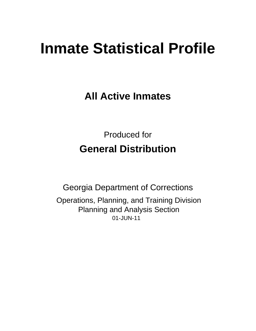# **Inmate Statistical Profile**

**All Active Inmates** 

**Produced for General Distribution** 

**Georgia Department of Corrections** Operations, Planning, and Training Division **Planning and Analysis Section** 01-JUN-11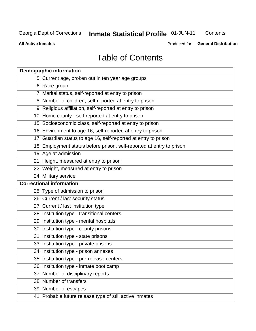# Inmate Statistical Profile 01-JUN-11

Contents

**All Active Inmates** 

Produced for General Distribution

# **Table of Contents**

| <b>Demographic information</b>                                       |
|----------------------------------------------------------------------|
| 5 Current age, broken out in ten year age groups                     |
| 6 Race group                                                         |
| 7 Marital status, self-reported at entry to prison                   |
| 8 Number of children, self-reported at entry to prison               |
| 9 Religious affiliation, self-reported at entry to prison            |
| 10 Home county - self-reported at entry to prison                    |
| 15 Socioeconomic class, self-reported at entry to prison             |
| 16 Environment to age 16, self-reported at entry to prison           |
| 17 Guardian status to age 16, self-reported at entry to prison       |
| 18 Employment status before prison, self-reported at entry to prison |
| 19 Age at admission                                                  |
| 21 Height, measured at entry to prison                               |
| 22 Weight, measured at entry to prison                               |
| 24 Military service                                                  |
| <b>Correctional information</b>                                      |
| 25 Type of admission to prison                                       |
| 26 Current / last security status                                    |
| 27 Current / last institution type                                   |
| 28 Institution type - transitional centers                           |
| 29 Institution type - mental hospitals                               |
| 30 Institution type - county prisons                                 |
| 31 Institution type - state prisons                                  |
| 33 Institution type - private prisons                                |
| 34 Institution type - prison annexes                                 |
| 35 Institution type - pre-release centers                            |
| 36 Institution type - inmate boot camp                               |
| 37 Number of disciplinary reports                                    |
| 38 Number of transfers                                               |
| 39 Number of escapes                                                 |
| 41 Probable future release type of still active inmates              |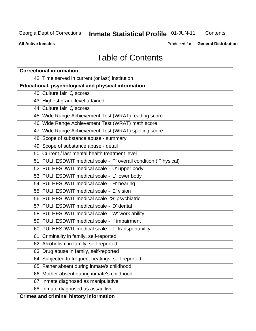# **Inmate Statistical Profile 01-JUN-11**

Contents

**All Active Inmates** 

Produced for **General Distribution** 

# **Table of Contents**

| <b>Correctional information</b>                                  |
|------------------------------------------------------------------|
| 42 Time served in current (or last) institution                  |
| Educational, psychological and physical information              |
| 40 Culture fair IQ scores                                        |
| 43 Highest grade level attained                                  |
| 44 Culture fair IQ scores                                        |
| 45 Wide Range Achievement Test (WRAT) reading score              |
| 46 Wide Range Achievement Test (WRAT) math score                 |
| 47 Wide Range Achievement Test (WRAT) spelling score             |
| 48 Scope of substance abuse - summary                            |
| 49 Scope of substance abuse - detail                             |
| 50 Current / last mental health treatment level                  |
| 51 PULHESDWIT medical scale - 'P' overall condition ('P'hysical) |
| 52 PULHESDWIT medical scale - 'U' upper body                     |
| 53 PULHESDWIT medical scale - 'L' lower body                     |
| 54 PULHESDWIT medical scale - 'H' hearing                        |
| 55 PULHESDWIT medical scale - 'E' vision                         |
| 56 PULHESDWIT medical scale -'S' psychiatric                     |
| 57 PULHESDWIT medical scale - 'D' dental                         |
| 58 PULHESDWIT medical scale - 'W' work ability                   |
| 59 PULHESDWIT medical scale - 'I' impairment                     |
| 60 PULHESDWIT medical scale - 'T' transportability               |
| 61 Criminality in family, self-reported                          |
| 62 Alcoholism in family, self-reported                           |
| 63 Drug abuse in family, self-reported                           |
| 64 Subjected to frequent beatings, self-reported                 |
| 65 Father absent during inmate's childhood                       |
| 66 Mother absent during inmate's childhood                       |
| Inmate diagnosed as manipulative<br>67                           |
| 68 Inmate diagnosed as assaultive                                |
| <b>Crimes and criminal history information</b>                   |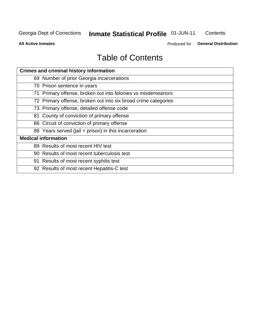# Inmate Statistical Profile 01-JUN-11

Contents

**All Active Inmates** 

Produced for General Distribution

# **Table of Contents**

| <b>Crimes and criminal history information</b>                 |
|----------------------------------------------------------------|
| 69 Number of prior Georgia incarcerations                      |
| 70 Prison sentence in years                                    |
| 71 Primary offense, broken out into felonies vs misdemeanors   |
| 72 Primary offense, broken out into six broad crime categories |
| 73 Primary offense, detailed offense code                      |
| 81 County of conviction of primary offense                     |
| 86 Circuit of conviction of primary offense                    |
| 88 Years served (jail + prison) in this incarceration          |
| <b>Medical information</b>                                     |
| 89 Results of most recent HIV test                             |
| 90 Results of most recent tuberculosis test                    |
| 91 Results of most recent syphilis test                        |
| 92 Results of most recent Hepatitis-C test                     |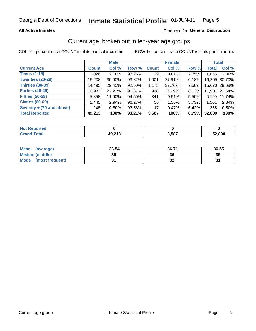### **All Active Inmates**

### Produced for General Distribution

# Current age, broken out in ten-year age groups

COL % - percent each COUNT is of its particular column

|                            |              | <b>Male</b> |        |              | <b>Female</b> |       |              | <b>Total</b>  |
|----------------------------|--------------|-------------|--------|--------------|---------------|-------|--------------|---------------|
| <b>Current Age</b>         | <b>Count</b> | Col %       | Row %  | <b>Count</b> | Col %         | Row % | <b>Total</b> | Col %         |
| <b>Teens (1-19)</b>        | 1,026        | 2.08%       | 97.25% | 29           | 0.81%         | 2.75% | 1,055        | 2.00%         |
| <b>Twenties (20-29)</b>    | 15,208       | 30.90%      | 93.82% | 1,001        | 27.91%        | 6.18% | 16,209       | 30.70%        |
| <b>Thirties (30-39)</b>    | 14,495       | 29.45%      | 92.50% | 1,175        | 32.76%        | 7.50% |              | 15,670 29.68% |
| <b>Forties (40-49)</b>     | 10,933       | 22.22%      | 91.87% | 968          | 26.99%        | 8.13% | 11,901       | 22.54%        |
| <b>Fifties (50-59)</b>     | 5,858        | 11.90%      | 94.50% | 341          | 9.51%         | 5.50% | 6,199        | 11.74%        |
| <b>Sixties (60-69)</b>     | 1,445        | 2.94%       | 96.27% | 56           | 1.56%         | 3.73% | 1,501        | 2.84%         |
| Seventy $+$ (70 and above) | 248          | 0.50%       | 93.58% | 17           | 0.47%         | 6.42% | 265          | 0.50%         |
| <b>Total Reported</b>      | 49,213       | 100%        | 93.21% | 3,587        | 100%          | 6.79% | 52,800       | 100%          |

| <b>Not Repo</b><br><b>Enorted</b> |        |       |        |
|-----------------------------------|--------|-------|--------|
| Total                             | 49,213 | 3,587 | 52,800 |

| <b>Mean</b><br>(average)       | 36.54    | 36.71 | 36.55 |
|--------------------------------|----------|-------|-------|
| Median (middle)                | つん<br>vu | 36    | 35    |
| <b>Mode</b><br>(most frequent) |          | ◡▵    |       |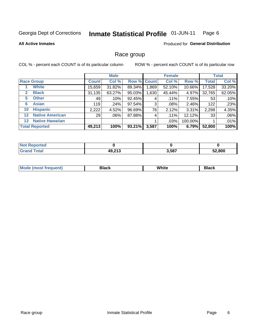#### Inmate Statistical Profile 01-JUN-11 Page 6

### **All Active Inmates**

### **Produced for General Distribution**

# Race group

COL % - percent each COUNT is of its particular column

|              |                        |              | <b>Male</b> |             |       | <b>Female</b> |         |              | <b>Total</b> |
|--------------|------------------------|--------------|-------------|-------------|-------|---------------|---------|--------------|--------------|
|              | <b>Race Group</b>      | <b>Count</b> | Col %       | Row % Count |       | Col %         | Row %   | <b>Total</b> | Col %        |
|              | <b>White</b>           | 15,659       | 31.82%      | 89.34%      | .869  | 52.10%        | 10.66%  | 17,528       | 33.20%       |
| $\mathbf{2}$ | <b>Black</b>           | 31,135       | 63.27%      | 95.03%      | .630  | 45.44%        | 4.97%   | 32,765       | 62.05%       |
| 5.           | <b>Other</b>           | 49           | .10%        | 92.45%      | 4     | $.11\%$       | 7.55%   | 53           | .10%         |
| 6            | <b>Asian</b>           | 119          | .24%        | 97.54%      | 3     | $.08\%$       | 2.46%   | 122          | .23%         |
| 10           | <b>Hispanic</b>        | 2,222        | 4.52%       | 96.69%      | 76    | 2.12%         | 3.31%   | 2,298        | 4.35%        |
| $12 \,$      | <b>Native American</b> | 29           | $.06\%$     | 87.88%      | 4     | .11%          | 12.12%  | 33           | .06%         |
| 13           | <b>Native Hawaiian</b> |              |             |             |       | .03%          | 100.00% |              | .01%         |
|              | <b>Total Reported</b>  | 49,213       | 100%        | 93.21%      | 3,587 | 100%          | 6.79%   | 52,800       | 100%         |

| Reported<br>∣ N∩t |        |       |        |
|-------------------|--------|-------|--------|
| Total<br>"Granu   | 49,213 | 3.587 | 52,800 |

| <b>Mode</b><br>.<br>. . | DIACK | White | חטוע |
|-------------------------|-------|-------|------|
|                         |       |       |      |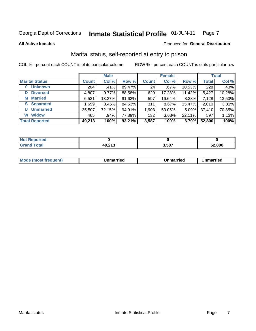#### Inmate Statistical Profile 01-JUN-11 Page 7

**All Active Inmates** 

### Produced for General Distribution

# Marital status, self-reported at entry to prison

COL % - percent each COUNT is of its particular column

|                            |              | <b>Male</b> |        |              | <b>Female</b> |        |              | <b>Total</b> |
|----------------------------|--------------|-------------|--------|--------------|---------------|--------|--------------|--------------|
| <b>Marital Status</b>      | <b>Count</b> | Col %       | Row %  | <b>Count</b> | Col %         | Row %  | <b>Total</b> | Col %        |
| <b>Unknown</b><br>$\bf{0}$ | 204          | .41%        | 89.47% | 24           | .67%          | 10.53% | 228          | .43%         |
| <b>Divorced</b><br>D       | 4,807        | $9.77\%$    | 88.58% | 620          | 17.28%        | 11.42% | 5,427        | 10.28%       |
| <b>Married</b><br>М        | 6,531        | 13.27%      | 91.62% | 597          | 16.64%        | 8.38%  | 7,128        | 13.50%       |
| <b>S</b> Separated         | 1,699        | 3.45%       | 84.53% | 311          | 8.67%         | 15.47% | 2,010        | 3.81%        |
| <b>Unmarried</b><br>U      | 35,507       | 72.15%      | 94.91% | 1,903        | 53.05%        | 5.09%  | 37,410       | 70.85%       |
| <b>Widow</b><br>W          | 465          | $.94\%$     | 77.89% | 132          | 3.68%         | 22.11% | 597          | 1.13%        |
| <b>Total Reported</b>      | 49,213       | 100%        | 93.21% | 3,587        | 100%          | 6.79%  | 52,800       | 100%         |

| orteo.<br><b>NOT</b> |                 |       |        |
|----------------------|-----------------|-------|--------|
| Gr<                  | n nan<br>49,213 | 3,587 | 52.800 |

|--|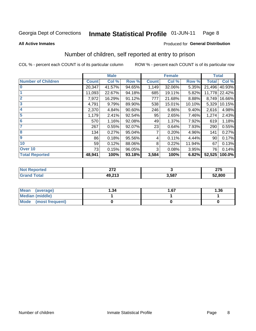#### Inmate Statistical Profile 01-JUN-11 Page 8

**All Active Inmates** 

### Produced for General Distribution

# Number of children, self reported at entry to prison

COL % - percent each COUNT is of its particular column

ROW % - percent each COUNT is of its particular row

|                           |              | <b>Male</b> |        |              | <b>Female</b> |        | <b>Total</b> |        |
|---------------------------|--------------|-------------|--------|--------------|---------------|--------|--------------|--------|
| <b>Number of Children</b> | <b>Count</b> | Col %       | Row %  | <b>Count</b> | Col %         | Row %  | <b>Total</b> | Col %  |
| $\bf{0}$                  | 20,347       | 41.57%      | 94.65% | 1,149        | 32.06%        | 5.35%  | 21,496       | 40.93% |
|                           | 11,093       | 22.67%      | 94.18% | 685          | 19.11%        | 5.82%  | 11,778       | 22.42% |
| $\overline{2}$            | 7,972        | 16.29%      | 91.12% | 777          | 21.68%        | 8.88%  | 8,749        | 16.66% |
| 3                         | 4,791        | 9.79%       | 89.90% | 538          | 15.01%        | 10.10% | 5,329        | 10.15% |
| 4                         | 2,370        | 4.84%       | 90.60% | 246          | 6.86%         | 9.40%  | 2,616        | 4.98%  |
| 5                         | 1,179        | 2.41%       | 92.54% | 95           | 2.65%         | 7.46%  | 1,274        | 2.43%  |
| 6                         | 570          | 1.16%       | 92.08% | 49           | 1.37%         | 7.92%  | 619          | 1.18%  |
| 7                         | 267          | 0.55%       | 92.07% | 23           | 0.64%         | 7.93%  | 290          | 0.55%  |
| 8                         | 134          | 0.27%       | 95.04% | 7            | 0.20%         | 4.96%  | 141          | 0.27%  |
| $\boldsymbol{9}$          | 86           | 0.18%       | 95.56% | 4            | 0.11%         | 4.44%  | 90           | 0.17%  |
| 10                        | 59           | 0.12%       | 88.06% | 8            | 0.22%         | 11.94% | 67           | 0.13%  |
| Over 10                   | 73           | 0.15%       | 96.05% | 3            | 0.08%         | 3.95%  | 76           | 0.14%  |
| <b>Total Reported</b>     | 48,941       | 100%        | 93.18% | 3,584        | 100%          | 6.82%  | 52,525       | 100.0% |

|      | $\sim$<br>---       |       | 27F<br>21 J<br>$\sim$ |
|------|---------------------|-------|-----------------------|
| υιαι | 10.212<br>.<br>$-1$ | 3,587 | 52,800                |

| <b>Mean</b><br>(average) | 1.34 | 1.67 | 1.36 |
|--------------------------|------|------|------|
| Median (middle)          |      |      |      |
| Mode (most frequent)     |      |      |      |

Number of children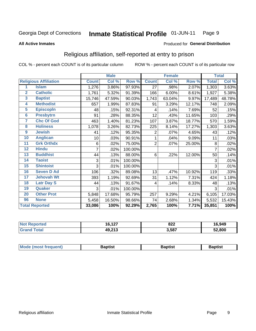#### **Inmate Statistical Profile 01-JUN-11** Page 9

### **All Active Inmates**

### Produced for General Distribution

# Religious affiliation, self-reported at entry to prison

COL % - percent each COUNT is of its particular column

|                  |                              |              | <b>Male</b> |         |                 | <b>Female</b>             |        |              | <b>Total</b> |
|------------------|------------------------------|--------------|-------------|---------|-----------------|---------------------------|--------|--------------|--------------|
|                  | <b>Religious Affiliation</b> | <b>Count</b> | Col %       | Row %   | <b>Count</b>    | $\overline{\text{Col}}$ % | Row %  | <b>Total</b> | Col %        |
| 1                | <b>Islam</b>                 | 1,276        | 3.86%       | 97.93%  | $\overline{27}$ | .98%                      | 2.07%  | 1,303        | 3.63%        |
| $\overline{2}$   | <b>Catholic</b>              | 1,761        | 5.32%       | 91.39%  | 166             | 6.00%                     | 8.61%  | 1,927        | 5.38%        |
| 3                | <b>Baptist</b>               | 15,746       | 47.59%      | 90.03%  | 1,743           | 63.04%                    | 9.97%  | 17,489       | 48.78%       |
| 4                | <b>Methodist</b>             | 657          | 1.99%       | 87.83%  | 91              | 3.29%                     | 12.17% | 748          | 2.09%        |
| 5                | <b>EpiscopIn</b>             | 48           | .15%        | 92.31%  | 4               | .14%                      | 7.69%  | 52           | .15%         |
| $6\phantom{a}$   | <b>Presbytrn</b>             | 91           | .28%        | 88.35%  | 12              | .43%                      | 11.65% | 103          | .29%         |
| 7                | <b>Chc Of God</b>            | 463          | 1.40%       | 81.23%  | 107             | 3.87%                     | 18.77% | 570          | 1.59%        |
| 8                | <b>Holiness</b>              | 1,078        | 3.26%       | 82.73%  | 225             | 8.14%                     | 17.27% | 1,303        | 3.63%        |
| $\boldsymbol{9}$ | <b>Jewish</b>                | 41           | .12%        | 95.35%  | 2               | .07%                      | 4.65%  | 43           | .12%         |
| 10               | <b>Anglican</b>              | 10           | .03%        | 90.91%  | 1               | .04%                      | 9.09%  | 11           | .03%         |
| 11               | <b>Grk Orthdx</b>            | 6            | .02%        | 75.00%  | $\overline{2}$  | .07%                      | 25.00% | 8            | .02%         |
| 12               | <b>Hindu</b>                 | 7            | .02%        | 100.00% |                 |                           |        | 7            | .02%         |
| 13               | <b>Buddhist</b>              | 44           | .13%        | 88.00%  | 6               | .22%                      | 12.00% | 50           | .14%         |
| 14               | <b>Taoist</b>                | 3            | .01%        | 100.00% |                 |                           |        | 3            | .01%         |
| 15               | <b>Shintoist</b>             | 3            | .01%        | 100.00% |                 |                           |        | 3            | .01%         |
| 16               | <b>Seven D Ad</b>            | 106          | .32%        | 89.08%  | 13              | .47%                      | 10.92% | 119          | .33%         |
| 17               | <b>Jehovah Wt</b>            | 393          | 1.19%       | 92.69%  | 31              | 1.12%                     | 7.31%  | 424          | 1.18%        |
| 18               | <b>Latr Day S</b>            | 44           | .13%        | 91.67%  | 4               | .14%                      | 8.33%  | 48           | .13%         |
| 19               | Quaker                       | 3            | .01%        | 100.00% |                 |                           |        | 3            | .01%         |
| 20               | <b>Other Prot</b>            | 5,848        | 17.68%      | 95.79%  | 257             | 9.29%                     | 4.21%  | 6,105        | 17.03%       |
| 96               | <b>None</b>                  | 5,458        | 16.50%      | 98.66%  | 74              | 2.68%                     | 1.34%  | 5,532        | 15.43%       |
|                  | <b>Total Reported</b>        | 33,086       | 100%        | 92.29%  | 2,765           | 100%                      | 7.71%  | 35,851       | 100%         |

| <b>Not Reported</b> | 16,127 | 822   | 16,949 |
|---------------------|--------|-------|--------|
| <b>Total</b>        | 49,213 | 3,587 | 52,800 |

|  |  | <b>Mode (most frequent)</b> | <b>Baptist</b> | Baptist | Baptist |
|--|--|-----------------------------|----------------|---------|---------|
|--|--|-----------------------------|----------------|---------|---------|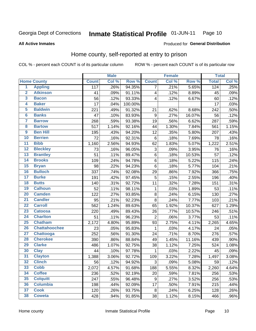#### **Inmate Statistical Profile 01-JUN-11** Page 10

### **All Active Inmates**

# Produced for General Distribution

# Home county, self-reported at entry to prison

COL % - percent each COUNT is of its particular column

|                         |                      |              | <b>Male</b> |         |                         | <b>Female</b> |        | <b>Total</b> |       |
|-------------------------|----------------------|--------------|-------------|---------|-------------------------|---------------|--------|--------------|-------|
|                         | <b>Home County</b>   | <b>Count</b> | Col %       | Row %   | <b>Count</b>            | Col %         | Row %  | <b>Total</b> | Col % |
| $\overline{\mathbf{1}}$ | <b>Appling</b>       | 117          | .26%        | 94.35%  | $\overline{7}$          | .21%          | 5.65%  | 124          | .25%  |
| $\overline{2}$          | <b>Atkinson</b>      | 41           | .09%        | 91.11%  | $\overline{\mathbf{4}}$ | .12%          | 8.89%  | 45           | .09%  |
| 3                       | <b>Bacon</b>         | 56           | .12%        | 93.33%  | $\overline{\mathbf{4}}$ | .12%          | 6.67%  | 60           | .12%  |
| 4                       | <b>Baker</b>         | 17           | .04%        | 100.00% |                         |               |        | 17           | .03%  |
| 5                       | <b>Baldwin</b>       | 221          | .49%        | 91.32%  | 21                      | .62%          | 8.68%  | 242          | .50%  |
| $6\phantom{1}6$         | <b>Banks</b>         | 47           | .10%        | 83.93%  | $\boldsymbol{9}$        | .27%          | 16.07% | 56           | .12%  |
| $\overline{7}$          | <b>Barrow</b>        | 268          | .59%        | 93.38%  | 19                      | .56%          | 6.62%  | 287          | .59%  |
| 8                       | <b>Bartow</b>        | 517          | 1.14%       | 92.16%  | 44                      | 1.30%         | 7.84%  | 561          | 1.15% |
| $\overline{9}$          | <b>Ben Hill</b>      | 195          | .43%        | 94.20%  | 12                      | .35%          | 5.80%  | 207          | .43%  |
| 10                      | <b>Berrien</b>       | 72           | .16%        | 92.31%  | $\,6$                   | .18%          | 7.69%  | 78           | .16%  |
| $\overline{11}$         | <b>Bibb</b>          | 1,160        | 2.56%       | 94.93%  | 62                      | 1.83%         | 5.07%  | 1,222        | 2.51% |
| $\overline{12}$         | <b>Bleckley</b>      | 73           | .16%        | 96.05%  | 3                       | .09%          | 3.95%  | 76           | .16%  |
| 13                      | <b>Brantley</b>      | 51           | .11%        | 89.47%  | $\,6$                   | .18%          | 10.53% | 57           | .12%  |
| $\overline{14}$         | <b>Brooks</b>        | 109          | .24%        | 94.78%  | $\,6$                   | .18%          | 5.22%  | 115          | .24%  |
| 15                      | <b>Bryan</b>         | 98           | .22%        | 94.23%  | $\,6$                   | .18%          | 5.77%  | 104          | .21%  |
| 16                      | <b>Bulloch</b>       | 337          | .74%        | 92.08%  | 29                      | .86%          | 7.92%  | 366          | .75%  |
| $\overline{17}$         | <b>Burke</b>         | 191          | .42%        | 97.45%  | 5                       | .15%          | 2.55%  | 196          | .40%  |
| 18                      | <b>Butts</b>         | 140          | .31%        | 92.72%  | 11                      | .32%          | 7.28%  | 151          | .31%  |
| 19                      | <b>Calhoun</b>       | 52           | .11%        | 98.11%  | $\mathbf{1}$            | .03%          | 1.89%  | 53           | .11%  |
| $\overline{20}$         | <b>Camden</b>        | 122          | .27%        | 93.85%  | 8                       | .24%          | 6.15%  | 130          | .27%  |
| $\overline{21}$         | <b>Candler</b>       | 95           | .21%        | 92.23%  | 8                       | .24%          | 7.77%  | 103          | .21%  |
| $\overline{22}$         | <b>Carroll</b>       | 562          | 1.24%       | 89.63%  | 65                      | 1.92%         | 10.37% | 627          | 1.29% |
| 23                      | <b>Catoosa</b>       | 220          | .49%        | 89.43%  | 26                      | .77%          | 10.57% | 246          | .51%  |
| $\overline{24}$         | <b>Charlton</b>      | 51           | .11%        | 96.23%  | $\overline{2}$          | .06%          | 3.77%  | 53           | .11%  |
| $\overline{25}$         | <b>Chatham</b>       | 2,172        | 4.80%       | 95.89%  | 93                      | 2.75%         | 4.11%  | 2,265        | 4.65% |
| 26                      | <b>Chattahoochee</b> | 23           | .05%        | 95.83%  | $\mathbf 1$             | .03%          | 4.17%  | 24           | .05%  |
| $\overline{27}$         | Chattooga            | 252          | .56%        | 91.30%  | 24                      | .71%          | 8.70%  | 276          | .57%  |
| 28                      | <b>Cherokee</b>      | 390          | .86%        | 88.84%  | 49                      | 1.45%         | 11.16% | 439          | .90%  |
| 29                      | <b>Clarke</b>        | 486          | 1.07%       | 92.75%  | 38                      | 1.12%         | 7.25%  | 524          | 1.08% |
| 30                      | <b>Clay</b>          | 44           | .10%        | 97.78%  | $\mathbf 1$             | .03%          | 2.22%  | 45           | .09%  |
| 31                      | <b>Clayton</b>       | 1,388        | 3.06%       | 92.72%  | 109                     | 3.22%         | 7.28%  | 1,497        | 3.08% |
| 32                      | <b>Clinch</b>        | 56           | .12%        | 94.92%  | 3                       | .09%          | 5.08%  | 59           | .12%  |
| 33                      | <b>Cobb</b>          | 2,072        | 4.57%       | 91.68%  | 188                     | 5.55%         | 8.32%  | 2,260        | 4.64% |
| 34                      | <b>Coffee</b>        | 236          | .52%        | 92.19%  | 20                      | .59%          | 7.81%  | 256          | .53%  |
| 35                      | <b>Colquitt</b>      | 247          | .55%        | 96.48%  | 9                       | .27%          | 3.52%  | 256          | .53%  |
| 36                      | <b>Columbia</b>      | 198          | .44%        | 92.09%  | 17                      | .50%          | 7.91%  | 215          | .44%  |
| 37                      | <b>Cook</b>          | 120          | .26%        | 93.75%  | 8                       | .24%          | 6.25%  | 128          | .26%  |
| 38                      | <b>Coweta</b>        | 428          | .94%        | 91.85%  | 38                      | 1.12%         | 8.15%  | 466          | .96%  |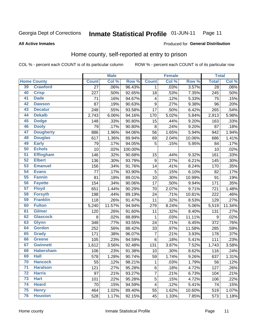#### Inmate Statistical Profile 01-JUN-11 Page 11

**All Active Inmates** 

### Produced for General Distribution

# Home county, self-reported at entry to prison

COL % - percent each COUNT is of its particular column

|                 |                    |              | <b>Male</b> |         |                         | <b>Female</b> |        | <b>Total</b> |         |
|-----------------|--------------------|--------------|-------------|---------|-------------------------|---------------|--------|--------------|---------|
|                 | <b>Home County</b> | <b>Count</b> | Col %       | Row %   | <b>Count</b>            | Col %         | Row %  | <b>Total</b> | Col %   |
| 39              | <b>Crawford</b>    | 27           | .06%        | 96.43%  | 1                       | .03%          | 3.57%  | 28           | $.06\%$ |
| 40              | <b>Crisp</b>       | 227          | .50%        | 92.65%  | 18                      | .53%          | 7.35%  | 245          | .50%    |
| 41              | <b>Dade</b>        | 71           | .16%        | 94.67%  | $\overline{\mathbf{4}}$ | .12%          | 5.33%  | 75           | .15%    |
| 42              | <b>Dawson</b>      | 87           | .19%        | 90.63%  | $\mathsf g$             | .27%          | 9.38%  | 96           | .20%    |
| 43              | <b>Decatur</b>     | 248          | .55%        | 93.58%  | $\overline{17}$         | .50%          | 6.42%  | 265          | .54%    |
| 44              | <b>Dekalb</b>      | 2,743        | 6.06%       | 94.16%  | 170                     | 5.02%         | 5.84%  | 2,913        | 5.98%   |
| 45              | <b>Dodge</b>       | 148          | .33%        | 90.80%  | 15                      | .44%          | 9.20%  | 163          | .33%    |
| 46              | <b>Dooly</b>       | 79           | .17%        | 90.80%  | 8                       | .24%          | 9.20%  | 87           | .18%    |
| 47              | <b>Dougherty</b>   | 886          | 1.96%       | 94.06%  | 56                      | 1.65%         | 5.94%  | 942          | 1.94%   |
| 48              | <b>Douglas</b>     | 617          | 1.36%       | 89.94%  | 69                      | 2.04%         | 10.06% | 686          | 1.41%   |
| 49              | <b>Early</b>       | 79           | .17%        | 94.05%  | 5                       | .15%          | 5.95%  | 84           | .17%    |
| 50              | <b>Echols</b>      | 10           | .02%        | 100.00% |                         |               |        | 10           | .02%    |
| $\overline{51}$ | <b>Effingham</b>   | 146          | .32%        | 90.68%  | 15                      | .44%          | 9.32%  | 161          | .33%    |
| 52              | <b>Elbert</b>      | 136          | .30%        | 93.79%  | $\mathsf g$             | .27%          | 6.21%  | 145          | .30%    |
| 53              | <b>Emanuel</b>     | 156          | .34%        | 91.76%  | 14                      | .41%          | 8.24%  | 170          | .35%    |
| 54              | <b>Evans</b>       | 77           | .17%        | 93.90%  | 5                       | .15%          | 6.10%  | 82           | .17%    |
| 55              | <b>Fannin</b>      | 81           | .18%        | 89.01%  | 10                      | .30%          | 10.99% | 91           | .19%    |
| 56              | <b>Fayette</b>     | 154          | .34%        | 90.06%  | 17                      | .50%          | 9.94%  | 171          | .35%    |
| $\overline{57}$ | <b>Floyd</b>       | 651          | 1.44%       | 90.29%  | 70                      | 2.07%         | 9.71%  | 721          | 1.48%   |
| 58              | <b>Forsyth</b>     | 198          | .44%        | 89.19%  | 24                      | .71%          | 10.81% | 222          | .46%    |
| 59              | <b>Franklin</b>    | 118          | .26%        | 91.47%  | 11                      | .32%          | 8.53%  | 129          | .27%    |
| 60              | <b>Fulton</b>      | 5,240        | 11.57%      | 94.94%  | 279                     | 8.24%         | 5.06%  | 5,519        | 11.34%  |
| 61              | <b>Gilmer</b>      | 120          | .26%        | 91.60%  | 11                      | .32%          | 8.40%  | 131          | .27%    |
| 62              | <b>Glascock</b>    | 8            | .02%        | 88.89%  | $\mathbf{1}$            | .03%          | 11.11% | 9            | .02%    |
| 63              | <b>Glynn</b>       | 348          | .77%        | 93.55%  | 24                      | .71%          | 6.45%  | 372          | .76%    |
| 64              | <b>Gordon</b>      | 252          | .56%        | 88.42%  | 33                      | .97%          | 11.58% | 285          | .59%    |
| 65              | <b>Grady</b>       | 171          | .38%        | 96.07%  | $\overline{7}$          | .21%          | 3.93%  | 178          | $.37\%$ |
| 66              | <b>Greene</b>      | 105          | .23%        | 94.59%  | 6                       | .18%          | 5.41%  | 111          | .23%    |
| 67              | <b>Gwinnett</b>    | 1,612        | 3.56%       | 92.48%  | 131                     | 3.87%         | 7.52%  | 1,743        | 3.58%   |
| 68              | <b>Habersham</b>   | 106          | .23%        | 91.38%  | 10                      | .30%          | 8.62%  | 116          | .24%    |
| 69              | <b>Hall</b>        | 578          | 1.28%       | 90.74%  | 59                      | 1.74%         | 9.26%  | 637          | 1.31%   |
| 70              | <b>Hancock</b>     | 55           | .12%        | 98.21%  | $\mathbf{1}$            | .03%          | 1.79%  | 56           | .12%    |
| $\overline{71}$ | <b>Haralson</b>    | 121          | .27%        | 95.28%  | $\,6$                   | .18%          | 4.72%  | 127          | .26%    |
| $\overline{72}$ | <b>Harris</b>      | 97           | .21%        | 93.27%  | $\overline{7}$          | .21%          | 6.73%  | 104          | .21%    |
| 73              | <b>Hart</b>        | 101          | .22%        | 95.28%  | $\sqrt{5}$              | .15%          | 4.72%  | 106          | .22%    |
| 74              | <b>Heard</b>       | 70           | .15%        | 94.59%  | $\overline{\mathbf{4}}$ | .12%          | 5.41%  | 74           | .15%    |
| 75              | <b>Henry</b>       | 464          | 1.02%       | 89.40%  | 55                      | 1.62%         | 10.60% | 519          | 1.07%   |
| 76              | <b>Houston</b>     | 528          | 1.17%       | 92.15%  | 45                      | 1.33%         | 7.85%  | 573          | 1.18%   |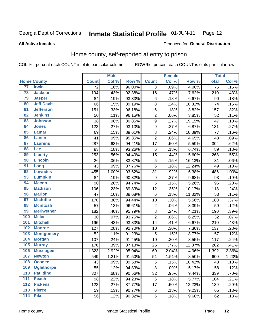#### **Inmate Statistical Profile 01-JUN-11** Page 12

### **All Active Inmates**

### Produced for General Distribution

# Home county, self-reported at entry to prison

COL % - percent each COUNT is of its particular column

|     |                    |                 | <b>Male</b> |        |                         | <b>Female</b> |        | <b>Total</b>    |       |
|-----|--------------------|-----------------|-------------|--------|-------------------------|---------------|--------|-----------------|-------|
|     | <b>Home County</b> | <b>Count</b>    | Col %       | Row %  | <b>Count</b>            | Col %         | Row %  | <b>Total</b>    | Col % |
| 77  | <b>Irwin</b>       | $\overline{72}$ | .16%        | 96.00% | $\overline{3}$          | .09%          | 4.00%  | $\overline{75}$ | .15%  |
| 78  | <b>Jackson</b>     | 194             | .43%        | 92.38% | 16                      | .47%          | 7.62%  | 210             | .43%  |
| 79  | <b>Jasper</b>      | 84              | .19%        | 93.33% | $\,6$                   | .18%          | 6.67%  | 90              | .18%  |
| 80  | <b>Jeff Davis</b>  | 66              | .15%        | 89.19% | 8                       | .24%          | 10.81% | 74              | .15%  |
| 81  | <b>Jefferson</b>   | 151             | .33%        | 96.18% | $\,6$                   | .18%          | 3.82%  | 157             | .32%  |
| 82  | <b>Jenkins</b>     | 50              | .11%        | 96.15% | $\overline{2}$          | .06%          | 3.85%  | 52              | .11%  |
| 83  | <b>Johnson</b>     | 38              | .08%        | 80.85% | $\overline{9}$          | .27%          | 19.15% | 47              | .10%  |
| 84  | <b>Jones</b>       | 122             | .27%        | 93.13% | $\boldsymbol{9}$        | .27%          | 6.87%  | 131             | .27%  |
| 85  | <b>Lamar</b>       | 69              | .15%        | 89.61% | $\bf 8$                 | .24%          | 10.39% | 77              | .16%  |
| 86  | Lanier             | 41              | .09%        | 95.35% | $\overline{2}$          | .06%          | 4.65%  | 43              | .09%  |
| 87  | <b>Laurens</b>     | 287             | .63%        | 94.41% | 17                      | .50%          | 5.59%  | 304             | .62%  |
| 88  | <b>Lee</b>         | 83              | .18%        | 93.26% | $\,6$                   | .18%          | 6.74%  | 89              | .18%  |
| 89  | <b>Liberty</b>     | 253             | .56%        | 94.40% | 15                      | .44%          | 5.60%  | 268             | .55%  |
| 90  | <b>Lincoln</b>     | 26              | .06%        | 83.87% | 5                       | .15%          | 16.13% | 31              | .06%  |
| 91  | Long               | 43              | .09%        | 87.76% | $\,6$                   | .18%          | 12.24% | 49              | .10%  |
| 92  | <b>Lowndes</b>     | 455             | 1.00%       | 93.62% | 31                      | .92%          | 6.38%  | 486             | 1.00% |
| 93  | <b>Lumpkin</b>     | 84              | .19%        | 90.32% | 9                       | .27%          | 9.68%  | 93              | .19%  |
| 94  | <b>Macon</b>       | 90              | .20%        | 94.74% | $\overline{5}$          | .15%          | 5.26%  | 95              | .20%  |
| 95  | <b>Madison</b>     | 106             | .23%        | 89.83% | 12                      | .35%          | 10.17% | 118             | .24%  |
| 96  | <b>Marion</b>      | 47              | .10%        | 88.68% | $\,6$                   | .18%          | 11.32% | 53              | .11%  |
| 97  | <b>Mcduffie</b>    | 170             | .38%        | 94.44% | 10                      | .30%          | 5.56%  | 180             | .37%  |
| 98  | <b>Mcintosh</b>    | 57              | .13%        | 96.61% | $\overline{\mathbf{c}}$ | .06%          | 3.39%  | 59              | .12%  |
| 99  | <b>Meriwether</b>  | 182             | .40%        | 95.79% | $\bf8$                  | .24%          | 4.21%  | 190             | .39%  |
| 100 | <b>Miller</b>      | 30              | .07%        | 93.75% | $\overline{2}$          | .06%          | 6.25%  | 32              | .07%  |
| 101 | <b>Mitchell</b>    | 196             | .43%        | 93.33% | 14                      | .41%          | 6.67%  | 210             | .43%  |
| 102 | <b>Monroe</b>      | 127             | .28%        | 92.70% | 10                      | .30%          | 7.30%  | 137             | .28%  |
| 103 | <b>Montgomery</b>  | 52              | .11%        | 91.23% | 5                       | .15%          | 8.77%  | 57              | .12%  |
| 104 | <b>Morgan</b>      | 107             | .24%        | 91.45% | 10                      | .30%          | 8.55%  | 117             | .24%  |
| 105 | <b>Murray</b>      | 176             | .39%        | 87.13% | 26                      | .77%          | 12.87% | 202             | .41%  |
| 106 | <b>Muscogee</b>    | 1,323           | 2.92%       | 95.04% | 69                      | 2.04%         | 4.96%  | 1,392           | 2.86% |
| 107 | <b>Newton</b>      | 549             | 1.21%       | 91.50% | 51                      | 1.51%         | 8.50%  | 600             | 1.23% |
| 108 | <b>Oconee</b>      | 43              | .09%        | 89.58% | $\sqrt{5}$              | .15%          | 10.42% | 48              | .10%  |
| 109 | <b>Oglethorpe</b>  | 55              | .12%        | 94.83% | 3                       | .09%          | 5.17%  | 58              | .12%  |
| 110 | <b>Paulding</b>    | 307             | .68%        | 90.56% | 32                      | .95%          | 9.44%  | 339             | .70%  |
| 111 | <b>Peach</b>       | 98              | .22%        | 94.23% | $\,6$                   | .18%          | 5.77%  | 104             | .21%  |
| 112 | <b>Pickens</b>     | 122             | .27%        | 87.77% | 17                      | .50%          | 12.23% | 139             | .29%  |
| 113 | <b>Pierce</b>      | 59              | .13%        | 90.77% | $\,6$                   | .18%          | 9.23%  | 65              | .13%  |
| 114 | <b>Pike</b>        | 56              | .12%        | 90.32% | $\,6$                   | .18%          | 9.68%  | 62              | .13%  |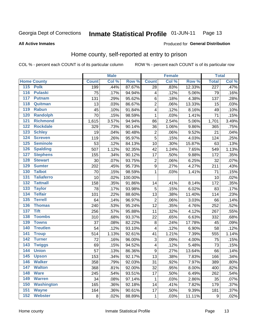#### Inmate Statistical Profile 01-JUN-11 Page 13

### **All Active Inmates**

### Produced for General Distribution

# Home county, self-reported at entry to prison

COL % - percent each COUNT is of its particular column

|                  |                    |              | <b>Male</b> |         |                         | <b>Female</b> |        | <b>Total</b>     |       |
|------------------|--------------------|--------------|-------------|---------|-------------------------|---------------|--------|------------------|-------|
|                  | <b>Home County</b> | <b>Count</b> | Col %       | Row %   | <b>Count</b>            | Col %         | Row %  | <b>Total</b>     | Col % |
|                  | 115 Polk           | 199          | .44%        | 87.67%  | 28                      | .83%          | 12.33% | $\overline{227}$ | .47%  |
| $\overline{116}$ | <b>Pulaski</b>     | 75           | .17%        | 94.94%  | 4                       | .12%          | 5.06%  | 79               | .16%  |
| 117              | <b>Putnam</b>      | 131          | .29%        | 95.62%  | $\,6$                   | .18%          | 4.38%  | 137              | .28%  |
| 118              | Quitman            | 13           | .03%        | 86.67%  | $\overline{2}$          | .06%          | 13.33% | 15               | .03%  |
| 119              | <b>Rabun</b>       | 45           | .10%        | 91.84%  | $\overline{\mathbf{4}}$ | .12%          | 8.16%  | 49               | .10%  |
| 120              | <b>Randolph</b>    | 70           | .15%        | 98.59%  | $\mathbf 1$             | .03%          | 1.41%  | 71               | .15%  |
| 121              | <b>Richmond</b>    | 1,615        | 3.57%       | 94.94%  | 86                      | 2.54%         | 5.06%  | 1,701            | 3.49% |
| 122              | <b>Rockdale</b>    | 329          | .73%        | 90.14%  | 36                      | 1.06%         | 9.86%  | 365              | .75%  |
| 123              | <b>Schley</b>      | 19           | .04%        | 90.48%  | $\overline{c}$          | .06%          | 9.52%  | 21               | .04%  |
| 124              | <b>Screven</b>     | 119          | .26%        | 95.97%  | 5                       | .15%          | 4.03%  | 124              | .25%  |
| 125              | <b>Seminole</b>    | 53           | .12%        | 84.13%  | 10                      | .30%          | 15.87% | 63               | .13%  |
| 126              | <b>Spalding</b>    | 507          | 1.12%       | 92.35%  | 42                      | 1.24%         | 7.65%  | 549              | 1.13% |
| 127              | <b>Stephens</b>    | 155          | .34%        | 90.12%  | 17                      | .50%          | 9.88%  | 172              | .35%  |
| 128              | <b>Stewart</b>     | 30           | .07%        | 93.75%  | $\overline{\mathbf{c}}$ | .06%          | 6.25%  | 32               | .07%  |
| 129              | <b>Sumter</b>      | 202          | .45%        | 95.73%  | $\overline{9}$          | .27%          | 4.27%  | 211              | .43%  |
| 130              | <b>Talbot</b>      | 70           | .15%        | 98.59%  | $\mathbf 1$             | .03%          | 1.41%  | 71               | .15%  |
| $131$            | <b>Taliaferro</b>  | 10           | .02%        | 100.00% |                         |               |        | 10               | .02%  |
| 132              | <b>Tattnall</b>    | 158          | .35%        | 91.86%  | 14                      | .41%          | 8.14%  | 172              | .35%  |
| 133              | <b>Taylor</b>      | 78           | .17%        | 93.98%  | $\sqrt{5}$              | .15%          | 6.02%  | 83               | .17%  |
| 134              | <b>Telfair</b>     | 101          | .22%        | 88.60%  | 13                      | .38%          | 11.40% | 114              | .23%  |
| 135              | <b>Terrell</b>     | 64           | .14%        | 96.97%  | $\mathbf 2$             | .06%          | 3.03%  | 66               | .14%  |
| 136              | <b>Thomas</b>      | 240          | .53%        | 95.24%  | 12                      | .35%          | 4.76%  | 252              | .52%  |
| 137              | <b>Tift</b>        | 256          | .57%        | 95.88%  | 11                      | .32%          | 4.12%  | 267              | .55%  |
| 138              | <b>Toombs</b>      | 310          | .68%        | 93.37%  | 22                      | .65%          | 6.63%  | 332              | .68%  |
| 139              | <b>Towns</b>       | 37           | .08%        | 82.22%  | $\, 8$                  | .24%          | 17.78% | 45               | .09%  |
| 140              | <b>Treutlen</b>    | 54           | .12%        | 93.10%  | 4                       | .12%          | 6.90%  | 58               | .12%  |
| 141              | <b>Troup</b>       | 514          | 1.13%       | 92.61%  | 41                      | 1.21%         | 7.39%  | 555              | 1.14% |
| 142              | <b>Turner</b>      | 72           | .16%        | 96.00%  | 3                       | .09%          | 4.00%  | 75               | .15%  |
| $\overline{143}$ | <b>Twiggs</b>      | 69           | .15%        | 94.52%  | 4                       | .12%          | 5.48%  | 73               | .15%  |
| 144              | <b>Union</b>       | 57           | .13%        | 86.36%  | $\overline{9}$          | .27%          | 13.64% | 66               | .14%  |
| 145              | <b>Upson</b>       | 153          | .34%        | 92.17%  | 13                      | .38%          | 7.83%  | 166              | .34%  |
| 146              | <b>Walker</b>      | 358          | .79%        | 92.03%  | 31                      | .92%          | 7.97%  | 389              | .80%  |
| 147              | <b>Walton</b>      | 368          | .81%        | 92.00%  | 32                      | .95%          | 8.00%  | 400              | .82%  |
| 148              | <b>Ware</b>        | 245          | .54%        | 93.51%  | 17                      | .50%          | 6.49%  | 262              | .54%  |
| 149              | <b>Warren</b>      | 34           | .08%        | 97.14%  | 1                       | .03%          | 2.86%  | 35               | .07%  |
| 150              | <b>Washington</b>  | 165          | .36%        | 92.18%  | 14                      | .41%          | 7.82%  | 179              | .37%  |
| 151              | <b>Wayne</b>       | 164          | .36%        | 90.61%  | 17                      | .50%          | 9.39%  | 181              | .37%  |
| 152              | <b>Webster</b>     | 8            | .02%        | 88.89%  | $\mathbf{1}$            | .03%          | 11.11% | $\boldsymbol{9}$ | .02%  |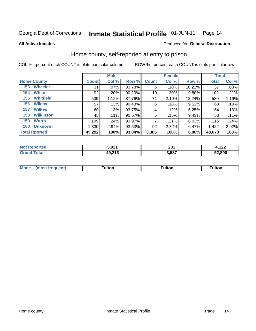#### Inmate Statistical Profile 01-JUN-11 Page 14

**All Active Inmates** 

### Produced for General Distribution

# Home county, self-reported at entry to prison

COL % - percent each COUNT is of its particular column

|                      |                  |              | <b>Male</b> |        |              | <b>Female</b> |        | <b>Total</b> |         |
|----------------------|------------------|--------------|-------------|--------|--------------|---------------|--------|--------------|---------|
| <b>Home County</b>   |                  | <b>Count</b> | Col %       | Row %  | <b>Count</b> | Col %         | Row %  | <b>Total</b> | Col %   |
| 153                  | <b>Wheeler</b>   | 31           | .07%        | 83.78% | 6            | .18%          | 16.22% | 37           | .08%    |
| 154                  | <b>White</b>     | 92           | .20%        | 90.20% | 10           | .30%          | 9.80%  | 102          | .21%    |
| 155                  | <b>Whitfield</b> | 509          | 1.12%       | 87.76% | 71           | 2.10%         | 12.24% | 580          | 1.19%   |
| 156                  | <b>Wilcox</b>    | 57           | .13%        | 90.48% | 6            | .18%          | 9.52%  | 63           | .13%    |
| 157                  | <b>Wilkes</b>    | 60           | .13%        | 93.75% | 4            | .12%          | 6.25%  | 64           | .13%    |
| 158                  | <b>Wilkinson</b> | 48           | $.11\%$     | 90.57% | 5            | .15%          | 9.43%  | 53           | $.11\%$ |
| 159                  | <b>Worth</b>     | 109          | .24%        | 93.97% | 7            | .21%          | 6.03%  | 116          | .24%    |
| 160                  | <b>Unknown</b>   | 1,330        | 2.94%       | 93.53% | 92           | 2.72%         | 6.47%  | 1,422        | 2.92%   |
| <b>Total Rported</b> |                  | 45,292       | 100%        | 93.04% | 3,386        | 100%          | 6.96%  | 48,678       | 100%    |

| oorted      | ימם ג'        | 201   | 122       |
|-------------|---------------|-------|-----------|
| n n         | $\mathcal{L}$ | ____  | 75 I د 1, |
| <b>otal</b> | 49,213        | 3,587 | 52.800    |

|  | Mode | ™ulton | ∶ulton | ™ulton |
|--|------|--------|--------|--------|
|--|------|--------|--------|--------|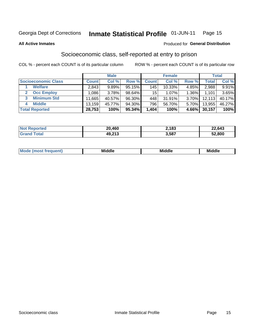#### Inmate Statistical Profile 01-JUN-11 Page 15

### **All Active Inmates**

### **Produced for General Distribution**

# Socioeconomic class, self-reported at entry to prison

COL % - percent each COUNT is of its particular column

|                       |                | <b>Male</b> |        |              | <b>Female</b> |          |        | <b>Total</b> |
|-----------------------|----------------|-------------|--------|--------------|---------------|----------|--------|--------------|
| Socioeconomic Class   | <b>Count</b> l | Col %       | Row %  | <b>Count</b> | Col %         | Row %    | Total  | Col %        |
| <b>Welfare</b>        | 2,843          | 9.89%       | 95.15% | 145          | 10.33%        | 4.85%    | 2,988  | 9.91%        |
| <b>Occ Employ</b>     | ا 086. ا       | 3.78%       | 98.64% | 15           | 1.07%         | $1.36\%$ | 1,101  | 3.65%        |
| <b>Minimum Std</b>    | 11,665         | 40.57%      | 96.30% | 448          | 31.91%        | $3.70\%$ | 12,113 | 40.17%       |
| <b>Middle</b><br>4    | 13,159         | 45.77%      | 94.30% | 796          | 56.70%        | 5.70%    | 13,955 | 46.27%       |
| <b>Total Reported</b> | 28,753         | 100%        | 95.34% | 1,404        | 100%          | 4.66%    | 30,157 | 100%         |

| <b>Not Reported</b>  | 20,460 | 2.183 | 22,643 |
|----------------------|--------|-------|--------|
| $\tau$ otal<br>Grand | 49,213 | 3,587 | 52,800 |

| ____<br>____ |
|--------------|
|--------------|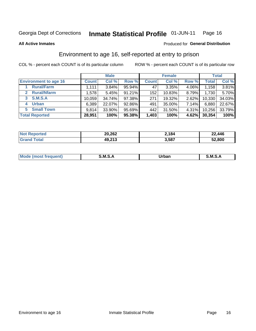#### Inmate Statistical Profile 01-JUN-11 Page 16

**All Active Inmates** 

## **Produced for General Distribution**

# Environment to age 16, self-reported at entry to prison

COL % - percent each COUNT is of its particular column

|                                      |              | <b>Male</b> |        |              | <b>Female</b> |          |        | <b>Total</b> |
|--------------------------------------|--------------|-------------|--------|--------------|---------------|----------|--------|--------------|
| <b>Environment to age 16</b>         | <b>Count</b> | Col %       | Row %  | <b>Count</b> | Col %         | Row %    | Total  | Col %        |
| <b>Rural/Farm</b>                    | 1,111        | 3.84%       | 95.94% | 47           | 3.35%         | 4.06%    | 1,158  | 3.81%        |
| <b>Rural/Nfarm</b><br>$\overline{2}$ | 1,578        | 5.45%       | 91.21% | 152          | 10.83%        | 8.79%    | 1,730  | 5.70%        |
| 3 S.M.S.A                            | 10,059       | 34.74%      | 97.38% | 271          | 19.32%        | 2.62%    | 10,330 | 34.03%       |
| <b>Urban</b><br>4                    | 6,389        | 22.07%      | 92.86% | 491          | 35.00%        | 7.14%    | 6,880  | 22.67%       |
| 5 Small Town                         | 9.814        | 33.90%      | 95.69% | 442          | 31.50%        | $4.31\%$ | 10,256 | 33.79%       |
| <b>Total Reported</b>                | 28,951       | 100%        | 95.38% | 1,403        | 100%          | 4.62%    | 30,354 | 100%         |

| <b>Not</b><br>Reported | 20,262 | 2.184 | 22,446 |
|------------------------|--------|-------|--------|
|                        | 49,213 | 3,587 | 52,800 |

| Mo | . м с | ⊣irhar<br>rpai<br>______ | M. |
|----|-------|--------------------------|----|
|    |       |                          |    |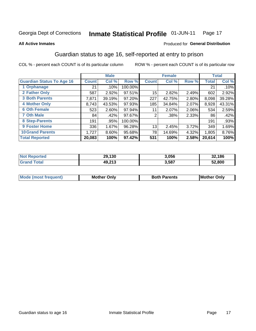#### Inmate Statistical Profile 01-JUN-11 Page 17

**All Active Inmates** 

### Produced for General Distribution

# Guardian status to age 16, self-reported at entry to prison

COL % - percent each COUNT is of its particular column

|                                  |              | <b>Male</b> |         |              | <b>Female</b> |       |        | <b>Total</b> |
|----------------------------------|--------------|-------------|---------|--------------|---------------|-------|--------|--------------|
| <b>Guardian Status To Age 16</b> | <b>Count</b> | Col %       | Row %   | <b>Count</b> | Col %         | Row % | Total  | Col %        |
| 1 Orphanage                      | 21           | .10%        | 100.00% |              |               |       | 21     | $.10\%$      |
| 2 Father Only                    | 587          | 2.92%       | 97.51%  | 15           | 2.82%         | 2.49% | 602    | 2.92%        |
| <b>3 Both Parents</b>            | 7,871        | 39.19%      | 97.20%  | 227          | 42.75%        | 2.80% | 8,098  | 39.28%       |
| <b>4 Mother Only</b>             | 8,743        | 43.53%      | 97.93%  | 185          | 34.84%        | 2.07% | 8,928  | 43.31%       |
| <b>6 Oth Female</b>              | 523          | 2.60%       | 97.94%  | 11           | 2.07%         | 2.06% | 534    | 2.59%        |
| <b>7 Oth Male</b>                | 84           | .42%        | 97.67%  | 2            | .38%          | 2.33% | 86     | .42%         |
| 8 Step-Parents                   | 191          | .95%        | 100.00% |              |               |       | 191    | .93%         |
| 9 Foster Home                    | 336          | 1.67%       | 96.28%  | 13           | 2.45%         | 3.72% | 349    | 1.69%        |
| <b>10 Grand Parents</b>          | 1,727        | 8.60%       | 95.68%  | 78           | 14.69%        | 4.32% | 1,805  | 8.76%        |
| <b>Total Reported</b>            | 20,083       | 100%        | 97.42%  | 531          | 100%          | 2.58% | 20,614 | 100%         |

| orted<br>' Not      | 29,130 | 3,056 | 32,186 |
|---------------------|--------|-------|--------|
| <b>Total</b><br>Grz | 49,213 | 3,587 | 52,800 |

| <b>Mode (most frequent)</b> | วทIv<br>- -<br>MΩ | <b>Roth</b><br>ີ <sup>ລ</sup> າrents | l Mc<br>Only<br>- - |
|-----------------------------|-------------------|--------------------------------------|---------------------|
|                             |                   |                                      |                     |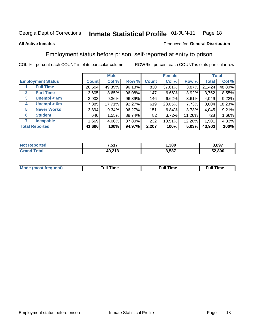#### Inmate Statistical Profile 01-JUN-11 Page 18

### **All Active Inmates**

### Produced for General Distribution

# Employment status before prison, self-reported at entry to prison

COL % - percent each COUNT is of its particular column

|                                  |              | <b>Male</b> |        |              | <b>Female</b> |          |        | <b>Total</b> |
|----------------------------------|--------------|-------------|--------|--------------|---------------|----------|--------|--------------|
| <b>Employment Status</b>         | <b>Count</b> | Col %       | Row %  | <b>Count</b> | Col %         | Row %    | Total  | Col %        |
| <b>Full Time</b>                 | 20,594       | 49.39%      | 96.13% | 830          | 37.61%        | 3.87%    | 21,424 | 48.80%       |
| <b>Part Time</b><br>$\mathbf{2}$ | 3,605        | 8.65%       | 96.08% | 147          | 6.66%         | 3.92%    | 3,752  | 8.55%        |
| Unempl $<$ 6m<br>3               | 3,903        | 9.36%       | 96.39% | 146          | 6.62%         | $3.61\%$ | 4,049  | 9.22%        |
| Unempl > 6m<br>4                 | 7,385        | 17.71%      | 92.27% | 619          | 28.05%        | 7.73%    | 8,004  | 18.23%       |
| <b>Never Workd</b><br>5          | 3,894        | 9.34%       | 96.27% | 151          | 6.84%         | 3.73%    | 4,045  | 9.21%        |
| <b>Student</b><br>6              | 646          | 1.55%       | 88.74% | 82           | 3.72%         | 11.26%   | 728    | 1.66%        |
| <b>Incapable</b>                 | .669         | 4.00%       | 87.80% | 232          | 10.51%        | 12.20%   | 1,901  | 4.33%        |
| <b>Total Reported</b>            | 41,696       | 100%        | 94.97% | 2,207        | 100%          | 5.03%    | 43,903 | 100%         |

| rteo<br>NO | 7,517              | ,380  | .897   |
|------------|--------------------|-------|--------|
| stima.     | 49.212<br>49.Z I J | 3,587 | 52.800 |

| Mc | ----<br>me<br>ш | nc<br>. |
|----|-----------------|---------|
|    |                 |         |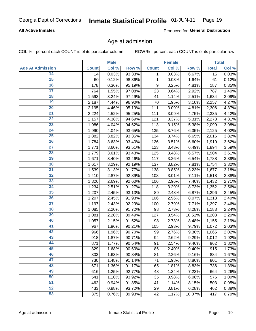## **All Active Inmates**

Produced for General Distribution

# Age at admission

COL % - percent each COUNT is of its particular column

|                         |              | <b>Male</b> |        |              | <b>Female</b> |        |              | <b>Total</b> |
|-------------------------|--------------|-------------|--------|--------------|---------------|--------|--------------|--------------|
| <b>Age At Admission</b> | <b>Count</b> | Col %       | Row %  | <b>Count</b> | Col %         | Row %  | <b>Total</b> | Col %        |
| 14                      | 14           | 0.03%       | 93.33% | 1            | 0.03%         | 6.67%  | 15           | 0.03%        |
| 15                      | 60           | 0.12%       | 98.36% | 1            | 0.03%         | 1.64%  | 61           | 0.12%        |
| 16                      | 178          | 0.36%       | 95.19% | 9            | 0.25%         | 4.81%  | 187          | 0.35%        |
| $\overline{17}$         | 764          | 1.55%       | 97.08% | 23           | 0.64%         | 2.92%  | 787          | 1.49%        |
| $\overline{18}$         | 1,593        | 3.24%       | 97.49% | 41           | 1.14%         | 2.51%  | 1,634        | 3.09%        |
| 19                      | 2,187        | 4.44%       | 96.90% | 70           | 1.95%         | 3.10%  | 2,257        | 4.27%        |
| 20                      | 2,195        | 4.46%       | 95.19% | 111          | 3.09%         | 4.81%  | 2,306        | 4.37%        |
| $\overline{21}$         | 2,224        | 4.52%       | 95.25% | 111          | 3.09%         | 4.75%  | 2,335        | 4.42%        |
| $\overline{22}$         | 2,157        | 4.38%       | 94.69% | 121          | 3.37%         | 5.31%  | 2,278        | 4.31%        |
| 23                      | 1,986        | 4.04%       | 94.62% | 113          | 3.15%         | 5.38%  | 2,099        | 3.98%        |
| 24                      | 1,990        | 4.04%       | 93.65% | 135          | 3.76%         | 6.35%  | 2,125        | 4.02%        |
| $\overline{25}$         | 1,882        | 3.82%       | 93.35% | 134          | 3.74%         | 6.65%  | 2,016        | 3.82%        |
| $\overline{26}$         | 1,784        | 3.63%       | 93.40% | 126          | 3.51%         | 6.60%  | 1,910        | 3.62%        |
| $\overline{27}$         | 1,771        | 3.60%       | 93.51% | 123          | 3.43%         | 6.49%  | 1,894        | 3.59%        |
| 28                      | 1,779        | 3.61%       | 93.43% | 125          | 3.48%         | 6.57%  | 1,904        | 3.61%        |
| 29                      | 1,671        | 3.40%       | 93.46% | 117          | 3.26%         | 6.54%  | 1,788        | 3.39%        |
| 30                      | 1,617        | 3.29%       | 92.19% | 137          | 3.82%         | 7.81%  | 1,754        | 3.32%        |
| 31                      | 1,539        | 3.13%       | 91.77% | 138          | 3.85%         | 8.23%  | 1,677        | 3.18%        |
| 32                      | 1,410        | 2.87%       | 92.89% | 108          | 3.01%         | 7.11%  | 1,518        | 2.88%        |
| 33                      | 1,326        | 2.69%       | 92.60% | 106          | 2.96%         | 7.40%  | 1,432        | 2.71%        |
| 34                      | 1,234        | 2.51%       | 91.27% | 118          | 3.29%         | 8.73%  | 1,352        | 2.56%        |
| 35                      | 1,207        | 2.45%       | 93.13% | 89           | 2.48%         | 6.87%  | 1,296        | 2.45%        |
| 36                      | 1,207        | 2.45%       | 91.93% | 106          | 2.96%         | 8.07%  | 1,313        | 2.49%        |
| $\overline{37}$         | 1,197        | 2.43%       | 92.29% | 100          | 2.79%         | 7.71%  | 1,297        | 2.46%        |
| 38                      | 1,085        | 2.20%       | 91.72% | 98           | 2.73%         | 8.28%  | 1,183        | 2.24%        |
| 39                      | 1,081        | 2.20%       | 89.49% | 127          | 3.54%         | 10.51% | 1,208        | 2.29%        |
| 40                      | 1,057        | 2.15%       | 91.52% | 98           | 2.73%         | 8.48%  | 1,155        | 2.19%        |
| 41                      | 967          | 1.96%       | 90.21% | 105          | 2.93%         | 9.79%  | 1,072        | 2.03%        |
| 42                      | 966          | 1.96%       | 90.70% | 99           | 2.76%         | 9.30%  | 1,065        | 2.02%        |
| 43                      | 918          | 1.87%       | 90.71% | 94           | 2.62%         | 9.29%  | 1,012        | 1.92%        |
| 44                      | 871          | 1.77%       | 90.54% | 91           | 2.54%         | 9.46%  | 962          | 1.82%        |
| 45                      | 829          | 1.68%       | 90.60% | 86           | 2.40%         | 9.40%  | 915          | 1.73%        |
| 46                      | 803          | 1.63%       | 90.84% | 81           | 2.26%         | 9.16%  | 884          | 1.67%        |
| 47                      | 730          | 1.48%       | 91.14% | 71           | 1.98%         | 8.86%  | 801          | 1.52%        |
| 48                      | 671          | 1.36%       | 91.17% | 65           | 1.81%         | 8.83%  | 736          | 1.39%        |
| 49                      | 616          | 1.25%       | 92.77% | 48           | 1.34%         | 7.23%  | 664          | 1.26%        |
| 50                      | 541          | 1.10%       | 93.92% | 35           | 0.98%         | 6.08%  | 576          | 1.09%        |
| 51                      | 462          | 0.94%       | 91.85% | 41           | 1.14%         | 8.15%  | 503          | 0.95%        |
| 52                      | 433          | 0.88%       | 93.72% | 29           | 0.81%         | 6.28%  | 462          | 0.88%        |
| 53                      | 375          | 0.76%       | 89.93% | 42           | 1.17%         | 10.07% | 417          | 0.79%        |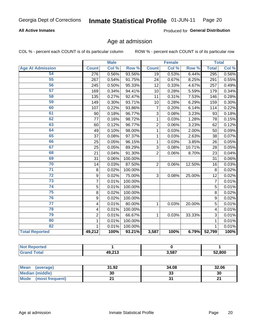## **All Active Inmates**

Produced for General Distribution

# Age at admission

COL % - percent each COUNT is of its particular column

|                         | <b>Male</b>      |       | <b>Female</b> |                |       | <b>Total</b> |              |       |
|-------------------------|------------------|-------|---------------|----------------|-------|--------------|--------------|-------|
| <b>Age At Admission</b> | <b>Count</b>     | Col % | Row %         | <b>Count</b>   | Col % | Row %        | <b>Total</b> | Col % |
| 54                      | 276              | 0.56% | 93.56%        | 19             | 0.53% | 6.44%        | 295          | 0.56% |
| 55                      | 267              | 0.54% | 91.75%        | 24             | 0.67% | 8.25%        | 291          | 0.55% |
| 56                      | 245              | 0.50% | 95.33%        | 12             | 0.33% | 4.67%        | 257          | 0.49% |
| 57                      | 169              | 0.34% | 94.41%        | 10             | 0.28% | 5.59%        | 179          | 0.34% |
| 58                      | 135              | 0.27% | 92.47%        | 11             | 0.31% | 7.53%        | 146          | 0.28% |
| 59                      | 149              | 0.30% | 93.71%        | 10             | 0.28% | 6.29%        | 159          | 0.30% |
| 60                      | 107              | 0.22% | 93.86%        | $\overline{7}$ | 0.20% | 6.14%        | 114          | 0.22% |
| 61                      | 90               | 0.18% | 96.77%        | 3              | 0.08% | 3.23%        | 93           | 0.18% |
| 62                      | 77               | 0.16% | 98.72%        | 1              | 0.03% | 1.28%        | 78           | 0.15% |
| 63                      | 60               | 0.12% | 96.77%        | $\overline{2}$ | 0.06% | 3.23%        | 62           | 0.12% |
| 64                      | 49               | 0.10% | 98.00%        | 1              | 0.03% | 2.00%        | 50           | 0.09% |
| 65                      | 37               | 0.08% | 97.37%        | 1              | 0.03% | 2.63%        | 38           | 0.07% |
| 66                      | 25               | 0.05% | 96.15%        | 1              | 0.03% | 3.85%        | 26           | 0.05% |
| 67                      | 25               | 0.05% | 89.29%        | 3              | 0.08% | 10.71%       | 28           | 0.05% |
| 68                      | 21               | 0.04% | 91.30%        | $\overline{2}$ | 0.06% | 8.70%        | 23           | 0.04% |
| 69                      | 31               | 0.06% | 100.00%       |                |       |              | 31           | 0.06% |
| 70                      | 14               | 0.03% | 87.50%        | $\overline{2}$ | 0.06% | 12.50%       | 16           | 0.03% |
| $\overline{71}$         | 8                | 0.02% | 100.00%       |                |       |              | 8            | 0.02% |
| $\overline{72}$         | $\boldsymbol{9}$ | 0.02% | 75.00%        | 3              | 0.08% | 25.00%       | 12           | 0.02% |
| $\overline{73}$         | $\overline{7}$   | 0.01% | 100.00%       |                |       |              | 7            | 0.01% |
| 74                      | 5                | 0.01% | 100.00%       |                |       |              | 5            | 0.01% |
| 75                      | 8                | 0.02% | 100.00%       |                |       |              | 8            | 0.02% |
| 76                      | 9                | 0.02% | 100.00%       |                |       |              | 9            | 0.02% |
| 77                      | 4                | 0.01% | 80.00%        | 1              | 0.03% | 20.00%       | 5            | 0.01% |
| 78                      | 4                | 0.01% | 100.00%       |                |       |              | 4            | 0.01% |
| 79                      | $\overline{2}$   | 0.01% | 66.67%        | 1              | 0.03% | 33.33%       | 3            | 0.01% |
| 80                      | $\mathbf{1}$     | 0.01% | 100.00%       |                |       |              | $\mathbf{1}$ | 0.01% |
| $\overline{82}$         | 1                | 0.01% | 100.00%       |                |       |              | 1            | 0.01% |
| <b>Total Reported</b>   | 49,212           | 100%  | 93.21%        | 3,587          | 100%  | 6.79%        | 52,799       | 100%  |

| тес.<br>N    |                    |       |        |
|--------------|--------------------|-------|--------|
| <b>cotal</b> | 10.213<br>79.Z I J | 3,587 | 52,800 |

| Mean<br>(average)       | 31.92 | 34.08   | 32.06 |
|-------------------------|-------|---------|-------|
| Median (middle)         | 30    | ົ<br>აა | 30    |
| Mode<br>(most frequent) |       |         | ົ     |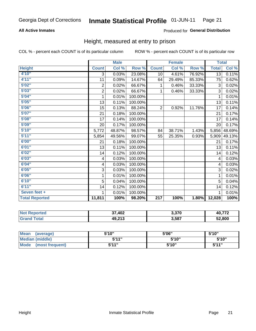# **All Active Inmates**

### Produced for General Distribution

# Height, measured at entry to prison

COL % - percent each COUNT is of its particular column

|                       | <b>Male</b>      |        |         | <b>Female</b>    |        |        | <b>Total</b>    |        |
|-----------------------|------------------|--------|---------|------------------|--------|--------|-----------------|--------|
| <b>Height</b>         | <b>Count</b>     | Col %  | Row %   | <b>Count</b>     | Col %  | Row %  | <b>Total</b>    | Col %  |
| 4'10"                 | 3                | 0.03%  | 23.08%  | 10               | 4.61%  | 76.92% | $\overline{13}$ | 0.11%  |
| 4'11''                | 11               | 0.09%  | 14.67%  | 64               | 29.49% | 85.33% | 75              | 0.62%  |
| 5'02"                 | $\boldsymbol{2}$ | 0.02%  | 66.67%  | 1                | 0.46%  | 33.33% | $\sqrt{3}$      | 0.02%  |
| 5'03''                | $\overline{2}$   | 0.02%  | 66.67%  | 1                | 0.46%  | 33.33% | 3               | 0.02%  |
| 5'04"                 | 1                | 0.01%  | 100.00% |                  |        |        |                 | 0.01%  |
| 5'05''                | 13               | 0.11%  | 100.00% |                  |        |        | 13              | 0.11%  |
| 5'06''                | 15               | 0.13%  | 88.24%  | $\overline{2}$   | 0.92%  | 11.76% | 17              | 0.14%  |
| 5'07''                | 21               | 0.18%  | 100.00% |                  |        |        | 21              | 0.17%  |
| 5'08''                | 17               | 0.14%  | 100.00% |                  |        |        | 17              | 0.14%  |
| 5'09''                | 20               | 0.17%  | 100.00% |                  |        |        | 20              | 0.17%  |
| 5'10''                | 5,772            | 48.87% | 98.57%  | 84               | 38.71% | 1.43%  | 5,856           | 48.69% |
| 5'11''                | 5,854            | 49.56% | 99.07%  | 55               | 25.35% | 0.93%  | 5,909           | 49.13% |
| 6'00''                | 21               | 0.18%  | 100.00% |                  |        |        | 21              | 0.17%  |
| 6'01''                | 13               | 0.11%  | 100.00% |                  |        |        | 13              | 0.11%  |
| 6'02''                | 14               | 0.12%  | 100.00% |                  |        |        | 14              | 0.12%  |
| 6'03''                | $\overline{4}$   | 0.03%  | 100.00% |                  |        |        | 4               | 0.03%  |
| 6'04''                | 4                | 0.03%  | 100.00% |                  |        |        | 4               | 0.03%  |
| 6'05''                | 3                | 0.03%  | 100.00% |                  |        |        | 3               | 0.02%  |
| 6'06''                | 1                | 0.01%  | 100.00% |                  |        |        |                 | 0.01%  |
| 6'10''                | 5                | 0.04%  | 100.00% |                  |        |        | 5               | 0.04%  |
| 6'11''                | 14               | 0.12%  | 100.00% |                  |        |        | 14              | 0.12%  |
| Seven feet +          | 1                | 0.01%  | 100.00% |                  |        |        |                 | 0.01%  |
| <b>Total Reported</b> | 11,811           | 100%   | 98.20%  | $\overline{217}$ | 100%   | 1.80%  | 12,028          | 100%   |

| <b>Reported</b><br>' NOT | 37,402 | 2 27N<br>ง.ง เ บ | $40.77^{\circ}$ |
|--------------------------|--------|------------------|-----------------|
| $-$ Gre $-$              | 49,213 | 3,587            | 52,800          |

| Mean<br>(average)              | 5'10" | 5'06" | 5'10"        |
|--------------------------------|-------|-------|--------------|
| Median (middle)                | 544"  | 5'10" | 5'10''       |
| <b>Mode</b><br>(most frequent) | 5'11" | 5'10" | <b>5'44"</b> |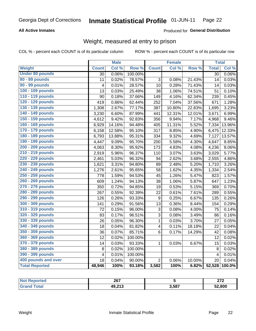# **All Active Inmates**

### Produced for General Distribution

# Weight, measured at entry to prison

COL % - percent each COUNT is of its particular column

|                        |                         | <b>Male</b> |                  |                         | <b>Female</b> |                  | <b>Total</b>   |        |
|------------------------|-------------------------|-------------|------------------|-------------------------|---------------|------------------|----------------|--------|
| Weight                 | <b>Count</b>            | Col %       | Row <sup>%</sup> | <b>Count</b>            | Col %         | Row <sup>%</sup> | <b>Total</b>   | Col %  |
| <b>Under 80 pounds</b> | 30                      | 0.06%       | 100.00%          |                         |               |                  | 30             | 0.06%  |
| 80 - 89 pounds         | 11                      | 0.02%       | 78.57%           | 3                       | 0.08%         | 21.43%           | 14             | 0.03%  |
| 90 - 99 pounds         | 4                       | 0.01%       | 28.57%           | 10                      | 0.28%         | 71.43%           | 14             | 0.03%  |
| 100 - 109 pounds       | 13                      | 0.03%       | 25.49%           | 38                      | 1.06%         | 74.51%           | 51             | 0.10%  |
| 110 - 119 pounds       | 90                      | 0.18%       | 37.66%           | 149                     | 4.16%         | 62.34%           | 239            | 0.45%  |
| 120 - 129 pounds       | 419                     | 0.86%       | 62.44%           | 252                     | 7.04%         | 37.56%           | 671            | 1.28%  |
| 130 - 139 pounds       | 1,308                   | 2.67%       | 77.17%           | 387                     | 10.80%        | 22.83%           | 1,695          | 3.23%  |
| 140 - 149 pounds       | 3,230                   | 6.60%       | 87.99%           | 441                     | 12.31%        | 12.01%           | 3,671          | 6.99%  |
| 150 - 159 pounds       | 4,612                   | 9.42%       | 92.83%           | 356                     | 9.94%         | 7.17%            | 4,968          | 9.46%  |
| 160 - 169 pounds       | 6,929                   | 14.16%      | 94.48%           | 405                     | 11.31%        | 5.52%            | 7,334          | 13.96% |
| 170 - 179 pounds       | 6,158                   | 12.58%      | 95.10%           | 317                     | 8.85%         | 4.90%            | 6,475          | 12.33% |
| 180 - 189 pounds       | 6,793                   | 13.88%      | 95.31%           | 334                     | 9.32%         | 4.69%            | 7,127          | 13.57% |
| 190 - 199 pounds       | 4,447                   | 9.09%       | 95.70%           | 200                     | 5.58%         | 4.30%            | 4,647          | 8.85%  |
| 200 - 209 pounds       | 4,063                   | 8.30%       | 95.92%           | 173                     | 4.83%         | 4.08%            | 4,236          | 8.06%  |
| 210 - 219 pounds       | 2,919                   | 5.96%       | 96.37%           | 110                     | 3.07%         | 3.63%            | 3,029          | 5.77%  |
| 220 - 229 pounds       | 2,461                   | 5.03%       | 96.32%           | 94                      | 2.62%         | 3.68%            | 2,555          | 4.86%  |
| 230 - 239 pounds       | 1,621                   | 3.31%       | 94.80%           | 89                      | 2.48%         | 5.20%            | 1,710          | 3.26%  |
| 240 - 249 pounds       | 1,276                   | 2.61%       | 95.65%           | 58                      | 1.62%         | 4.35%            | 1,334          | 2.54%  |
| 250 - 259 pounds       | 778                     | 1.59%       | 94.53%           | 45                      | 1.26%         | 5.47%            | 823            | 1.57%  |
| 260 - 269 pounds       | 609                     | 1.24%       | 94.13%           | 38                      | 1.06%         | 5.87%            | 647            | 1.23%  |
| 270 - 279 pounds       | 350                     | 0.72%       | 94.85%           | 19                      | 0.53%         | 5.15%            | 369            | 0.70%  |
| 280 - 289 pounds       | 267                     | 0.55%       | 92.39%           | 22                      | 0.61%         | 7.61%            | 289            | 0.55%  |
| 290 - 299 pounds       | 126                     | 0.26%       | 93.33%           | 9                       | 0.25%         | 6.67%            | 135            | 0.26%  |
| 300 - 309 pounds       | 141                     | 0.29%       | 91.56%           | 13                      | 0.36%         | 8.44%            | 154            | 0.29%  |
| 310 - 319 pounds       | 72                      | 0.15%       | 96.00%           | 3                       | 0.08%         | 4.00%            | 75             | 0.14%  |
| 320 - 329 pounds       | 83                      | 0.17%       | 96.51%           | $\overline{3}$          | 0.08%         | 3.49%            | 86             | 0.16%  |
| 330 - 339 pounds       | 26                      | 0.05%       | 96.30%           | 1                       | 0.03%         | 3.70%            | 27             | 0.05%  |
| 340 - 349 pounds       | 18                      | 0.04%       | 81.82%           | $\overline{\mathbf{4}}$ | 0.11%         | 18.18%           | 22             | 0.04%  |
| 350 - 359 pounds       | 36                      | 0.07%       | 85.71%           | 6                       | 0.17%         | 14.29%           | 42             | 0.08%  |
| 360 - 369 pounds       | 12                      | 0.02%       | 100.00%          |                         |               |                  | 12             | 0.02%  |
| 370 - 379 pounds       | 14                      | 0.03%       | 93.33%           | $\mathbf{1}$            | 0.03%         | 6.67%            | 15             | 0.03%  |
| 380 - 389 pounds       | 8                       | 0.02%       | 100.00%          |                         |               |                  | 8              | 0.02%  |
| 390 - 399 pounds       | $\overline{\mathbf{4}}$ | 0.01%       | 100.00%          |                         |               |                  | $\overline{4}$ | 0.01%  |
| 400 pounds and over    | 18                      | 0.04%       | 90.00%           | $\overline{2}$          | 0.06%         | 10.00%           | 20             | 0.04%  |
| <b>Total Reported</b>  | 48,946                  | 100%        | 93.18%           | 3,582                   | 100%          | 6.82%            | 52,528         | 100.0% |

| วrteo<br>N | 267    |       | 0.70   |
|------------|--------|-------|--------|
| 'otal      | 49,213 | 3,587 | 52,800 |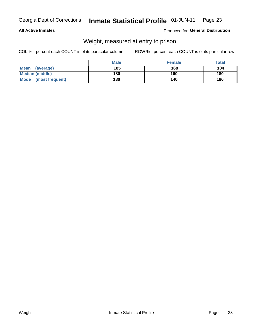### **All Active Inmates**

### Produced for General Distribution

# Weight, measured at entry to prison

COL % - percent each COUNT is of its particular column

|                          | <b>Male</b> | <b>Female</b> | Total |
|--------------------------|-------------|---------------|-------|
| <b>Mean</b><br>(average) | 185         | 168           | 184   |
| <b>Median (middle)</b>   | 180         | 160           | 180   |
| Mode<br>(most frequent)  | 180         | 140           | 180   |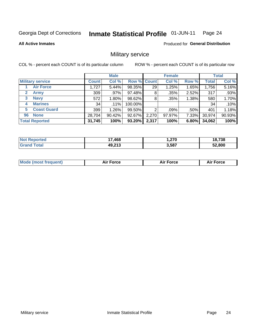#### Inmate Statistical Profile 01-JUN-11 Page 24

**All Active Inmates** 

**Produced for General Distribution** 

# Military service

COL % - percent each COUNT is of its particular column

|                             | <b>Male</b>  |          |             | <b>Female</b> |        |       | <b>Total</b> |        |
|-----------------------------|--------------|----------|-------------|---------------|--------|-------|--------------|--------|
| <b>Military service</b>     | <b>Count</b> | Col %    | Row % Count |               | Col %  | Row % | <b>Total</b> | Col %  |
| <b>Air Force</b>            | 1,727        | 5.44%    | 98.35%      | 29            | 1.25%  | 1.65% | 1,756        | 5.16%  |
| $\mathbf{2}$<br><b>Army</b> | 309          | $.97\%$  | 97.48%      | 8             | .35%   | 2.52% | 317          | .93%   |
| <b>Navy</b><br>3            | 572          | $1.80\%$ | 98.62%      | 8             | .35%   | 1.38% | 580          | 1.70%  |
| <b>Marines</b><br>4         | 34           | $.11\%$  | 100.00%     |               |        |       | 34           | .10%   |
| <b>Coast Guard</b><br>5     | 399          | $1.26\%$ | 99.50%      | 2             | .09%   | .50%  | 401          | 1.18%  |
| <b>None</b><br>96           | 28,704       | 90.42%   | 92.67%      | 2,270         | 97.97% | 7.33% | 30,974       | 90.93% |
| <b>Total Reported</b>       | 31,745       | 100%     | 93.20%      | 2,317         | 100%   | 6.80% | 34,062       | 100%   |

| rted | .468<br>. . | 270, ا | 18,738 |
|------|-------------|--------|--------|
|      | 49,213      | 3,587  | 52.800 |

| <b>Mode (most frequent)</b> | <b>Air Force</b> | <b>Force</b> | <b>Force</b><br>Aır |
|-----------------------------|------------------|--------------|---------------------|
|                             |                  |              |                     |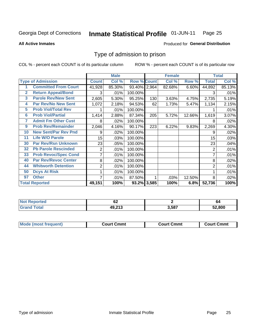#### **Inmate Statistical Profile 01-JUN-11** Page 25

### **All Active Inmates**

# **Produced for General Distribution**

# Type of admission to prison

COL % - percent each COUNT is of its particular column

|                |                             |                | <b>Male</b> |                    |     |        | <b>Female</b> |                | <b>Total</b> |
|----------------|-----------------------------|----------------|-------------|--------------------|-----|--------|---------------|----------------|--------------|
|                | <b>Type of Admission</b>    | <b>Count</b>   | Col %       | <b>Row % Count</b> |     | Col %  | Row %         | Total          | Col %        |
|                | <b>Committed From Court</b> | 41,928         | 85.30%      | 93.40% 2,964       |     | 82.68% | 6.60%         | 44,892         | 85.13%       |
| $\mathbf{2}$   | <b>Return Appeal/Bond</b>   | 3              | .01%        | 100.00%            |     |        |               | 3              | .01%         |
| 3              | <b>Parole Rev/New Sent</b>  | 2,605          | 5.30%       | 95.25%             | 130 | 3.63%  | 4.75%         | 2,735          | 5.19%        |
| 4              | <b>Par Rev/No New Sent</b>  | 1,072          | 2.18%       | 94.53%             | 62  | 1.73%  | 5.47%         | 1,134          | 2.15%        |
| 5              | <b>Prob Viol/Total Rev</b>  |                | .01%        | 100.00%            |     |        |               |                | .01%         |
| $6\phantom{a}$ | <b>Prob Viol/Partial</b>    | 1,414          | 2.88%       | 87.34%             | 205 | 5.72%  | 12.66%        | 1,619          | 3.07%        |
| 7              | <b>Admit Fm Other Cust</b>  | 8              | .02%        | 100.00%            |     |        |               | 8              | .02%         |
| 9              | <b>Prob Rev/Remainder</b>   | 2,046          | 4.16%       | 90.17%             | 223 | 6.22%  | 9.83%         | 2,269          | 4.30%        |
| 10             | <b>New Sent/Par Rev Pnd</b> | 9              | .02%        | 100.00%            |     |        |               | 9              | .02%         |
| 11             | <b>Life W/O Parole</b>      | 15             | .03%        | 100.00%            |     |        |               | 15             | .03%         |
| 30             | <b>Par Rev/Rsn Unknown</b>  | 23             | .05%        | 100.00%            |     |        |               | 23             | .04%         |
| 32             | <b>Pb Parole Rescinded</b>  | 2              | .01%        | 100.00%            |     |        |               | 2              | .01%         |
| 33             | <b>Prob Revoc/Spec Cond</b> | 7              | .01%        | 100.00%            |     |        |               | 7              | .01%         |
| 40             | <b>Par Rev/Revoc Center</b> | 8              | .02%        | 100.00%            |     |        |               | 8              | .02%         |
| 44             | <b>Whitworth Detention</b>  | $\overline{2}$ | .01%        | 100.00%            |     |        |               | $\overline{2}$ | .01%         |
| 50             | <b>Dcys At Risk</b>         |                | .01%        | 100.00%            |     |        |               |                | .01%         |
| 97             | <b>Other</b>                | 7              | .01%        | 87.50%             |     | .03%   | 12.50%        | 8              | .02%         |
|                | <b>Total Reported</b>       | 49,151         | 100%        | 93.2% 3,585        |     | 100%   | 6.8%          | 52,736         | 100%         |

| <b>Not</b><br>Reported        | $\overline{\phantom{a}}$<br>VZ |       | O4     |  |  |
|-------------------------------|--------------------------------|-------|--------|--|--|
| <b>Total</b><br><b>'Grand</b> | 49,213                         | 3,587 | 52.800 |  |  |

| <b>Mode (most frequent)</b> | Court Cmmt | <b>Court Cmmt</b> | Court Cmmt |
|-----------------------------|------------|-------------------|------------|
|                             |            |                   |            |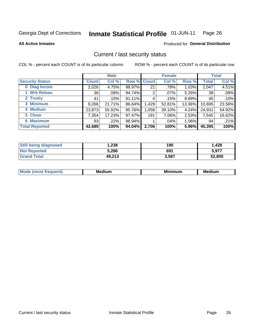#### Inmate Statistical Profile 01-JUN-11 Page 26

### **All Active Inmates**

# **Produced for General Distribution**

# Current / last security status

COL % - percent each COUNT is of its particular column

|                        |              | <b>Male</b> |             |       | <b>Female</b> |          |              | <b>Total</b> |
|------------------------|--------------|-------------|-------------|-------|---------------|----------|--------------|--------------|
| <b>Security Status</b> | <b>Count</b> | Col %       | Row % Count |       | Col %         | Row %    | <b>Total</b> | Col %        |
| 0 Diag Incom           | 2,026        | 4.75%       | 98.97%      | 21    | .78%          | 1.03%    | 2,047        | 4.51%        |
| 1 Wrk Releas           | 36           | .08%        | 94.74%      | 2     | $.07\%$       | 5.26%    | 38           | .08%         |
| 2 Trusty               | 41           | .10%        | 91.11%      | 4     | .15%          | $8.89\%$ | 45           | .10%         |
| 3 Minimum              | 9,266        | 21.71%      | 86.64%      | 1,429 | 52.81%        | 13.36%   | 10,695       | 23.56%       |
| 4 Medium               | 23,873       | 55.92%      | 95.76%      | 1,058 | 39.10%        | 4.24%    | 24,931       | 54.92%       |
| 5 Close                | 7,354        | 17.23%      | 97.47%      | 191   | 7.06%         | 2.53%    | 7,545        | 16.62%       |
| 6 Maximum              | 93           | $.22\%$     | $98.94\%$   | 4     | .04%          | $1.06\%$ | 94           | .21%         |
| <b>Total Reported</b>  | 42,689       | 100%        | 94.04%      | 2,706 | 100%          | 5.96%    | 45,395       | 100%         |

| <b>Still being diagnosed</b> | .238   | 190   | 1,428  |
|------------------------------|--------|-------|--------|
| <b>Not Reported</b>          | 5,286  | 691   | 5,977  |
| <b>Grand Total</b>           | 49,213 | 3,587 | 52,800 |

| Mo | M<br>--<br>ıum | .<br>un | ■■■<br>---<br>--------<br>$\sim$ |
|----|----------------|---------|----------------------------------|
|    |                |         |                                  |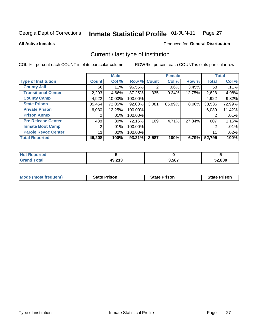#### Inmate Statistical Profile 01-JUN-11 Page 27

**All Active Inmates** 

# Produced for General Distribution

# Current / last type of institution

COL % - percent each COUNT is of its particular column

|                            |                | <b>Male</b> |             |                | <b>Female</b> |        |              | <b>Total</b> |
|----------------------------|----------------|-------------|-------------|----------------|---------------|--------|--------------|--------------|
| <b>Type of Institution</b> | <b>Count</b>   | Col %       | Row % Count |                | Col %         | Row %  | <b>Total</b> | Col %        |
| <b>County Jail</b>         | 56             | .11%        | 96.55%      | $\overline{2}$ | $.06\%$       | 3.45%  | 58           | .11%         |
| <b>Transitional Center</b> | 2,293          | 4.66%       | 87.25%      | 335            | 9.34%         | 12.75% | 2,628        | 4.98%        |
| <b>County Camp</b>         | 4,922          | 10.00%      | 100.00%     |                |               |        | 4,922        | 9.32%        |
| <b>State Prison</b>        | 35,454         | 72.05%      | 92.00%      | 3,081          | 85.89%        | 8.00%  | 38,535       | 72.99%       |
| <b>Private Prison</b>      | 6,030          | 12.25%      | 100.00%     |                |               |        | 6,030        | 11.42%       |
| <b>Prison Annex</b>        | $\overline{2}$ | .01%        | 100.00%     |                |               |        | 2            | .01%         |
| <b>Pre Release Center</b>  | 438            | .89%        | 72.16%      | 169            | 4.71%         | 27.84% | 607          | 1.15%        |
| <b>Inmate Boot Camp</b>    | $\overline{2}$ | .01%        | 100.00%     |                |               |        | 2            | .01%         |
| <b>Parole Revoc Center</b> | 11             | .02%        | 100.00%     |                |               |        | 11           | .02%         |
| <b>Total Reported</b>      | 49,208         | 100%        | 93.21%      | 3,587          | 100%          | 6.79%  | 52,795       | 100%         |

| orted<br>NOT  |        |       |        |
|---------------|--------|-------|--------|
| <b>c</b> otal | 49,213 | 3,587 | 52,800 |

| <b>Mode (most frequent)</b> | <b>State Prison</b> | <b>State Prison</b> | <b>State Prison</b> |
|-----------------------------|---------------------|---------------------|---------------------|
|                             |                     |                     |                     |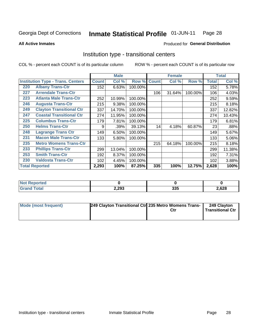#### Inmate Statistical Profile 01-JUN-11 Page 28

**All Active Inmates** 

### Produced for General Distribution

# Institution type - transitional centers

COL % - percent each COUNT is of its particular column

|     |                                          |              | <b>Male</b> |         | <b>Female</b> |        |         | <b>Total</b> |        |
|-----|------------------------------------------|--------------|-------------|---------|---------------|--------|---------|--------------|--------|
|     | <b>Institution Type - Trans. Centers</b> | <b>Count</b> | Col %       | Row %   | <b>Count</b>  | Col %  | Row %   | <b>Total</b> | Col %  |
| 220 | <b>Albany Trans-Ctr</b>                  | 152          | 6.63%       | 100.00% |               |        |         | 152          | 5.78%  |
| 227 | <b>Arrendale Trans-Ctr</b>               |              |             |         | 106           | 31.64% | 100.00% | 106          | 4.03%  |
| 223 | <b>Atlanta Male Trans-Ctr</b>            | 252          | 10.99%      | 100.00% |               |        |         | 252          | 9.59%  |
| 246 | <b>Augusta Trans-Ctr</b>                 | 215          | 9.38%       | 100.00% |               |        |         | 215          | 8.18%  |
| 249 | <b>Clayton Transitional Ctr</b>          | 337          | 14.70%      | 100.00% |               |        |         | 337          | 12.82% |
| 247 | <b>Coastal Transitional Ctr</b>          | 274          | 11.95%      | 100.00% |               |        |         | 274          | 10.43% |
| 225 | <b>Columbus Trans-Ctr</b>                | 179          | 7.81%       | 100.00% |               |        |         | 179          | 6.81%  |
| 250 | <b>Helms Trans-Ctr</b>                   | 9            | .39%        | 39.13%  | 14            | 4.18%  | 60.87%  | 23           | .88%   |
| 248 | <b>Lagrange Trans Ctr</b>                | 149          | 6.50%       | 100.00% |               |        |         | 149          | 5.67%  |
| 231 | <b>Macon Male Trans-Ctr</b>              | 133          | 5.80%       | 100.00% |               |        |         | 133          | 5.06%  |
| 235 | <b>Metro Womens Trans-Ctr</b>            |              |             |         | 215           | 64.18% | 100.00% | 215          | 8.18%  |
| 233 | <b>Phillips Trans-Ctr</b>                | 299          | 13.04%      | 100.00% |               |        |         | 299          | 11.38% |
| 253 | <b>Smith Trans-Ctr</b>                   | 192          | 8.37%       | 100.00% |               |        |         | 192          | 7.31%  |
| 230 | <b>Valdosta Trans-Ctr</b>                | 102          | 4.45%       | 100.00% |               |        |         | 102          | 3.88%  |
|     | <b>Total Reported</b>                    | 2,293        | 100%        | 87.25%  | 335           | 100%   | 12.75%  | 2,628        | 100%   |

| NOT<br>rtea |       |            |       |
|-------------|-------|------------|-------|
|             | 2,293 | 22E<br>ააა | 2,628 |

| Mode (most frequent) | 249 Clayton Transitional Ctr 235 Metro Womens Trans- | Ctr | 249 Clayton<br>Transitional Ctr |
|----------------------|------------------------------------------------------|-----|---------------------------------|
|                      |                                                      |     |                                 |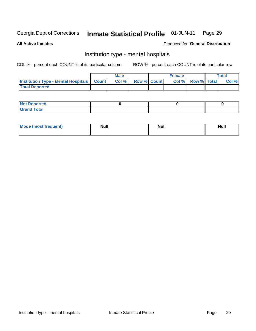#### Inmate Statistical Profile 01-JUN-11 Page 29

### **All Active Inmates**

### Produced for General Distribution

# Institution type - mental hospitals

COL % - percent each COUNT is of its particular column

|                                                  | Male |      |                    | <b>Female</b> |  |                   | <b>Total</b> |       |
|--------------------------------------------------|------|------|--------------------|---------------|--|-------------------|--------------|-------|
| <b>Institution Type - Mental Hospitals Count</b> |      | Col% | <b>Row % Count</b> |               |  | Col % Row % Total |              | Col % |
| <b>Total Reported</b>                            |      |      |                    |               |  |                   |              |       |

| <b>Not Reported</b>                     |  |  |
|-----------------------------------------|--|--|
| <b>otal</b><br>C <sub>r</sub><br>______ |  |  |

| Mode.<br>frequent) | <b>Nul</b><br>_____ | <b>Null</b> | <b>Null</b> |
|--------------------|---------------------|-------------|-------------|
|                    |                     |             |             |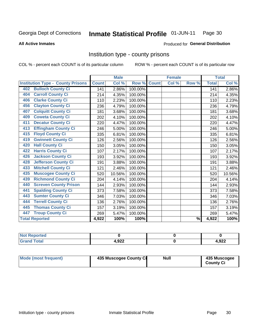#### Inmate Statistical Profile 01-JUN-11 Page 30

### **All Active Inmates**

### **Produced for General Distribution**

# Institution type - county prisons

COL % - percent each COUNT is of its particular column

|                                          |              | <b>Male</b> |         |              | <b>Female</b> |                          |              | <b>Total</b> |
|------------------------------------------|--------------|-------------|---------|--------------|---------------|--------------------------|--------------|--------------|
| <b>Institution Type - County Prisons</b> | <b>Count</b> | Col %       | Row %   | <b>Count</b> | Col %         | Row %                    | <b>Total</b> | Col %        |
| <b>Bulloch County Ci</b><br>402          | 141          | 2.86%       | 100.00% |              |               |                          | 141          | 2.86%        |
| <b>Carroll County Ci</b><br>404          | 214          | 4.35%       | 100.00% |              |               |                          | 214          | 4.35%        |
| <b>Clarke County Ci</b><br>406           | 110          | 2.23%       | 100.00% |              |               |                          | 110          | 2.23%        |
| <b>Clayton County Ci</b><br>456          | 236          | 4.79%       | 100.00% |              |               |                          | 236          | 4.79%        |
| <b>Colquitt County Ci</b><br>407         | 181          | 3.68%       | 100.00% |              |               |                          | 181          | 3.68%        |
| <b>Coweta County Ci</b><br>409           | 202          | 4.10%       | 100.00% |              |               |                          | 202          | 4.10%        |
| <b>Decatur County Ci</b><br>411          | 220          | 4.47%       | 100.00% |              |               |                          | 220          | 4.47%        |
| <b>Effingham County Ci</b><br>413        | 246          | 5.00%       | 100.00% |              |               |                          | 246          | 5.00%        |
| <b>Floyd County Ci</b><br>415            | 335          | 6.81%       | 100.00% |              |               |                          | 335          | 6.81%        |
| <b>Gwinnett County Ci</b><br>419         | 126          | 2.56%       | 100.00% |              |               |                          | 126          | 2.56%        |
| <b>Hall County Ci</b><br>420             | 150          | 3.05%       | 100.00% |              |               |                          | 150          | 3.05%        |
| <b>Harris County Ci</b><br>422           | 107          | 2.17%       | 100.00% |              |               |                          | 107          | 2.17%        |
| <b>Jackson County Ci</b><br>426          | 193          | 3.92%       | 100.00% |              |               |                          | 193          | 3.92%        |
| <b>Jefferson County Ci</b><br>428        | 191          | 3.88%       | 100.00% |              |               |                          | 191          | 3.88%        |
| <b>Mitchell County Ci</b><br>433         | 121          | 2.46%       | 100.00% |              |               |                          | 121          | 2.46%        |
| <b>Muscogee County Ci</b><br>435         | 520          | 10.56%      | 100.00% |              |               |                          | 520          | 10.56%       |
| <b>Richmond County Ci</b><br>439         | 204          | 4.14%       | 100.00% |              |               |                          | 204          | 4.14%        |
| <b>Screven County Prison</b><br>440      | 144          | 2.93%       | 100.00% |              |               |                          | 144          | 2.93%        |
| <b>Spalding County Ci</b><br>441         | 373          | 7.58%       | 100.00% |              |               |                          | 373          | 7.58%        |
| <b>Sumter County Ci</b><br>443           | 346          | 7.03%       | 100.00% |              |               |                          | 346          | 7.03%        |
| <b>Terrell County Ci</b><br>444          | 136          | 2.76%       | 100.00% |              |               |                          | 136          | 2.76%        |
| <b>Thomas County Ci</b><br>445           | 157          | 3.19%       | 100.00% |              |               |                          | 157          | 3.19%        |
| <b>Troup County Ci</b><br>447            | 269          | 5.47%       | 100.00% |              |               |                          | 269          | 5.47%        |
| <b>Total Reported</b>                    | 4,922        | 100%        | 100%    |              |               | $\overline{\frac{9}{6}}$ | 4,922        | 100%         |

| <b>Not</b><br>Reported       |       |       |
|------------------------------|-------|-------|
| <b>Total</b><br><b>Grand</b> | 1,922 | 4,922 |

| Mode (most frequent) | 435 Muscogee County Ci | <b>Null</b> | 435 Muscogee<br><b>County Ci</b> |
|----------------------|------------------------|-------------|----------------------------------|
|----------------------|------------------------|-------------|----------------------------------|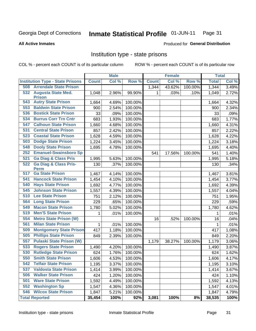#### Inmate Statistical Profile 01-JUN-11 Page 31

### **All Active Inmates**

### Produced for General Distribution

# Institution type - state prisons

COL % - percent each COUNT is of its particular column

|     |                                                 |              | <b>Male</b> |         |              | <b>Female</b> |         | <b>Total</b> |       |
|-----|-------------------------------------------------|--------------|-------------|---------|--------------|---------------|---------|--------------|-------|
|     | <b>Institution Type - State Prisons</b>         | <b>Count</b> | Col %       | Row %   | <b>Count</b> | Col %         | Row %   | <b>Total</b> | Col % |
| 508 | <b>Arrendale State Prison</b>                   |              |             |         | 1,344        | 43.62%        | 100.00% | 1,344        | 3.49% |
|     | 532 Augusta State Med.<br><b>Prison</b>         | 1,048        | 2.96%       | 99.90%  | 1.           | .03%          | .10%    | 1,049        | 2.72% |
| 543 | <b>Autry State Prison</b>                       | 1,664        | 4.69%       | 100.00% |              |               |         | 1,664        | 4.32% |
| 553 | <b>Baldwin State Prison</b>                     | 900          | 2.54%       | 100.00% |              |               |         | 900          | 2.34% |
| 536 | <b>Bostick State Prison</b>                     | 33           | .09%        | 100.00% |              |               |         | 33           | .09%  |
| 534 | <b>Burrus Corr Trn Cntr</b>                     | 683          | 1.93%       | 100.00% |              |               |         | 683          | 1.77% |
| 547 | <b>Calhoun State Prison</b>                     | 1,660        | 4.68%       | 100.00% |              |               |         | 1,660        | 4.31% |
| 531 | <b>Central State Prison</b>                     | 857          | 2.42%       | 100.00% |              |               |         | 857          | 2.22% |
| 523 | <b>Coastal State Prison</b>                     | 1,628        | 4.59%       | 100.00% |              |               |         | 1,628        | 4.22% |
| 503 | <b>Dodge State Prison</b>                       | 1,224        | 3.45%       | 100.00% |              |               |         | 1,224        | 3.18% |
| 548 | <b>Dooly State Prison</b>                       | 1,695        | 4.78%       | 100.00% |              |               |         | 1,695        | 4.40% |
| 252 | <b>Emanuel-Swainsboro Sp</b>                    |              |             |         | 541          | 17.56%        | 100.00% | 541          | 1.40% |
| 521 | <b>Ga Diag &amp; Class Pris</b>                 | 1,995        | 5.63%       | 100.00% |              |               |         | 1,995        | 5.18% |
| 522 | <b>Ga Diag &amp; Class Pris-</b><br><b>Perm</b> | 130          | .37%        | 100.00% |              |               |         | 130          | .34%  |
| 517 | <b>Ga State Prison</b>                          | 1,467        | 4.14%       | 100.00% |              |               |         | 1,467        | 3.81% |
| 541 | <b>Hancock State Prison</b>                     | 1,454        | 4.10%       | 100.00% |              |               |         | 1,454        | 3.77% |
| 540 | <b>Hays State Prison</b>                        | 1,692        | 4.77%       | 100.00% |              |               |         | 1,692        | 4.39% |
| 545 | <b>Johnson State Prison</b>                     | 1,557        | 4.39%       | 100.00% |              |               |         | 1,557        | 4.04% |
| 510 | <b>Lee State Prison</b>                         | 751          | 2.12%       | 100.00% |              |               |         | 751          | 1.95% |
| 564 | <b>Long State Prison</b>                        | 229          | .65%        | 100.00% |              |               |         | 229          | .59%  |
| 549 | <b>Macon State Prison</b>                       | 1,780        | 5.02%       | 100.00% |              |               |         | 1,780        | 4.62% |
| 519 | <b>Men'S State Prison</b>                       | 1            | .01%        | 100.00% |              |               |         | 1            | .01%  |
| 554 | <b>Metro State Prison (W)</b>                   |              |             |         | 16           | .52%          | 100.00% | 16           | .04%  |
| 561 | <b>Milan State Prison</b>                       | 1            | .01%        | 100.00% |              |               |         | 1            | .01%  |
| 509 | <b>Montgomery State Prison</b>                  | 417          | 1.18%       | 100.00% |              |               |         | 417          | 1.08% |
| 505 | <b>Phillips State Prison</b>                    | 849          | 2.39%       | 100.00% |              |               |         | 849          | 2.20% |
| 557 | <b>Pulaski State Prison (W)</b>                 |              |             |         | 1,179        | 38.27%        | 100.00% | 1,179        | 3.06% |
| 533 | <b>Rogers State Prison</b>                      | 1,490        | 4.20%       | 100.00% |              |               |         | 1,490        | 3.87% |
| 530 | <b>Rutledge State Prison</b>                    | 624          | 1.76%       | 100.00% |              |               |         | 624          | 1.62% |
| 550 | <b>Smith State Prison</b>                       | 1,606        | 4.53%       | 100.00% |              |               |         | 1,606        | 4.17% |
| 542 | <b>Telfair State Prison</b>                     | 1,195        | 3.37%       | 100.00% |              |               |         | 1,195        | 3.10% |
| 537 | <b>Valdosta State Prison</b>                    | 1,414        | 3.99%       | 100.00% |              |               |         | 1,414        | 3.67% |
| 506 | <b>Walker State Prison</b>                      | 424          | 1.20%       | 100.00% |              |               |         | 424          | 1.10% |
| 501 | <b>Ware State Prison</b>                        | 1,592        | 4.49%       | 100.00% |              |               |         | 1,592        | 4.13% |
| 552 | <b>Washington Sp</b>                            | 1,547        | 4.36%       | 100.00% |              |               |         | 1,547        | 4.01% |
| 546 | <b>Wilcox State Prison</b>                      | 1,847        | 5.21%       | 100.00% |              |               |         | 1,847        | 4.79% |
|     | <b>Total Reported</b>                           | 35,454       | 100%        | 92%     | 3,081        | 100%          | 8%      | 38,535       | 100%  |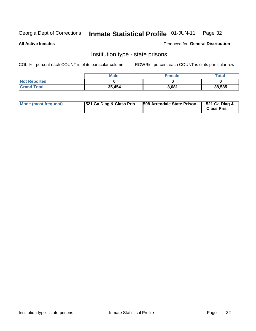#### Inmate Statistical Profile 01-JUN-11 Page 32

**All Active Inmates** 

Produced for General Distribution

# Institution type - state prisons

COL % - percent each COUNT is of its particular column

|                     | <b>Male</b> | <b>Female</b> | Total  |
|---------------------|-------------|---------------|--------|
| <b>Not Reported</b> |             |               |        |
| <b>Grand Total</b>  | 35,454      | 3,081         | 38,535 |

| Mode (most frequent) | <b>521 Ga Diag &amp; Class Pris</b> | <b>508 Arrendale State Prison</b> | 521 Ga Diag &<br><b>Class Pris</b> |
|----------------------|-------------------------------------|-----------------------------------|------------------------------------|
|----------------------|-------------------------------------|-----------------------------------|------------------------------------|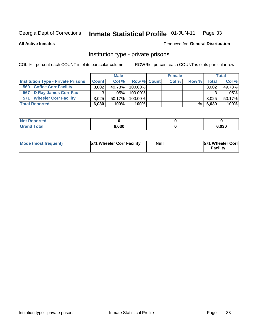#### Inmate Statistical Profile 01-JUN-11 Page 33

**All Active Inmates** 

### Produced for General Distribution

# Institution type - private prisons

COL % - percent each COUNT is of its particular column

|                                           | <b>Male</b>  |           |                    | <b>Female</b> |       |       | <b>Total</b> |        |
|-------------------------------------------|--------------|-----------|--------------------|---------------|-------|-------|--------------|--------|
| <b>Institution Type - Private Prisons</b> | <b>Count</b> | Col %     | <b>Row % Count</b> |               | Col % | Row % | Total I      | Col %  |
| <b>Coffee Corr Facility</b><br>569        | 3,002        | 49.78%    | $100.00\%$         |               |       |       | 3,002        | 49.78% |
| D Ray James Corr Fac<br>567               | ◠            | $.05\%$   | 100.00%            |               |       |       |              | .05%   |
| <b>Wheeler Corr Facility</b><br>571       | 3.025        | $50.17\%$ | $100.00\%$         |               |       |       | 3,025        | 50.17% |
| <b>Total Reported</b>                     | 6,030        | 100%      | 100%               |               |       | %     | 6,030        | 100%   |

| रeported    |       |      |
|-------------|-------|------|
| <b>otal</b> | 6,030 | ,030 |

| <b>Mode (most frequent)</b> | 571 Wheeler Corr Facility | <b>Null</b> | <b>1571 Wheeler Corrl</b><br>Facility |
|-----------------------------|---------------------------|-------------|---------------------------------------|
|-----------------------------|---------------------------|-------------|---------------------------------------|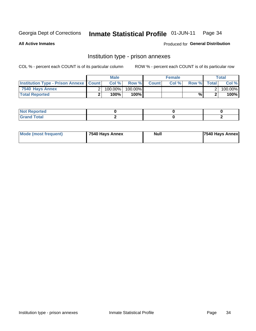#### Inmate Statistical Profile 01-JUN-11 Page 34

**All Active Inmates** 

Produced for General Distribution

# Institution type - prison annexes

COL % - percent each COUNT is of its particular column

|                                                   | <b>Male</b> |           | <b>Female</b> |              |       | <b>Total</b> |              |          |
|---------------------------------------------------|-------------|-----------|---------------|--------------|-------|--------------|--------------|----------|
| <b>Institution Type - Prison Annexe   Count  </b> |             | $Col \%$  | Row %         | <b>Count</b> | Col % | Row %        | <b>Total</b> | Col %    |
| 7540 Hays Annex                                   |             | 100.00%   | 100.00%       |              |       |              |              | 100.00%l |
| <b>Total Reported</b>                             |             | $100\%$ . | 100%l         |              |       | %            |              | 100%     |

| <b>Not Reported</b>    |  |  |
|------------------------|--|--|
| <b>Total</b><br>$\sim$ |  |  |

| Mode (most frequent) | 7540 Hays Annex | Null | <b>7540 Hays Annex</b> |
|----------------------|-----------------|------|------------------------|
|                      |                 |      |                        |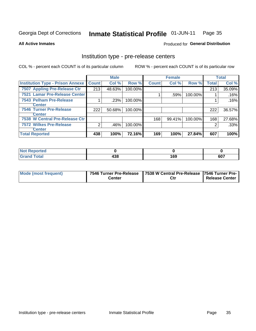#### Inmate Statistical Profile 01-JUN-11 Page 35

### **All Active Inmates**

Produced for General Distribution

# Institution type - pre-release centers

COL % - percent each COUNT is of its particular column

|                                         |              | <b>Male</b> |         | <b>Female</b> |        |         | <b>Total</b> |         |
|-----------------------------------------|--------------|-------------|---------|---------------|--------|---------|--------------|---------|
| <b>Institution Type - Prison Annexe</b> | <b>Count</b> | Col %       | Row %   | <b>Count</b>  | Col %  | Row %   | <b>Total</b> | Col %   |
| 7507 Appling Pre-Release Ctr            | 213          | 48.63%      | 100.00% |               |        |         | 213          | 35.09%  |
| 7521 Lamar Pre-Release Center           |              |             |         |               | .59%   | 100.00% |              | .16%    |
| 7543 Pelham Pre-Release                 |              | .23%        | 100.00% |               |        |         |              | $.16\%$ |
| <b>Center</b>                           |              |             |         |               |        |         |              |         |
| <b>7546 Turner Pre-Release</b>          | 222          | 50.68%      | 100.00% |               |        |         | 222          | 36.57%  |
| <b>Center</b>                           |              |             |         |               |        |         |              |         |
| 7538 W Central Pre-Release Ctr          |              |             |         | 168           | 99.41% | 100.00% | 168          | 27.68%  |
| <b>7572 Wilkes Pre-Release</b>          | ⌒            | .46%        | 100.00% |               |        |         | 2            | .33%    |
| <b>Center</b>                           |              |             |         |               |        |         |              |         |
| <b>Total Reported</b>                   | 438          | 100%        | 72.16%  | 169           | 100%   | 27.84%  | 607          | 100%    |

| $\sim$ nted<br>'N     |             |            |     |
|-----------------------|-------------|------------|-----|
| $f \wedge f \wedge f$ | 10 O<br>490 | 160<br>ט ו | 607 |

| Mode (most frequent) | 7546 Turner Pre-Release | 7538 W Central Pre-Release 7546 Turner Pre- |                       |  |  |
|----------------------|-------------------------|---------------------------------------------|-----------------------|--|--|
|                      | Center                  | Ctr                                         | <b>Release Center</b> |  |  |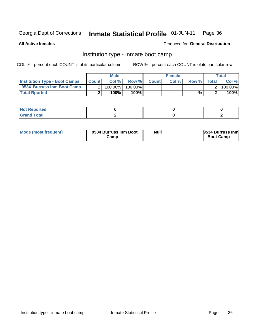#### Inmate Statistical Profile 01-JUN-11 Page 36

**All Active Inmates** 

### Produced for General Distribution

# Institution type - inmate boot camp

COL % - percent each COUNT is of its particular column

|                                      |              | <b>Male</b> |         |              | <b>Female</b> |       |              | <b>Total</b> |
|--------------------------------------|--------------|-------------|---------|--------------|---------------|-------|--------------|--------------|
| <b>Institution Type - Boot Camps</b> | <b>Count</b> | Col %       | Row %   | <b>Count</b> | Col%          | Row % | <b>Total</b> | Col %        |
| 9534 Burruss Inm Boot Camp           |              | 100.00%     | 100.00% |              |               |       |              | 100.00%      |
| <b>Total Rported</b>                 |              | 100%        | 100%l   |              |               | %।    |              | 100%         |

| ∣ Not Reported                   |  |  |
|----------------------------------|--|--|
| <b>Total</b><br>C <sub>ucu</sub> |  |  |

| Mode (most frequent) | 9534 Burruss Inm Boot | <b>Null</b> | 9534 Burruss Inm |
|----------------------|-----------------------|-------------|------------------|
|                      | Camp                  |             | <b>Boot Camp</b> |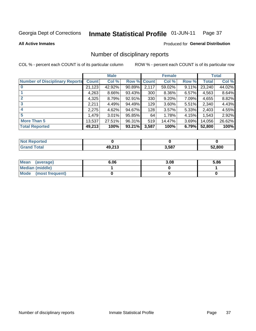### Inmate Statistical Profile 01-JUN-11 Page 37

**All Active Inmates** 

## **Produced for General Distribution**

# Number of disciplinary reports

COL % - percent each COUNT is of its particular column

|                                       |              | <b>Male</b> |             |       | <b>Female</b> |          |        | <b>Total</b> |
|---------------------------------------|--------------|-------------|-------------|-------|---------------|----------|--------|--------------|
| <b>Number of Disciplinary Reports</b> | <b>Count</b> | Col %       | Row % Count |       | Col %         | Row %    | Total  | Col %        |
| $\bf{0}$                              | 21,123       | 42.92%      | 90.89%      | 2,117 | 59.02%        | 9.11%    | 23,240 | 44.02%       |
|                                       | 4,263        | 8.66%       | 93.43%      | 300   | 8.36%         | $6.57\%$ | 4,563  | 8.64%        |
| $\mathbf{2}$                          | 4,325        | 8.79%       | 92.91%      | 330   | 9.20%         | 7.09%    | 4,655  | 8.82%        |
| 3                                     | 2,211        | 4.49%       | 94.49%      | 129   | 3.60%         | 5.51%    | 2,340  | 4.43%        |
|                                       | 2,275        | 4.62%       | 94.67%      | 128   | 3.57%         | 5.33%    | 2,403  | 4.55%        |
| 5                                     | .479         | 3.01%       | 95.85%      | 64    | 1.78%         | 4.15%    | 1,543  | 2.92%        |
| <b>More Than 5</b>                    | 13,537       | 27.51%      | 96.31%      | 519   | 14.47%        | 3.69%    | 14,056 | 26.62%       |
| <b>Total Reported</b>                 | 49,213       | 100%        | 93.21%      | 3,587 | 100%          | 6.79%    | 52,800 | 100%         |

| <b>Not Reported</b> |        |       |        |
|---------------------|--------|-------|--------|
| Total               | 49,213 | 3,587 | 52.800 |

| Mean (average)         | 6.06 | 3.08 | 5.86 |
|------------------------|------|------|------|
| <b>Median (middle)</b> |      |      |      |
| Mode (most frequent)   |      |      |      |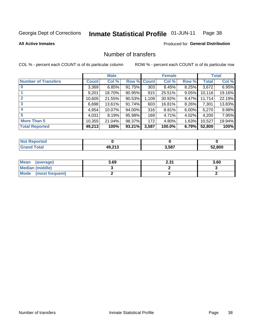### Inmate Statistical Profile 01-JUN-11 Page 38

**All Active Inmates** 

## **Produced for General Distribution**

# Number of transfers

COL % - percent each COUNT is of its particular column

|                            |              | <b>Male</b> |                    |       | <b>Female</b> |          |              | <b>Total</b> |
|----------------------------|--------------|-------------|--------------------|-------|---------------|----------|--------------|--------------|
| <b>Number of Transfers</b> | <b>Count</b> | Col %       | <b>Row % Count</b> |       | Col %         | Row %    | <b>Total</b> | Col %        |
| $\bf{0}$                   | 3,369        | 6.85%       | $91.75\%$          | 303   | 8.45%         | $8.25\%$ | 3,672        | 6.95%        |
|                            | 9,201        | 18.70%      | 90.95%             | 915   | 25.51%        | $9.05\%$ | 10,116       | 19.16%       |
| $\mathbf{2}$               | 10,605       | 21.55%      | 90.53%             | 1,109 | 30.92%        | 9.47%    | 11,714       | 22.19%       |
| 3                          | 6,698        | 13.61%      | $91.74\%$          | 603   | 16.81%        | 8.26%    | 7,301        | 13.83%       |
|                            | 4,954        | 10.07%      | 94.00%             | 316   | 8.81%         | 6.00%    | 5,270        | 9.98%        |
| 5                          | 4,031        | 8.19%       | 95.98%             | 169   | 4.71%         | 4.02%    | 4,200        | 7.95%        |
| <b>More Than 5</b>         | 10,355       | 21.04%      | 98.37%             | 172   | 4.80%         | 1.63%    | 10,527       | 19.94%       |
| <b>Total Reported</b>      | 49,213       | 100%        | 93.21%             | 3,587 | 100.0%        | 6.79%    | 52,800       | 100%         |

| prted<br>"Not∍ |                    |       |        |
|----------------|--------------------|-------|--------|
| ⊺otaı          | 49.212<br>79.Z I J | 3,587 | 52.800 |

| Mean (average)       | 3.69 | 24<br>ا د.ع | 3.60 |
|----------------------|------|-------------|------|
| Median (middle)      |      |             |      |
| Mode (most frequent) |      |             |      |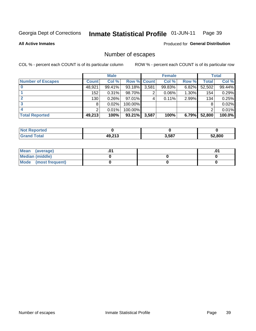### Inmate Statistical Profile 01-JUN-11 Page 39

**All Active Inmates** 

Produced for General Distribution

# Number of escapes

COL % - percent each COUNT is of its particular column

|                          |              | <b>Male</b> |             |       | <b>Female</b> |          |        | <b>Total</b> |
|--------------------------|--------------|-------------|-------------|-------|---------------|----------|--------|--------------|
| <b>Number of Escapes</b> | <b>Count</b> | Col %       | Row % Count |       | Col %         | Row %    | Total  | Col %        |
|                          | 48,921       | 99.41%      | 93.18%      | 3,581 | 99.83%        | $6.82\%$ | 52,502 | 99.44%       |
|                          | 152          | 0.31%       | 98.70%      | 2     | $0.06\%$      | $1.30\%$ | 154    | 0.29%        |
|                          | 130          | 0.26%       | 97.01%      | 4     | $0.11\%$      | 2.99%    | 134    | 0.25%        |
|                          | 8            | 0.02%       | 100.00%     |       |               |          |        | 0.02%        |
|                          |              | 0.01%       | 100.00%     |       |               |          |        | 0.01%        |
| <b>Total Reported</b>    | 49,213       | 100%        | 93.21%      | 3,587 | 100%          | 6.79%    | 52,800 | 100.0%       |

| <b>Not Reported</b> |                    |       |        |
|---------------------|--------------------|-------|--------|
| <b>Grand Total</b>  | 49.212<br>49.Z I J | 3,587 | 52.800 |

| Mean (average)         |  | .ט |
|------------------------|--|----|
| <b>Median (middle)</b> |  |    |
| Mode (most frequent)   |  |    |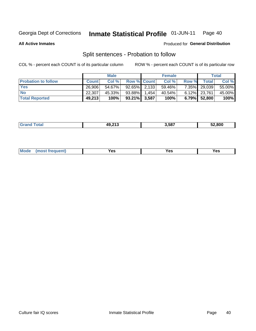### **Inmate Statistical Profile 01-JUN-11** Page 40

**All Active Inmates** 

## Produced for General Distribution

# Split sentences - Probation to follow

COL % - percent each COUNT is of its particular column

|                            |              | <b>Male</b> |                    | <b>Female</b> |          |                 | <b>Total</b> |
|----------------------------|--------------|-------------|--------------------|---------------|----------|-----------------|--------------|
| <b>Probation to follow</b> | <b>Count</b> | Col%        | <b>Row % Count</b> | Col %         | Row %    | Total           | Col %        |
| <b>Yes</b>                 | 26.906       | 54.67%      | $92.65\%$ 2.133    | 59.46%        | $7.35\%$ | 29,039          | 55.00%       |
| <b>No</b>                  | 22.307       | 45.33%      | 93.88% 1.454       | 40.54%        |          | $6.12\%$ 23,761 | 45.00%       |
| <b>Total Reported</b>      | 49,213       | 100%        | $93.21\%$ 3,587    | 100%          |          | 6.79% 52,800    | 100%         |

| _______ | AO.217 | .<br>3.587 | 52.800 |
|---------|--------|------------|--------|
|         |        |            |        |

| reauent)<br>Yes<br>v^c<br>0٥<br>.<br>. .<br>$\sim$ |  | <b>Mode</b> |  |  |  |
|----------------------------------------------------|--|-------------|--|--|--|
|----------------------------------------------------|--|-------------|--|--|--|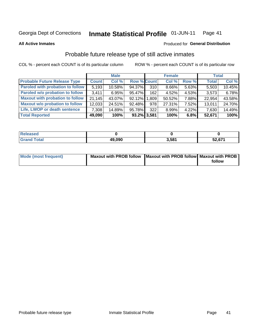### Inmate Statistical Profile 01-JUN-11 Page 41

### **All Active Inmates**

# Produced for General Distribution

# Probable future release type of still active inmates

COL % - percent each COUNT is of its particular column

|                                         |              | <b>Male</b> |                    |     | <b>Female</b> |          | <b>Total</b> |        |
|-----------------------------------------|--------------|-------------|--------------------|-----|---------------|----------|--------------|--------|
| <b>Probable Future Release Type</b>     | <b>Count</b> | Col %       | <b>Row % Count</b> |     | Col %         | Row %    | <b>Total</b> | Col %  |
| <b>Paroled with probation to follow</b> | 5,193        | 10.58%      | 94.37%             | 310 | $8.66\%$      | 5.63%    | 5,503        | 10.45% |
| Paroled w/o probation to follow         | 3.411        | 6.95%       | 95.47%             | 162 | 4.52%         | 4.53%    | 3,573        | 6.78%  |
| <b>Maxout with probation to follow</b>  | 21,145       | 43.07%      | 92.12% 1.809       |     | 50.52%        | 7.88%    | 22,954       | 43.58% |
| <b>Maxout w/o probation to follow</b>   | 12,033       | 24.51%      | 92.48%             | 978 | 27.31%        | 7.52%    | 13,011       | 24.70% |
| Life, LWOP or death sentence            | 7,308        | 14.89%      | 95.78%             | 322 | 8.99%         | $4.22\%$ | 7,630        | 14.49% |
| <b>Total Reported</b>                   | 49,090       | 100%        | 93.2% 3,581        |     | 100%          | 6.8%     | 52,671       | 100%   |

| eleased       |        |       |        |
|---------------|--------|-------|--------|
| <b>c</b> otal | 49,090 | 3,581 | 52,671 |

| <b>Mode (most frequent)</b> | Maxout with PROB follow   Maxout with PROB follow   Maxout with PROB |        |
|-----------------------------|----------------------------------------------------------------------|--------|
|                             |                                                                      | follow |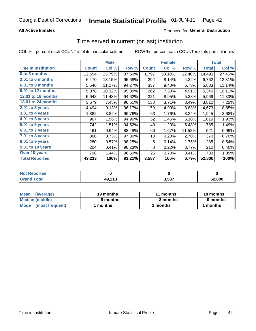## **All Active Inmates**

## Produced for General Distribution

# Time served in current (or last) institution

COL % - percent each COUNT is of its particular column

|                            | <b>Male</b>  |        | <b>Female</b> |              |        | <b>Total</b> |              |        |
|----------------------------|--------------|--------|---------------|--------------|--------|--------------|--------------|--------|
| <b>Time In Institution</b> | <b>Count</b> | Col %  | Row %         | <b>Count</b> | Col %  | Row %        | <b>Total</b> | Col %  |
| 0 to 3 months              | 12,694       | 25.79% | 87.60%        | 1,797        | 50.10% | 12.40%       | 14,491       | 27.45% |
| <b>3.01 to 6 months</b>    | 6,470        | 13.15% | 95.68%        | 292          | 8.14%  | 4.32%        | 6,762        | 12.81% |
| 6.01 to 9 months           | 5,546        | 11.27% | 94.27%        | 337          | 9.40%  | 5.73%        | 5,883        | 11.14% |
| 9.01 to 12 months          | 5,078        | 10.32% | 95.09%        | 262          | 7.30%  | 4.91%        | 5,340        | 10.11% |
| 12.01 to 18 months         | 5,648        | 11.48% | 94.62%        | 321          | 8.95%  | 5.38%        | 5,969        | 11.30% |
| <b>18.01 to 24 months</b>  | 3,679        | 7.48%  | 96.51%        | 133          | 3.71%  | 3.49%        | 3,812        | 7.22%  |
| 2.01 to 3 years            | 4,494        | 9.13%  | 96.17%        | 179          | 4.99%  | 3.83%        | 4,673        | 8.85%  |
| 3.01 to 4 years            | 1,882        | 3.82%  | 96.76%        | 63           | 1.76%  | 3.24%        | 1,945        | 3.68%  |
| $4.01$ to 5 years          | 967          | 1.96%  | 94.90%        | 52           | 1.45%  | 5.10%        | 1,019        | 1.93%  |
| 5.01 to 6 years            | 742          | 1.51%  | 94.52%        | 43           | 1.20%  | 5.48%        | 785          | 1.49%  |
| $6.01$ to 7 years          | 461          | 0.94%  | 88.48%        | 60           | 1.67%  | 11.52%       | 521          | 0.99%  |
| 7.01 to 8 years            | 360          | 0.73%  | 97.30%        | 10           | 0.28%  | 2.70%        | 370          | 0.70%  |
| $8.01$ to 9 years          | 280          | 0.57%  | 98.25%        | 5            | 0.14%  | 1.75%        | 285          | 0.54%  |
| 9.01 to 10 years           | 204          | 0.41%  | 96.23%        | 8            | 0.22%  | 3.77%        | 212          | 0.40%  |
| Over 10 years              | 708          | 1.44%  | 96.59%        | 25           | 0.70%  | 3.41%        | 733          | 1.39%  |
| <b>Total Reported</b>      | 49,213       | 100%   | 93.21%        | 3,587        | 100%   | 6.79%        | 52,800       | 100%   |

| <b>Not</b><br>Reported |        |       |        |
|------------------------|--------|-------|--------|
| <b>otal</b>            | 49,213 | 3,587 | 52.800 |

| <b>Mean</b><br>(average) | 19 months | 11 months | 18 months |  |
|--------------------------|-----------|-----------|-----------|--|
| Median (middle)          | 9 months  | 3 months  | 9 months  |  |
| Mode<br>(most frequent)  | months    | months    | ∖ months  |  |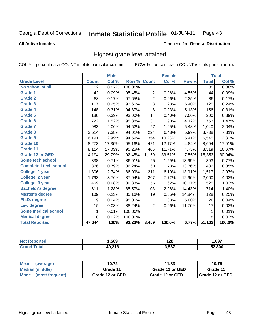### Inmate Statistical Profile 01-JUN-11 Page 43

### **All Active Inmates**

### Produced for General Distribution

# Highest grade level attained

COL % - percent each COUNT is of its particular column

|                              |              | <b>Male</b> |         |                | <b>Female</b> |        |              | <b>Total</b> |
|------------------------------|--------------|-------------|---------|----------------|---------------|--------|--------------|--------------|
| <b>Grade Level</b>           | <b>Count</b> | Col %       | Row %   | <b>Count</b>   | Col %         | Row %  | <b>Total</b> | Col %        |
| No school at all             | 32           | 0.07%       | 100.00% |                |               |        | 32           | $0.06\%$     |
| Grade 1                      | 42           | 0.09%       | 95.45%  | $\overline{2}$ | 0.06%         | 4.55%  | 44           | 0.09%        |
| <b>Grade 2</b>               | 83           | 0.17%       | 97.65%  | $\overline{2}$ | 0.06%         | 2.35%  | 85           | 0.17%        |
| <b>Grade 3</b>               | 117          | 0.25%       | 93.60%  | 8              | 0.23%         | 6.40%  | 125          | 0.24%        |
| Grade 4                      | 148          | 0.31%       | 94.87%  | 8              | 0.23%         | 5.13%  | 156          | 0.31%        |
| Grade 5                      | 186          | 0.39%       | 93.00%  | 14             | 0.40%         | 7.00%  | 200          | 0.39%        |
| Grade 6                      | 722          | 1.52%       | 95.88%  | 31             | 0.90%         | 4.12%  | 753          | 1.47%        |
| <b>Grade 7</b>               | 983          | 2.06%       | 94.52%  | 57             | 1.65%         | 5.48%  | 1,040        | 2.04%        |
| Grade 8                      | 3,514        | 7.38%       | 94.01%  | 224            | 6.48%         | 5.99%  | 3,738        | 7.31%        |
| Grade 9                      | 6,191        | 12.99%      | 94.59%  | 354            | 10.23%        | 5.41%  | 6,545        | 12.81%       |
| Grade 10                     | 8,273        | 17.36%      | 95.16%  | 421            | 12.17%        | 4.84%  | 8,694        | 17.01%       |
| Grade 11                     | 8,114        | 17.03%      | 95.25%  | 405            | 11.71%        | 4.75%  | 8,519        | 16.67%       |
| <b>Grade 12 or GED</b>       | 14,194       | 29.79%      | 92.45%  | 1,159          | 33.51%        | 7.55%  | 15,353       | 30.04%       |
| <b>Some tech school</b>      | 338          | 0.71%       | 86.01%  | 55             | 1.59%         | 13.99% | 393          | 0.77%        |
| <b>Completed tech school</b> | 376          | 0.79%       | 86.24%  | 60             | 1.73%         | 13.76% | 436          | 0.85%        |
| College, 1 year              | 1,306        | 2.74%       | 86.09%  | 211            | 6.10%         | 13.91% | 1,517        | 2.97%        |
| College, 2 year              | 1,793        | 3.76%       | 87.04%  | 267            | 7.72%         | 12.96% | 2,060        | 4.03%        |
| College, 3 year              | 469          | 0.98%       | 89.33%  | 56             | 1.62%         | 10.67% | 525          | 1.03%        |
| <b>Bachelor's degree</b>     | 611          | 1.28%       | 85.57%  | 103            | 2.98%         | 14.43% | 714          | 1.40%        |
| <b>Master's degree</b>       | 109          | 0.23%       | 85.16%  | 19             | 0.55%         | 14.84% | 128          | 0.25%        |
| Ph.D. degree                 | 19           | 0.04%       | 95.00%  | 1              | 0.03%         | 5.00%  | 20           | 0.04%        |
| Law degree                   | 15           | 0.03%       | 88.24%  | $\overline{2}$ | 0.06%         | 11.76% | 17           | 0.03%        |
| <b>Some medical school</b>   | 1            | 0.01%       | 100.00% |                |               |        | 1            | 0.01%        |
| <b>Medical degree</b>        | 8            | 0.02%       | 100.00% |                |               |        | 8            | 0.02%        |
| <b>Total Reported</b>        | 47,644       | 100%        | 93.23%  | 3,459          | 100.0%        | 6.77%  | 51,103       | 100.0%       |

| ,569          | 128   | .697   |
|---------------|-------|--------|
| 10.212<br>. . | 3.587 | 52.800 |

| <b>Mean</b><br>(average)       | 10.72           | 11.33           | 10.76           |
|--------------------------------|-----------------|-----------------|-----------------|
| Median (middle)                | Grade 11        | Grade 12 or GED | Grade 11        |
| <b>Mode</b><br>(most frequent) | Grade 12 or GED | Grade 12 or GED | Grade 12 or GED |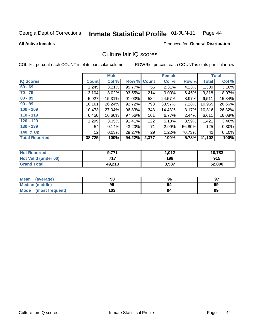### Inmate Statistical Profile 01-JUN-11 Page 44

**All Active Inmates** 

## Produced for General Distribution

# Culture fair IQ scores

COL % - percent each COUNT is of its particular column

|                       |              | <b>Male</b> |             |       | <b>Female</b> |          |              | <b>Total</b> |
|-----------------------|--------------|-------------|-------------|-------|---------------|----------|--------------|--------------|
| <b>IQ Scores</b>      | <b>Count</b> | Col %       | Row % Count |       | Col %         | Row %    | <b>Total</b> | Col %        |
| $60 - 69$             | 1,245        | 3.21%       | 95.77%      | 55    | 2.31%         | 4.23%    | 1,300        | 3.16%        |
| $70 - 79$             | 3,104        | 8.02%       | 93.55%      | 214   | $9.00\%$      | 6.45%    | 3,318        | 8.07%        |
| $80 - 89$             | 5,927        | 15.31%      | 91.03%      | 584   | 24.57%        | $8.97\%$ | 6,511        | 15.84%       |
| $90 - 99$             | 10,161       | 26.24%      | 92.72%      | 798   | 33.57%        | 7.28%    | 10,959       | 26.66%       |
| $100 - 109$           | 10,473       | 27.04%      | 96.83%      | 343   | 14.43%        | 3.17%    | 10,816       | 26.32%       |
| $110 - 119$           | 6,450        | 16.66%      | 97.56%      | 161   | 6.77%         | 2.44%    | 6,611        | 16.08%       |
| $120 - 129$           | 1,299        | 3.35%       | 91.41%      | 122   | 5.13%         | 8.59%    | 1,421        | 3.46%        |
| $130 - 139$           | 54           | 0.14%       | 43.20%      | 71    | 2.99%         | 56.80%   | 125          | 0.30%        |
| 140 & Up              | 12           | 0.03%       | 29.27%      | 29    | 1.22%         | 70.73%   | 41           | 0.10%        |
| <b>Total Reported</b> | 38,725       | 100%        | 94.22%      | 2,377 | 100%          | 5.78%    | 41,102       | 100%         |

| <b>Not Reported</b>         | 9,771  | 1,012 | 10,783 |
|-----------------------------|--------|-------|--------|
| <b>Not Valid (under 60)</b> | フィフ    | 198   | 915    |
| <b>Grand Total</b>          | 49,213 | 3,587 | 52,800 |

| <b>Mean</b><br>(average) | 98  | 96 | 97 |
|--------------------------|-----|----|----|
| <b>Median (middle)</b>   | 99  | 94 | 99 |
| Mode<br>(most frequent)  | 103 | 94 | 99 |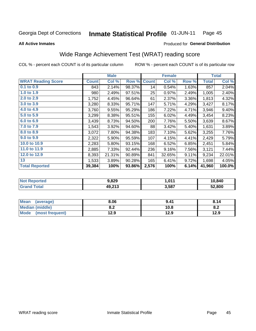### Inmate Statistical Profile 01-JUN-11 Page 45

**All Active Inmates** 

### Produced for General Distribution

# Wide Range Achievement Test (WRAT) reading score

COL % - percent each COUNT is of its particular column

|                           |              | <b>Male</b> |        |              | <b>Female</b> |       |              | <b>Total</b> |
|---------------------------|--------------|-------------|--------|--------------|---------------|-------|--------------|--------------|
| <b>WRAT Reading Score</b> | <b>Count</b> | Col %       | Row %  | <b>Count</b> | Col %         | Row % | <b>Total</b> | Col %        |
| $0.1$ to $0.9$            | 843          | 2.14%       | 98.37% | 14           | 0.54%         | 1.63% | 857          | 2.04%        |
| 1.0 to 1.9                | 980          | 2.49%       | 97.51% | 25           | 0.97%         | 2.49% | 1,005        | 2.40%        |
| 2.0 to 2.9                | 1,752        | 4.45%       | 96.64% | 61           | 2.37%         | 3.36% | 1,813        | 4.32%        |
| 3.0 to 3.9                | 3,280        | 8.33%       | 95.71% | 147          | 5.71%         | 4.29% | 3,427        | 8.17%        |
| 4.0 to 4.9                | 3,760        | 9.55%       | 95.29% | 186          | 7.22%         | 4.71% | 3,946        | 9.40%        |
| 5.0 to 5.9                | 3,299        | 8.38%       | 95.51% | 155          | 6.02%         | 4.49% | 3,454        | 8.23%        |
| 6.0 to 6.9                | 3,439        | 8.73%       | 94.50% | 200          | 7.76%         | 5.50% | 3,639        | 8.67%        |
| 7.0 to 7.9                | 1,543        | 3.92%       | 94.60% | 88           | 3.42%         | 5.40% | 1,631        | 3.89%        |
| 8.0 to 8.9                | 3,072        | 7.80%       | 94.38% | 183          | 7.10%         | 5.62% | 3,255        | 7.76%        |
| 9.0 to 9.9                | 2,322        | 5.90%       | 95.59% | 107          | 4.15%         | 4.41% | 2,429        | 5.79%        |
| 10.0 to 10.9              | 2,283        | 5.80%       | 93.15% | 168          | 6.52%         | 6.85% | 2,451        | 5.84%        |
| 11.0 to 11.9              | 2,885        | 7.33%       | 92.44% | 236          | 9.16%         | 7.56% | 3,121        | 7.44%        |
| 12.0 to 12.9              | 8,393        | 21.31%      | 90.89% | 841          | 32.65%        | 9.11% | 9,234        | 22.01%       |
| 13                        | 1,533        | 3.89%       | 90.28% | 165          | 6.41%         | 9.72% | 1,698        | 4.05%        |
| <b>Total Reported</b>     | 39,384       | 100%        | 93.86% | 2,576        | 100%          | 6.14% | 41,960       | 100.0%       |

| <b>ortea</b><br>' NOT       | 3.829  | 1.011 | 10,840 |
|-----------------------------|--------|-------|--------|
| <b>Total</b><br><b>Grar</b> | 49,213 | 3,587 | 52.800 |

| <b>Mean</b><br>(average)       | 8.06       | 9.41 | 8.14 |
|--------------------------------|------------|------|------|
| <b>Median (middle)</b>         | י ה<br>0.Z | 10.8 | O.A  |
| <b>Mode</b><br>(most frequent) | 12.9       | 12.9 | 12.9 |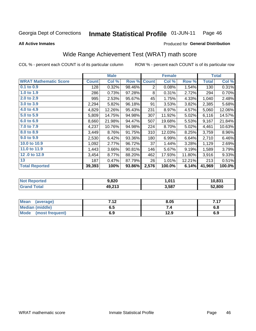### Inmate Statistical Profile 01-JUN-11 Page 46

**All Active Inmates** 

### Produced for General Distribution

# Wide Range Achievement Test (WRAT) math score

COL % - percent each COUNT is of its particular column

| <b>WRAT Mathematic Score</b><br>Col %<br><b>Count</b><br>Col %<br><b>Count</b><br>Row %<br>Row %<br>$0.1$ to $0.9$<br>0.32%<br>0.08%<br>128<br>98.46%<br>1.54%<br>2<br>1.0 to 1.9<br>0.73%<br>97.28%<br>0.31%<br>2.72%<br>286<br>8<br>2.0 to 2.9<br>2.53%<br>95.67%<br>4.33%<br>995<br>45<br>1.75%<br>3.0 to 3.9<br>2,294<br>5.82%<br>91<br>3.53%<br>3.82%<br>96.18%<br>4.0 to 4.9<br>231<br>4,829<br>12.26%<br>95.43%<br>8.97%<br>4.57%<br>5.0 to 5.9<br>5,809<br>94.98%<br>307<br>11.92%<br>5.02%<br>14.75%<br>6.0 to 6.9<br>21.98%<br>19.68%<br>8,660<br>94.47%<br>507<br>5.53%<br>7.0 to 7.9<br>4,237<br>94.98%<br>224<br>5.02%<br>10.76%<br>8.70%<br>8.0 to 8.9<br>310<br>12.03%<br>3,449<br>8.76%<br>91.75%<br>8.25%<br>9.0 to 9.9<br>2,530<br>6.42%<br>93.36%<br>180<br>6.99%<br>6.64%<br>10.0 to 10.9<br>37<br>1,092<br>2.77%<br>96.72%<br>1.44%<br>3.28%<br>11.0 to 11.9<br>1,443<br>90.81%<br>146<br>3.66%<br>5.67%<br>9.19% | <b>Male</b> | <b>Female</b>    | <b>Total</b>          |
|----------------------------------------------------------------------------------------------------------------------------------------------------------------------------------------------------------------------------------------------------------------------------------------------------------------------------------------------------------------------------------------------------------------------------------------------------------------------------------------------------------------------------------------------------------------------------------------------------------------------------------------------------------------------------------------------------------------------------------------------------------------------------------------------------------------------------------------------------------------------------------------------------------------------------------------|-------------|------------------|-----------------------|
|                                                                                                                                                                                                                                                                                                                                                                                                                                                                                                                                                                                                                                                                                                                                                                                                                                                                                                                                        |             |                  | <b>Total</b><br>Col % |
|                                                                                                                                                                                                                                                                                                                                                                                                                                                                                                                                                                                                                                                                                                                                                                                                                                                                                                                                        |             |                  | 0.31%<br>130          |
|                                                                                                                                                                                                                                                                                                                                                                                                                                                                                                                                                                                                                                                                                                                                                                                                                                                                                                                                        |             |                  | 0.70%<br>294          |
|                                                                                                                                                                                                                                                                                                                                                                                                                                                                                                                                                                                                                                                                                                                                                                                                                                                                                                                                        |             |                  | 1,040<br>2.48%        |
|                                                                                                                                                                                                                                                                                                                                                                                                                                                                                                                                                                                                                                                                                                                                                                                                                                                                                                                                        |             |                  | 2,385<br>5.68%        |
|                                                                                                                                                                                                                                                                                                                                                                                                                                                                                                                                                                                                                                                                                                                                                                                                                                                                                                                                        |             |                  | 5,060<br>12.06%       |
|                                                                                                                                                                                                                                                                                                                                                                                                                                                                                                                                                                                                                                                                                                                                                                                                                                                                                                                                        |             |                  | 6,116<br>14.57%       |
|                                                                                                                                                                                                                                                                                                                                                                                                                                                                                                                                                                                                                                                                                                                                                                                                                                                                                                                                        |             |                  | 9,167<br>21.84%       |
|                                                                                                                                                                                                                                                                                                                                                                                                                                                                                                                                                                                                                                                                                                                                                                                                                                                                                                                                        |             |                  | 4,461<br>10.63%       |
|                                                                                                                                                                                                                                                                                                                                                                                                                                                                                                                                                                                                                                                                                                                                                                                                                                                                                                                                        |             |                  | 3,759<br>8.96%        |
|                                                                                                                                                                                                                                                                                                                                                                                                                                                                                                                                                                                                                                                                                                                                                                                                                                                                                                                                        |             |                  | 2,710<br>6.46%        |
|                                                                                                                                                                                                                                                                                                                                                                                                                                                                                                                                                                                                                                                                                                                                                                                                                                                                                                                                        |             |                  | 2.69%<br>1,129        |
|                                                                                                                                                                                                                                                                                                                                                                                                                                                                                                                                                                                                                                                                                                                                                                                                                                                                                                                                        |             |                  | 3.79%<br>1,589        |
| 12.0 to 12.9<br>3,454<br>8.77%<br>462                                                                                                                                                                                                                                                                                                                                                                                                                                                                                                                                                                                                                                                                                                                                                                                                                                                                                                  | 88.20%      | 17.93%<br>11.80% | 3,916<br>9.33%        |
| 13<br>12.21%<br>187<br>0.47%<br>87.79%<br>1.01%<br>26                                                                                                                                                                                                                                                                                                                                                                                                                                                                                                                                                                                                                                                                                                                                                                                                                                                                                  |             |                  | 0.51%<br>213          |
| 2,576<br><b>Total Reported</b><br>39,393<br>100%<br>93.86%<br>100.0%<br>6.14%                                                                                                                                                                                                                                                                                                                                                                                                                                                                                                                                                                                                                                                                                                                                                                                                                                                          |             |                  | 41,969<br>100.0%      |

| <b>Not Reported</b> | 9,820  | 1,011 | 10,831 |
|---------------------|--------|-------|--------|
| <b>Grand Total</b>  | 49,213 | 3,587 | 52,800 |

| Mean (average)         | 7.12 | 8.05 | 717<br>. |
|------------------------|------|------|----------|
| <b>Median (middle)</b> | ง. ว | 54   | 0.O      |
| Mode (most frequent)   | 6.9  | 12.9 | 6.9      |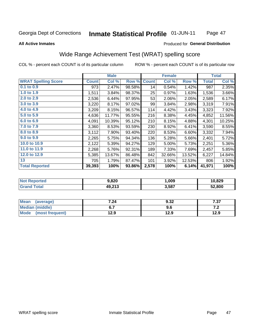### **Inmate Statistical Profile 01-JUN-11** Page 47

### **All Active Inmates**

## Produced for General Distribution

# Wide Range Achievement Test (WRAT) spelling score

COL % - percent each COUNT is of its particular column

|                            |              | <b>Male</b> |        |              | <b>Female</b> |        |              | <b>Total</b> |
|----------------------------|--------------|-------------|--------|--------------|---------------|--------|--------------|--------------|
| <b>WRAT Spelling Score</b> | <b>Count</b> | Col %       | Row %  | <b>Count</b> | Col %         | Row %  | <b>Total</b> | Col %        |
| $0.1$ to $0.9$             | 973          | 2.47%       | 98.58% | 14           | 0.54%         | 1.42%  | 987          | 2.35%        |
| 1.0 to 1.9                 | 1,511        | 3.84%       | 98.37% | 25           | 0.97%         | 1.63%  | 1,536        | 3.66%        |
| 2.0 to 2.9                 | 2,536        | 6.44%       | 97.95% | 53           | 2.06%         | 2.05%  | 2,589        | 6.17%        |
| 3.0 to 3.9                 | 3,220        | 8.17%       | 97.02% | 99           | 3.84%         | 2.98%  | 3,319        | 7.91%        |
| 4.0 to 4.9                 | 3,209        | 8.15%       | 96.57% | 114          | 4.42%         | 3.43%  | 3,323        | 7.92%        |
| 5.0 to 5.9                 | 4,636        | 11.77%      | 95.55% | 216          | 8.38%         | 4.45%  | 4,852        | 11.56%       |
| 6.0 to 6.9                 | 4,091        | 10.39%      | 95.12% | 210          | 8.15%         | 4.88%  | 4,301        | 10.25%       |
| 7.0 to 7.9                 | 3,360        | 8.53%       | 93.59% | 230          | 8.92%         | 6.41%  | 3,590        | 8.55%        |
| 8.0 to 8.9                 | 3,112        | 7.90%       | 93.40% | 220          | 8.53%         | 6.60%  | 3,332        | 7.94%        |
| 9.0 to 9.9                 | 2,265        | 5.75%       | 94.34% | 136          | 5.28%         | 5.66%  | 2,401        | 5.72%        |
| 10.0 to 10.9               | 2,122        | 5.39%       | 94.27% | 129          | 5.00%         | 5.73%  | 2,251        | 5.36%        |
| 11.0 to 11.9               | 2,268        | 5.76%       | 92.31% | 189          | 7.33%         | 7.69%  | 2,457        | 5.85%        |
| 12.0 to 12.9               | 5,385        | 13.67%      | 86.48% | 842          | 32.66%        | 13.52% | 6,227        | 14.84%       |
| 13                         | 705          | 1.79%       | 87.47% | 101          | 3.92%         | 12.53% | 806          | 1.92%        |
| <b>Total Reported</b>      | 39,393       | 100%        | 93.86% | 2,578        | 100%          | 6.14%  | 41,971       | 100%         |

| orted | 9,820              | .009  | 10,829 |
|-------|--------------------|-------|--------|
| otal  | AQ 212<br>19.Z I J | 3,587 | 52.800 |

| <b>Mean</b><br>(average)       | 7.24 | 9.32 | 7 27<br>، ۱ |
|--------------------------------|------|------|-------------|
| <b>Median (middle)</b>         | ν.,  | 9.6  | .           |
| <b>Mode</b><br>(most frequent) | l2.9 | 12.9 | 12.9        |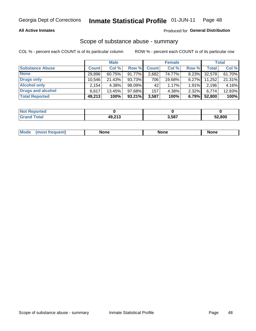## **All Active Inmates**

## Produced for General Distribution

# Scope of substance abuse - summary

COL % - percent each COUNT is of its particular column

|                        |              | <b>Male</b> |           |              | <b>Female</b> |          |              | <b>Total</b> |
|------------------------|--------------|-------------|-----------|--------------|---------------|----------|--------------|--------------|
| <b>Substance Abuse</b> | <b>Count</b> | Col %       | Row %     | <b>Count</b> | Col %         | Row %    | <b>Total</b> | Col %        |
| <b>None</b>            | 29.896       | 60.75%      | 91.77%    | 2,682        | 74.77%        | 8.23%    | 32,578       | 61.70%       |
| <b>Drugs only</b>      | 10.546       | 21.43%      | 93.73%    | 706          | 19.68%        | $6.27\%$ | 11,252       | 21.31%       |
| <b>Alcohol only</b>    | 2,154        | 4.38%       | 98.09%    | 42           | 1.17%         | 1.91%    | 2,196        | 4.16%        |
| Drugs and alcohol      | 6.617        | 13.45%      | 97.68%    | 157          | 4.38%         | 2.32%    | 6,774        | 12.83%       |
| <b>Total Reported</b>  | 49,213       | 100%        | $93.21\%$ | 3,587        | 100%          | 6.79%    | 52,800       | 100%         |

| <b>Not Reported</b> |        |       |        |
|---------------------|--------|-------|--------|
| <b>Grand Total</b>  | 49,213 | 3,587 | 52,800 |

| Mode<br>None<br><b>None</b><br>None<br>most<br>quenti<br>___ |
|--------------------------------------------------------------|
|--------------------------------------------------------------|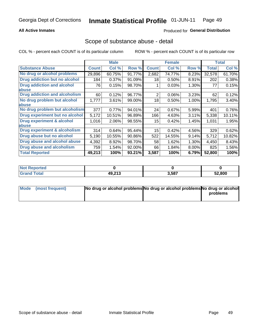## **All Active Inmates**

## Produced for General Distribution

## Scope of substance abuse - detail

COL % - percent each COUNT is of its particular column

|                                      |              | <b>Male</b> |        |              | <b>Female</b> |       |              | <b>Total</b> |
|--------------------------------------|--------------|-------------|--------|--------------|---------------|-------|--------------|--------------|
| <b>Substance Abuse</b>               | <b>Count</b> | Col %       | Row %  | <b>Count</b> | Col %         | Row % | <b>Total</b> | Col %        |
| No drug or alcohol problems          | 29,896       | 60.75%      | 91.77% | 2,682        | 74.77%        | 8.23% | 32,578       | 61.70%       |
| Drug addiction but no alcohol        | 184          | 0.37%       | 91.09% | 18           | 0.50%         | 8.91% | 202          | 0.38%        |
| <b>Drug addiction and alcohol</b>    | 76           | 0.15%       | 98.70% |              | 0.03%         | 1.30% | 77           | 0.15%        |
| <b>labuse</b>                        |              |             |        |              |               |       |              |              |
| <b>Drug addiction and alcoholism</b> | 60           | 0.12%       | 96.77% | 2            | 0.06%         | 3.23% | 62           | 0.12%        |
| No drug problem but alcohol          | 1.777        | 3.61%       | 99.00% | 18           | $0.50\%$      | 1.00% | 1,795        | 3.40%        |
| <b>labuse</b>                        |              |             |        |              |               |       |              |              |
| No drug problem but alcoholism       | 377          | 0.77%       | 94.01% | 24           | 0.67%         | 5.99% | 401          | 0.76%        |
| Drug experiment but no alcohol       | 5,172        | 10.51%      | 96.89% | 166          | 4.63%         | 3.11% | 5,338        | 10.11%       |
| <b>Drug experiment &amp; alcohol</b> | 1,016        | 2.06%       | 98.55% | 15           | 0.42%         | 1.45% | 1,031        | 1.95%        |
| <b>labuse</b>                        |              |             |        |              |               |       |              |              |
| Drug experiment & alcoholism         | 314          | 0.64%       | 95.44% | 15           | 0.42%         | 4.56% | 329          | 0.62%        |
| Drug abuse but no alcohol            | 5,190        | 10.55%      | 90.86% | 522          | 14.55%        | 9.14% | 5,712        | 10.82%       |
| Drug abuse and alcohol abuse         | 4,392        | 8.92%       | 98.70% | 58           | 1.62%         | 1.30% | 4,450        | 8.43%        |
| <b>Drug abuse and alcoholism</b>     | 759          | 1.54%       | 92.00% | 66           | 1.84%         | 8.00% | 825          | 1.56%        |
| <b>Total Reported</b>                | 49,213       | 100%        | 93.21% | 3,587        | 100%          | 6.79% | 52,800       | 100%         |

| orted<br>NOT |                               |       |        |
|--------------|-------------------------------|-------|--------|
| <b>otal</b>  | AO <sub>212</sub><br>43,4 I J | 3,587 | 52,800 |

| Mode (most frequent) | No drug or alcohol problems No drug or alcohol problems No drug or alcohol |          |
|----------------------|----------------------------------------------------------------------------|----------|
|                      |                                                                            | problems |
|                      |                                                                            |          |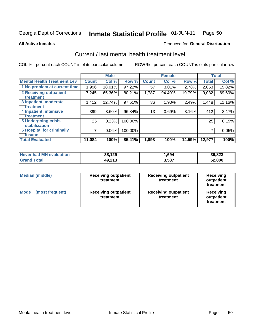### **Inmate Statistical Profile 01-JUN-11** Page 50

**Produced for General Distribution** 

### **All Active Inmates**

# Current / last mental health treatment level

COL % - percent each COUNT is of its particular column

|                                    |              | <b>Male</b> |         |              | <b>Female</b> |        |              | <b>Total</b> |
|------------------------------------|--------------|-------------|---------|--------------|---------------|--------|--------------|--------------|
| <b>Mental Health Treatment Lev</b> | <b>Count</b> | Col %       | Row %   | <b>Count</b> | Col %         | Row %  | <b>Total</b> | Col %        |
| 1 No problem at current time       | 1,996        | 18.01%      | 97.22%  | 57           | $3.01\%$      | 2.78%  | 2,053        | 15.82%       |
| 2 Receiving outpatient             | 7,245        | 65.36%      | 80.21%  | 1,787        | 94.40%        | 19.79% | 9,032        | 69.60%       |
| <b>Treatment</b>                   |              |             |         |              |               |        |              |              |
| 3 Inpatient, moderate              | 1,412        | 12.74%      | 97.51%  | 36           | 1.90%         | 2.49%  | 1,448        | 11.16%       |
| Treatment                          |              |             |         |              |               |        |              |              |
| 4 Inpatient, intensive             | 399          | 3.60%       | 96.84%  | 13           | 0.69%         | 3.16%  | 412          | 3.17%        |
| <b>Treatment</b>                   |              |             |         |              |               |        |              |              |
| <b>5 Undergoing crisis</b>         | 25           | 0.23%       | 100.00% |              |               |        | 25           | 0.19%        |
| <b>stabilization</b>               |              |             |         |              |               |        |              |              |
| <b>6 Hospital for criminally</b>   | 7            | 0.06%       | 100.00% |              |               |        | 7            | 0.05%        |
| <b>Tinsane</b>                     |              |             |         |              |               |        |              |              |
| <b>Total Evaluated</b>             | 11,084       | 100%        | 85.41%  | 1,893        | 100%          | 14.59% | 12,977       | 100%         |

| Never had MH evaluation | 38,129 | .694  | 39,823 |
|-------------------------|--------|-------|--------|
| <b>Grand Total</b>      | 49,213 | 3,587 | 52,800 |

| <b>Median (middle)</b>         | <b>Receiving outpatient</b><br>treatment | <b>Receiving outpatient</b><br>treatment | <b>Receiving</b><br>outpatient<br>treatment |  |  |
|--------------------------------|------------------------------------------|------------------------------------------|---------------------------------------------|--|--|
| <b>Mode</b><br>(most frequent) | <b>Receiving outpatient</b><br>treatment | <b>Receiving outpatient</b><br>treatment | Receiving<br>outpatient<br>treatment        |  |  |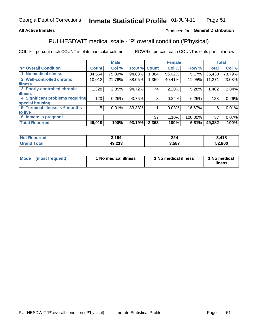## **All Active Inmates**

## Produced for General Distribution

# PULHESDWIT medical scale - 'P' overall condition ('P'hysical)

COL % - percent each COUNT is of its particular column

|                                         | <b>Male</b> |        |                                      |        |       |               | <b>Total</b>                                                    |
|-----------------------------------------|-------------|--------|--------------------------------------|--------|-------|---------------|-----------------------------------------------------------------|
| <b>Count</b>                            | Col %       |        | <b>Count</b>                         | Col %  |       | <b>Total</b>  | Col %                                                           |
| 34,554                                  | 75.09%      |        | .884                                 | 56.02% | 5.17% | 36,438        | 73.79%                                                          |
| 10,012                                  | 21.76%      | 88.05% | 1,359                                | 40.41% |       | 11,371        | 23.03%                                                          |
|                                         |             |        |                                      |        |       |               |                                                                 |
| 1,328                                   | 2.89%       |        | 74                                   | 2.20%  |       | 1,402         | 2.84%                                                           |
|                                         |             |        |                                      |        |       |               |                                                                 |
| 4 Significant problems requiring<br>120 | 0.26%       |        | 8                                    | 0.24%  |       | 128           | 0.26%                                                           |
|                                         |             |        |                                      |        |       |               |                                                                 |
| 5 <sup>1</sup>                          | 0.01%       |        |                                      | 0.03%  |       | 6             | 0.01%                                                           |
|                                         |             |        |                                      |        |       |               |                                                                 |
|                                         |             |        | 37                                   | 1.10%  |       | 37            | $0.07\%$                                                        |
| 46,019                                  | 100%        | 93.19% | 3,363                                | 100%   |       | 49,382        | 100%                                                            |
|                                         |             |        | 94.83%<br>94.72%<br>93.75%<br>83.33% | Row %  |       | <b>Female</b> | Row %<br>11.95%<br>5.28%<br>6.25%<br>16.67%<br>100.00%<br>6.81% |

| orted | 2 1 Q A<br>J. 194 | 22<br>-44 | $\boldsymbol{A}$ 40<br>/ I O |
|-------|-------------------|-----------|------------------------------|
|       | 49,213            | .587      | 52.800                       |

| Mode | (most frequent) | 1 No medical illness | 1 No medical illness | 1 No medical<br>illness |
|------|-----------------|----------------------|----------------------|-------------------------|
|------|-----------------|----------------------|----------------------|-------------------------|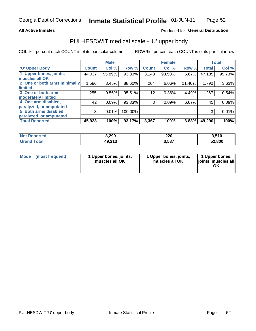## **All Active Inmates**

## Produced for General Distribution

# PULHESDWIT medical scale - 'U' upper body

COL % - percent each COUNT is of its particular column

|                              |              | <b>Male</b> |         |              | <b>Female</b> |        |              | <b>Total</b> |
|------------------------------|--------------|-------------|---------|--------------|---------------|--------|--------------|--------------|
| <b>U' Upper Body</b>         | <b>Count</b> | Col %       | Row %   | <b>Count</b> | Col %         | Row %  | <b>Total</b> | Col %        |
| 1 Upper bones, joints,       | 44,037       | 95.89%      | 93.33%  | 3,148        | 93.50%        | 6.67%  | 47,185       | 95.73%       |
| muscles all OK               |              |             |         |              |               |        |              |              |
| 2 One or both arms minimally | 1,586        | 3.45%       | 88.60%  | 204          | 6.06%         | 11.40% | 1,790        | 3.63%        |
| limited                      |              |             |         |              |               |        |              |              |
| 3 One or both arms           | 255          | 0.56%       | 95.51%  | 12           | 0.36%         | 4.49%  | 267          | 0.54%        |
| <b>moderately limited</b>    |              |             |         |              |               |        |              |              |
| 4 One arm disabled,          | 42           | 0.09%       | 93.33%  | 3            | 0.09%         | 6.67%  | 45           | 0.09%        |
| paralyzed, or amputated      |              |             |         |              |               |        |              |              |
| 5 Both arms disabled,        | 3            | 0.01%       | 100.00% |              |               |        | 3            | 0.01%        |
| paralyzed, or amputated      |              |             |         |              |               |        |              |              |
| <b>Total Reported</b>        | 45,923       | 100%        | 93.17%  | 3,367        | 100%          | 6.83%  | 49,290       | 100%         |

| <b>Not Reported</b>          | 3,290  | 220   | 3,510  |
|------------------------------|--------|-------|--------|
| <b>Total</b><br><b>Grand</b> | 49,213 | 3,587 | 52,800 |

|  | Mode (most frequent) | 1 Upper bones, joints,<br>muscles all OK | 1 Upper bones, joints,<br>muscles all OK | 1 Upper bones,<br>ljoints, muscles all<br>ΟK |
|--|----------------------|------------------------------------------|------------------------------------------|----------------------------------------------|
|--|----------------------|------------------------------------------|------------------------------------------|----------------------------------------------|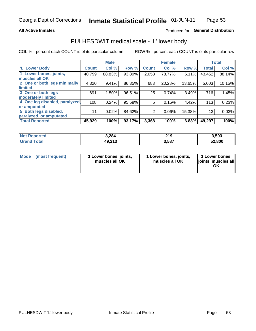## **All Active Inmates**

## Produced for General Distribution

# PULHESDWIT medical scale - 'L' lower body

COL % - percent each COUNT is of its particular column

|                                |              | <b>Male</b> |        |              | <b>Female</b> |        |                 | <b>Total</b> |
|--------------------------------|--------------|-------------|--------|--------------|---------------|--------|-----------------|--------------|
| 'L' Lower Body                 | <b>Count</b> | Col %       | Row %  | <b>Count</b> | Col %         | Row %  | <b>Total</b>    | Col %        |
| 1 Lower bones, joints,         | 40,799       | 88.83%      | 93.89% | 2,653        | 78.77%        | 6.11%  | 43,452          | 88.14%       |
| muscles all OK                 |              |             |        |              |               |        |                 |              |
| 2 One or both legs minimally   | 4,320        | 9.41%       | 86.35% | 683          | 20.28%        | 13.65% | 5,003           | 10.15%       |
| limited                        |              |             |        |              |               |        |                 |              |
| 3 One or both legs             | 691          | 1.50%       | 96.51% | 25           | 0.74%         | 3.49%  | 716             | 1.45%        |
| moderately limited             |              |             |        |              |               |        |                 |              |
| 4 One leg disabled, paralyzed, | 108          | 0.24%       | 95.58% | 5            | 0.15%         | 4.42%  | 113             | 0.23%        |
| or amputated                   |              |             |        |              |               |        |                 |              |
| 5 Both legs disabled,          | 11           | 0.02%       | 84.62% | 2            | 0.06%         | 15.38% | 13 <sub>1</sub> | 0.03%        |
| paralyzed, or amputated        |              |             |        |              |               |        |                 |              |
| <b>Total Reported</b>          | 45,929       | 100%        | 93.17% | 3,368        | 100%          | 6.83%  | 49,297          | 100%         |

| <b>Not Reported</b>   | 3,284  | 219   | 3,503  |
|-----------------------|--------|-------|--------|
| <b>Total</b><br>Grand | 49,213 | 3,587 | 52,800 |

|  | Mode (most frequent) | 1 Lower bones, joints,<br>muscles all OK | 1 Lower bones, joints,<br>muscles all OK | 1 Lower bones,<br>joints, muscles all<br>ΟK |
|--|----------------------|------------------------------------------|------------------------------------------|---------------------------------------------|
|--|----------------------|------------------------------------------|------------------------------------------|---------------------------------------------|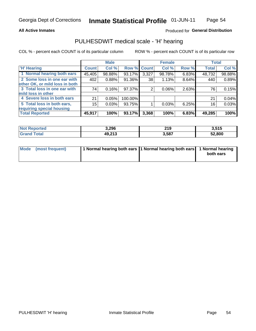## **All Active Inmates**

## Produced for General Distribution

# PULHESDWIT medical scale - 'H' hearing

COL % - percent each COUNT is of its particular column

|                                |              | <b>Male</b> |             |       | <b>Female</b> |       | <b>Total</b> |        |
|--------------------------------|--------------|-------------|-------------|-------|---------------|-------|--------------|--------|
| <b>'H' Hearing</b>             | <b>Count</b> | Col %       | Row % Count |       | Col %         | Row % | <b>Total</b> | Col %  |
| 1 Normal hearing both ears     | 45,405       | 98.88%      | 93.17%      | 3,327 | 98.78%        | 6.83% | 48,732       | 98.88% |
| 2 Some loss in one ear with    | 402          | 0.88%       | 91.36%      | 38    | 1.13%         | 8.64% | 440          | 0.89%  |
| other OK, or mild loss in both |              |             |             |       |               |       |              |        |
| 3 Total loss in one ear with   | 74           | 0.16%       | 97.37%      | 2     | 0.06%         | 2.63% | 76           | 0.15%  |
| mild loss in other             |              |             |             |       |               |       |              |        |
| 4 Severe loss in both ears     | 21           | 0.05%       | 100.00%     |       |               |       | 21           | 0.04%  |
| 5 Total loss in both ears,     | 15           | 0.03%       | 93.75%      |       | 0.03%         | 6.25% | 16           | 0.03%  |
| requiring special housing      |              |             |             |       |               |       |              |        |
| <b>Total Reported</b>          | 45,917       | 100%        | 93.17%      | 3,368 | 100%          | 6.83% | 49,285       | 100%   |

| <b>Not Renc</b><br><b>ported</b> | 3,296  | 240<br>2 I J | 3,515  |
|----------------------------------|--------|--------------|--------|
| Total                            | 49,213 | 3,587        | 52,800 |

| Mode (most frequent) | 1 Normal hearing both ears 11 Normal hearing both ears 1 Normal hearing | both ears |
|----------------------|-------------------------------------------------------------------------|-----------|
|                      |                                                                         |           |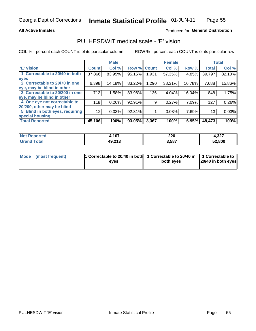## **All Active Inmates**

## Produced for General Distribution

# PULHESDWIT medical scale - 'E' vision

COL % - percent each COUNT is of its particular column

|                                 |              | <b>Male</b> |        |              | <b>Female</b> |        |              | <b>Total</b> |
|---------------------------------|--------------|-------------|--------|--------------|---------------|--------|--------------|--------------|
| 'E' Vision                      | <b>Count</b> | Col %       | Row %  | <b>Count</b> | Col %         | Row %  | <b>Total</b> | Col %        |
| 1 Correctable to 20/40 in both  | 37,866       | 83.95%      | 95.15% | 1,931        | 57.35%        | 4.85%  | 39,797       | 82.10%       |
| eyes                            |              |             |        |              |               |        |              |              |
| 2 Correctable to 20/70 in one   | 6,398        | 14.18%      | 83.22% | 1,290        | 38.31%        | 16.78% | 7,688        | 15.86%       |
| eye, may be blind in other      |              |             |        |              |               |        |              |              |
| 3 Correctable to 20/200 in one  | 712          | 1.58%       | 83.96% | 136          | 4.04%         | 16.04% | 848          | 1.75%        |
| eye, may be blind in other      |              |             |        |              |               |        |              |              |
| 4 One eye not correctable to    | 118          | 0.26%       | 92.91% | 9            | 0.27%         | 7.09%  | 127          | 0.26%        |
| 20/200, other may be blind      |              |             |        |              |               |        |              |              |
| 5 Blind in both eyes, requiring | 12           | 0.03%       | 92.31% |              | 0.03%         | 7.69%  | 13           | 0.03%        |
| special housing                 |              |             |        |              |               |        |              |              |
| <b>Total Reported</b>           | 45,106       | 100%        | 93.05% | 3,367        | 100%          | 6.95%  | 48,473       | 100%         |

| Reported<br><b>Not</b> | .107   | 220   | 4,327  |
|------------------------|--------|-------|--------|
| T∩tal                  | 49,213 | 3,587 | 52,800 |

| Mode (most frequent) | 1 Correctable to 20/40 in both<br>eves | 1 Correctable to 20/40 in   1 Correctable to  <br>both eves | 20/40 in both eyes |
|----------------------|----------------------------------------|-------------------------------------------------------------|--------------------|
|                      |                                        |                                                             |                    |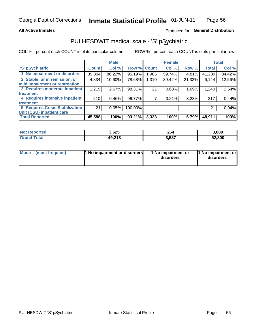## **All Active Inmates**

## Produced for General Distribution

# PULHESDWIT medical scale - 'S' pSychiatric

COL % - percent each COUNT is of its particular column

|                                        |              | <b>Male</b> |         |              | <b>Female</b> |        |              | <b>Total</b> |
|----------------------------------------|--------------|-------------|---------|--------------|---------------|--------|--------------|--------------|
| 'S' pSychiatric                        | <b>Count</b> | Col %       | Row %   | <b>Count</b> | Col %         | Row %  | <b>Total</b> | Col %        |
| 1 No impairment or disorders           | 39,304       | 86.22%      | 95.19%  | .985         | 59.74%        | 4.81%  | 41,289       | 84.42%       |
| 2 Stable, or in remission, or          | 4,834        | 10.60%      | 78.68%  | 1,310        | 39.42%        | 21.32% | 6,144        | 12.56%       |
| mild impairment or retardation         |              |             |         |              |               |        |              |              |
| 3 Requires moderate inpatient          | 1,219        | 2.67%       | 98.31%  | 21           | 0.63%         | 1.69%  | 1,240        | 2.54%        |
| treatment                              |              |             |         |              |               |        |              |              |
| 4 Requires intensive inpatient         | 210          | 0.46%       | 96.77%  |              | 0.21%         | 3.23%  | 217          | 0.44%        |
| treatment                              |              |             |         |              |               |        |              |              |
| <b>5 Requires Crisis Stabilization</b> | 21           | 0.05%       | 100.00% |              |               |        | 21           | 0.04%        |
| Unit (CSU) inpatient care              |              |             |         |              |               |        |              |              |
| <b>Total Reported</b>                  | 45,588       | 100%        | 93.21%  | 3,323        | 100%          | 6.79%  | 48,911       | 100%         |

| <b>Not Reported</b>   | 3,625  | 264   | 3,889  |
|-----------------------|--------|-------|--------|
| Total<br><b>Grand</b> | 49,213 | 3,587 | 52,800 |

| Mode<br>1 No impairment or disorders<br>(most frequent) | 1 No impairment or<br>disorders | 1 No impairment or<br>disorders |
|---------------------------------------------------------|---------------------------------|---------------------------------|
|---------------------------------------------------------|---------------------------------|---------------------------------|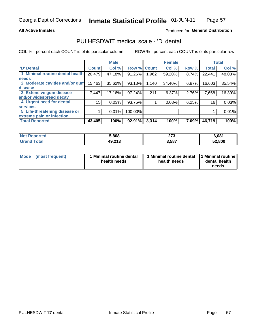## **All Active Inmates**

## Produced for General Distribution

# PULHESDWIT medical scale - 'D' dental

COL % - percent each COUNT is of its particular column

|                                 |              | <b>Male</b> |         |              | <b>Female</b> |       |              | <b>Total</b> |
|---------------------------------|--------------|-------------|---------|--------------|---------------|-------|--------------|--------------|
| <b>D'</b> Dental                | <b>Count</b> | Col %       | Row %   | <b>Count</b> | Col %         | Row % | <b>Total</b> | Col %        |
| 1 Minimal routine dental health | 20,479       | 47.18%      | 91.26%  | .962         | 59.20%        | 8.74% | 22,441       | 48.03%       |
| <b>needs</b>                    |              |             |         |              |               |       |              |              |
| 2 Moderate cavities and/or gum  | 15,463       | 35.62%      | 93.13%  | 1,140        | 34.40%        | 6.87% | 16,603       | 35.54%       |
| disease                         |              |             |         |              |               |       |              |              |
| 3 Extensive gum disease         | 7,447        | 17.16%      | 97.24%  | 211          | 6.37%         | 2.76% | 7,658        | 16.39%       |
| and/or widespread decay         |              |             |         |              |               |       |              |              |
| 4 Urgent need for dental        | 15           | 0.03%       | 93.75%  |              | 0.03%         | 6.25% | 16           | 0.03%        |
| <b>services</b>                 |              |             |         |              |               |       |              |              |
| 5 Life-threatening disease or   |              | 0.01%       | 100.00% |              |               |       |              | 0.01%        |
| extreme pain or infection       |              |             |         |              |               |       |              |              |
| <b>Total Reported</b>           | 43,405       | 100%        | 92.91%  | 3,314        | 100%          | 7.09% | 46,719       | 100%         |

| <b>Not Reported</b> | 5,808  | 27<br>41 J | 6,081  |
|---------------------|--------|------------|--------|
| <b>Grand Total</b>  | 49,213 | 3,587      | 52,800 |

| 1 Minimal routine dental<br>Mode<br>(most frequent)<br>health needs | 1 Minimal routine dental 1 Minimal routine<br>health needs | dental health<br>needs |
|---------------------------------------------------------------------|------------------------------------------------------------|------------------------|
|---------------------------------------------------------------------|------------------------------------------------------------|------------------------|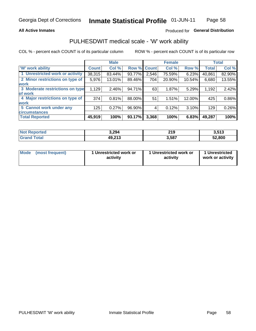## **All Active Inmates**

## Produced for General Distribution

# PULHESDWIT medical scale - 'W' work ability

COL % - percent each COUNT is of its particular column

|                                 |              | <b>Male</b> |        |              | <b>Female</b> |        |              | <b>Total</b> |
|---------------------------------|--------------|-------------|--------|--------------|---------------|--------|--------------|--------------|
| <b>W' work ability</b>          | <b>Count</b> | Col %       | Row %  | <b>Count</b> | Col %         | Row %  | <b>Total</b> | Col %        |
| 1 Unrestricted work or activity | 38,315       | 83.44%      | 93.77% | 2,546        | 75.59%        | 6.23%  | 40,861       | 82.90%       |
| 2 Minor restrictions on type of | 5,976        | 13.01%      | 89.46% | 704          | 20.90%        | 10.54% | 6,680        | 13.55%       |
| <b>work</b>                     |              |             |        |              |               |        |              |              |
| 3 Moderate restrictions on type | 1,129        | 2.46%       | 94.71% | 63           | 1.87%         | 5.29%  | 1,192        | 2.42%        |
| lof work                        |              |             |        |              |               |        |              |              |
| 4 Major restrictions on type of | 374          | 0.81%       | 88.00% | 51           | 1.51%         | 12.00% | 425          | 0.86%        |
| <b>work</b>                     |              |             |        |              |               |        |              |              |
| 5 Cannot work under any         | 125          | 0.27%       | 96.90% |              | 0.12%         | 3.10%  | 129          | 0.26%        |
| <b>circumstances</b>            |              |             |        |              |               |        |              |              |
| <b>Total Reported</b>           | 45,919       | 100%        | 93.17% | 3,368        | 100%          | 6.83%  | 49,287       | 100%         |

| <b>Not Reported</b>          | 3,294  | <b>210</b><br><b>45</b> | 3,513  |
|------------------------------|--------|-------------------------|--------|
| <b>Total</b><br><b>Grand</b> | 49,213 | 3,587                   | 52,800 |

| Mode            | 1 Unrestricted work or | 1 Unrestricted work or | 1 Unrestricted   |
|-----------------|------------------------|------------------------|------------------|
| (most frequent) | activity               | activity               | work or activity |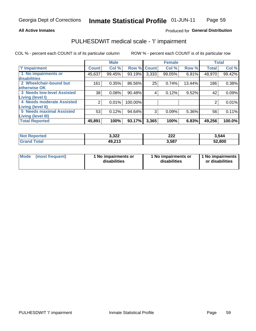## **All Active Inmates**

## Produced for General Distribution

# PULHESDWIT medical scale - 'I' impairment

COL % - percent each COUNT is of its particular column

|                                                              |              | <b>Male</b> |             |       | <b>Female</b> |        |              | <b>Total</b> |
|--------------------------------------------------------------|--------------|-------------|-------------|-------|---------------|--------|--------------|--------------|
| <b>T' Impairment</b>                                         | <b>Count</b> | Col %       | Row % Count |       | Col %         | Row %  | <b>Total</b> | Col %        |
| 1 No impairments or<br>disabilities                          | 45,637       | 99.45%      | 93.19%      | 3,333 | 99.05%        | 6.81%  | 48,970       | 99.42%       |
| 2 Wheelchair-bound but<br>otherwise OK                       | 161          | 0.35%       | 86.56%      | 25    | 0.74%         | 13.44% | 186          | 0.38%        |
| <b>3 Needs low-level Assisted</b><br>Living (level I)        | 38           | 0.08%       | 90.48%      | 4     | 0.12%         | 9.52%  | 42           | 0.09%        |
| 4 Needs moderate Assisted<br>Living (level II)               | 2            | 0.01%       | 100.00%     |       |               |        |              | 0.01%        |
| <b>5 Needs maximal Assisted</b><br><b>Living (level III)</b> | 53           | 0.12%       | 94.64%      | 3     | 0.09%         | 5.36%  | 56           | 0.11%        |
| <b>Total Reported</b>                                        | 45,891       | 100%        | 93.17%      | 3,365 | 100%          | 6.83%  | 49,256       | 100.0%       |

| <b>Not</b><br>Reported | 3,322  | ົາລິ<br>ZZZ | 3,544  |
|------------------------|--------|-------------|--------|
| Total                  | 49,213 | 3,587       | 52,800 |

| Mode | (most frequent) | 1 No impairments or<br>disabilities | 1 No impairments or<br>disabilities | 1 No impairments<br>or disabilities |
|------|-----------------|-------------------------------------|-------------------------------------|-------------------------------------|
|------|-----------------|-------------------------------------|-------------------------------------|-------------------------------------|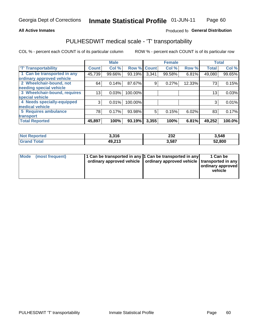## **All Active Inmates**

## Produced fo General Distribution

# PULHESDWIT medical scale - 'T' transportability

COL % - percent each COUNT is of its particular column

|                              |              | <b>Male</b> |         |              | <b>Female</b> |        |              | <b>Total</b> |
|------------------------------|--------------|-------------|---------|--------------|---------------|--------|--------------|--------------|
| <b>T' Transportability</b>   | <b>Count</b> | Col %       | Row %   | <b>Count</b> | Col %         | Row %  | <b>Total</b> | Col %        |
| 1 Can be transported in any  | 45,739       | 99.66%      | 93.19%  | 3,341        | 99.58%        | 6.81%  | 49,080       | 99.65%       |
| ordinary approved vehicle    |              |             |         |              |               |        |              |              |
| 2 Wheelchair-bound, not      | 64           | 0.14%       | 87.67%  | 9            | 0.27%         | 12.33% | 73           | 0.15%        |
| needing special vehicle      |              |             |         |              |               |        |              |              |
| 3 Wheelchair-bound, requires | 13           | 0.03%       | 100.00% |              |               |        | 13           | 0.03%        |
| special vehicle              |              |             |         |              |               |        |              |              |
| 4 Needs specially-equipped   | 3            | 0.01%       | 100.00% |              |               |        | 3            | 0.01%        |
| medical vehicle              |              |             |         |              |               |        |              |              |
| <b>5 Requires ambulance</b>  | 78           | 0.17%       | 93.98%  | 5            | 0.15%         | 6.02%  | 83           | 0.17%        |
| transport                    |              |             |         |              |               |        |              |              |
| <b>Total Reported</b>        | 45,897       | 100%        | 93.19%  | 3,355        | 100%          | 6.81%  | 49,252       | 100.0%       |

| $^{\dagger}$ Not $\cdot$<br>Reported | 3,316  | ົາາາ<br>ZJZ<br>____ | 3,548  |
|--------------------------------------|--------|---------------------|--------|
| `otal                                | 49,213 | 3.587               | 52,800 |

|  | Mode (most frequent) | 1 Can be transported in any 1 Can be transported in any<br>ordinary approved vehicle   ordinary approved vehicle   transported in any |  | 1 Can be<br>  ordinary approved  <br>vehicle |
|--|----------------------|---------------------------------------------------------------------------------------------------------------------------------------|--|----------------------------------------------|
|--|----------------------|---------------------------------------------------------------------------------------------------------------------------------------|--|----------------------------------------------|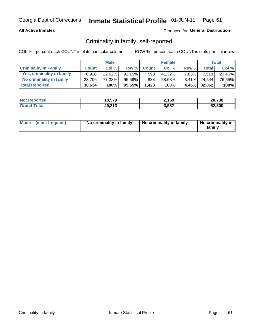## **All Active Inmates**

## Produced for General Distribution

# Criminality in family, self-reported

COL % - percent each COUNT is of its particular column

|                              |              | <b>Male</b> |           |              | <b>Female</b> |          |              | Total  |
|------------------------------|--------------|-------------|-----------|--------------|---------------|----------|--------------|--------|
| <b>Criminality In Family</b> | <b>Count</b> | Col%        | Row %     | <b>Count</b> | Col %         | Row %    | <b>Total</b> | Col %  |
| Yes, criminality in family   | 6.928        | $22.62\%$   | $92.15\%$ | 590          | 41.32%        | $7.85\%$ | 7,518        | 23.45% |
| No criminality in family     | 23.706       | 77.38%      | 96.59%    | 838          | 58.68%        |          | 3.41% 24.544 | 76.55% |
| <b>Total Reported</b>        | 30,634       | 100%        | $95.55\%$ | 1,428        | 100%          |          | 4.45% 32,062 | 100%   |

| <b>Not Reported</b> | 18,579 | 2,159 | 20,738 |
|---------------------|--------|-------|--------|
| <b>Tota</b>         | 49,213 | 3,587 | 52.800 |

|  | Mode (most frequent) | No criminality in family | No criminality in family | No criminality in<br>family |
|--|----------------------|--------------------------|--------------------------|-----------------------------|
|--|----------------------|--------------------------|--------------------------|-----------------------------|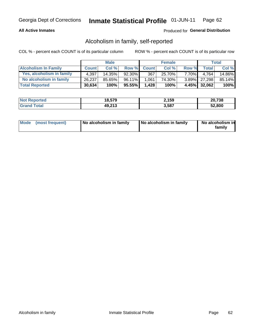## **All Active Inmates**

## Produced for General Distribution

# Alcoholism in family, self-reported

COL % - percent each COUNT is of its particular column

|                             |              | <b>Male</b> |        |              | <b>Female</b> |        |              | Total  |
|-----------------------------|--------------|-------------|--------|--------------|---------------|--------|--------------|--------|
| <b>Alcoholism In Family</b> | <b>Count</b> | Col%        | Row %  | <b>Count</b> | Col %         | Row %  | <b>Total</b> | Col %  |
| Yes, alcoholism in family   | 4.397        | $14.35\%$   | 92.30% | 367          | 25.70%        | 7.70%I | 4.764        | 14.86% |
| No alcoholism in family     | 26,237       | 85.65%      | 96.11% | 1,061        | 74.30%        |        | 3.89% 27,298 | 85.14% |
| <b>Total Reported</b>       | 30,634       | 100%        | 95.55% | 1.428        | 100%          |        | 4.45% 32,062 | 100%   |

| <b>Not Reported</b> | 18,579 | 2,159 | 20,738 |
|---------------------|--------|-------|--------|
| <b>Tota</b>         | 49,213 | 3,587 | 52.800 |

|  | Mode (most frequent) | No alcoholism in family | No alcoholism in family | No alcoholism in<br>family |
|--|----------------------|-------------------------|-------------------------|----------------------------|
|--|----------------------|-------------------------|-------------------------|----------------------------|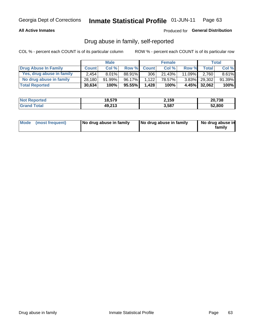## **All Active Inmates**

## Produced for General Distribution

# Drug abuse in family, self-reported

COL % - percent each COUNT is of its particular column

|                           |              | <b>Male</b> |        |              | <b>Female</b> |           |              | Total    |
|---------------------------|--------------|-------------|--------|--------------|---------------|-----------|--------------|----------|
| Drug Abuse In Family      | <b>Count</b> | Col%        | Row %  | <b>Count</b> | Col%          | Row %     | Total        | Col %    |
| Yes, drug abuse in family | 2.454        | $8.01\%$    | 88.91% | 306          | 21.43%        | $11.09\%$ | 2.760        | $8.61\%$ |
| No drug abuse in family   | 28,180       | 91.99%      | 96.17% | 1.122        | 78.57%        |           | 3.83% 29,302 | 91.39%   |
| <b>Total Reported</b>     | 30,634       | 100%        | 95.55% | 1,428        | 100%          |           | 4.45% 32,062 | $100\%$  |

| <b>Not Reported</b>      | 18,579 | 2,159 | 20,738 |
|--------------------------|--------|-------|--------|
| <b>∣Grand T</b><br>™otal | 49,213 | 3,587 | 52.800 |

|  | Mode (most frequent) | No drug abuse in family | No drug abuse in family | No drug abuse in<br>familv |
|--|----------------------|-------------------------|-------------------------|----------------------------|
|--|----------------------|-------------------------|-------------------------|----------------------------|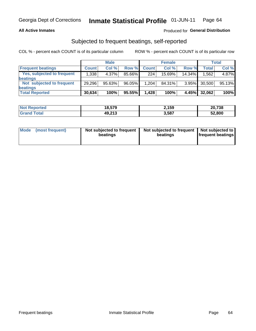## **All Active Inmates**

## Produced for General Distribution

# Subjected to frequent beatings, self-reported

COL % - percent each COUNT is of its particular column

|                            |              | <b>Male</b> |        |              | <b>Female</b> |          |              | Total  |
|----------------------------|--------------|-------------|--------|--------------|---------------|----------|--------------|--------|
| <b>Frequent beatings</b>   | <b>Count</b> | Col %       | Row %  | <b>Count</b> | Col %         | Row %    | <b>Total</b> | Col %  |
| Yes, subjected to frequent | 1,338        | 4.37%       | 85.66% | 224          | 15.69%        | 14.34%   | 1,562        | 4.87%  |
| beatings                   |              |             |        |              |               |          |              |        |
| Not subjected to frequent  | 29.296       | 95.63%      | 96.05% | 1.204        | 84.31%        | $3.95\%$ | 30,500       | 95.13% |
| beatings                   |              |             |        |              |               |          |              |        |
| <b>Total Reported</b>      | 30,634       | 100%        | 95.55% | 1,428        | 100%          | 4.45%    | 32,062       | 100%   |

| <b>Not Reported</b> | 18,579 | 2,159 | 20,738 |
|---------------------|--------|-------|--------|
| <b>Grand Total</b>  | 49,213 | 3,587 | 52,800 |

| Mode (most frequent) | Not subjected to frequent<br>beatings | Not subjected to frequent<br>beatings | Not subjected to<br><b>frequent beatings</b> |
|----------------------|---------------------------------------|---------------------------------------|----------------------------------------------|
|                      |                                       |                                       |                                              |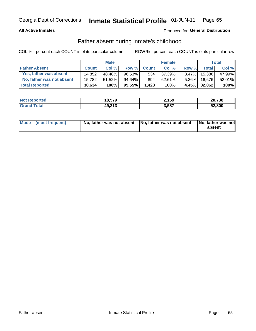## **All Active Inmates**

## Produced for General Distribution

# Father absent during inmate's childhood

COL % - percent each COUNT is of its particular column

|                           |              | <b>Male</b> |           |              | <b>Female</b> |          |              | Total  |
|---------------------------|--------------|-------------|-----------|--------------|---------------|----------|--------------|--------|
| <b>Father Absent</b>      | <b>Count</b> | Col%        | Row %     | <b>Count</b> | Col %         | Row %    | <b>Total</b> | Col %  |
| Yes, father was absent    | 14.852       | 48.48%      | $96.53\%$ | 534          | 37.39%        | $3.47\%$ | 15.386       | 47.99% |
| No, father was not absent | 15.782       | 51.52%      | 94.64% I  | 894          | 62.61%        | $5.36\%$ | 16.676       | 52.01% |
| <b>Total Reported</b>     | 30,634       | 100%        | 95.55%    | 1,428        | 100%          |          | 4.45% 32,062 | 100%   |

| <b>Not Reported</b> | 18,579 | 2,159 | 20,738 |
|---------------------|--------|-------|--------|
| <b>Srand Total</b>  | 49,213 | 3,587 | 52,800 |

|  | Mode (most frequent) |  | No, father was not absent No, father was not absent No, father was not | absent |
|--|----------------------|--|------------------------------------------------------------------------|--------|
|--|----------------------|--|------------------------------------------------------------------------|--------|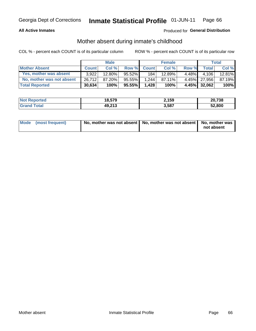## **All Active Inmates**

## Produced for General Distribution

# Mother absent during inmate's childhood

COL % - percent each COUNT is of its particular column

|                           |              | <b>Male</b> |        |              | <b>Female</b> |        |              | <b>Total</b> |
|---------------------------|--------------|-------------|--------|--------------|---------------|--------|--------------|--------------|
| <b>Mother Absent</b>      | <b>Count</b> | Col%        | Row %  | <b>Count</b> | Col %         | Row %  | <b>Total</b> | Col %        |
| Yes, mother was absent    | 3.922        | 12.80%      | 95.52% | 184          | 12.89%        | 4.48%I | 4.106        | 12.81%       |
| No, mother was not absent | 26,712       | 87.20%      | 95.55% | 1.244        | $87.11\%$     |        | 4.45% 27,956 | 87.19%       |
| <b>Total Reported</b>     | 30,634       | 100%        | 95.55% | 1,428        | 100%          |        | 4.45% 32,062 | 100%         |

| <b>Not Reported</b> | 18.579 | 2,159 | 20,738 |
|---------------------|--------|-------|--------|
| <b>Tota</b>         | 49,213 | 3,587 | 52,800 |

| Mode (most frequent) | No, mother was not absent   No, mother was not absent   No, mother was | not absent |
|----------------------|------------------------------------------------------------------------|------------|
|                      |                                                                        |            |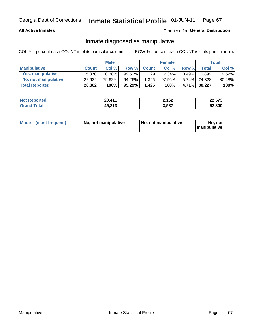## **All Active Inmates**

## Produced for General Distribution

# Inmate diagnosed as manipulative

COL % - percent each COUNT is of its particular column

|                       |              | <b>Male</b> |           |              | <b>Female</b> |          |              | Total  |
|-----------------------|--------------|-------------|-----------|--------------|---------------|----------|--------------|--------|
| <b>Manipulative</b>   | <b>Count</b> | Col %       | Row %     | <b>Count</b> | Col%          | Row %    | <b>Total</b> | Col %  |
| Yes, manipulative     | 5.870        | 20.38%      | $99.51\%$ | 29           | 2.04%         | 0.49%    | 5.899        | 19.52% |
| No, not manipulative  | 22,932       | 79.62%      | 94.26%    | 1,396        | 97.96%        | $5.74\%$ | 24.328       | 80.48% |
| <b>Total Reported</b> | 28,802       | 100%        | 95.29%    | 1.425        | 100%          |          | 4.71% 30,227 | 100%   |

| <b>Not Reported</b>     | 20,411 | 2,162 | <b>00 E70</b><br>22,573 |
|-------------------------|--------|-------|-------------------------|
| <b>Total</b><br>l Grand | 49,213 | 3,587 | 52,800                  |

|  | Mode (most frequent) | No, not manipulative | No, not manipulative | No. not<br><b>I</b> manipulative |
|--|----------------------|----------------------|----------------------|----------------------------------|
|--|----------------------|----------------------|----------------------|----------------------------------|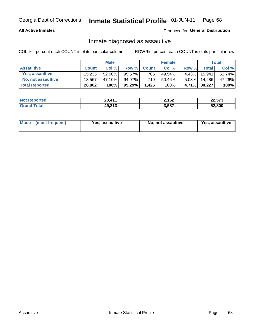## **All Active Inmates**

## Produced for General Distribution

# Inmate diagnosed as assaultive

COL % - percent each COUNT is of its particular column

|                           |              | <b>Male</b> |        |              | <b>Female</b> |          |              | Total  |
|---------------------------|--------------|-------------|--------|--------------|---------------|----------|--------------|--------|
| <b>Assaultive</b>         | <b>Count</b> | Col%        | Row %  | <b>Count</b> | Col %         | Row %    | <b>Total</b> | Col %  |
| Yes, assaultive           | 15.235       | 52.90%      | 95.57% | 706          | 49.54%        | $4.43\%$ | 15.941       | 52.74% |
| <b>No, not assaultive</b> | 13.567       | 47.10%      | 94.97% | 719          | $50.46\%$     | $5.03\%$ | 14,286       | 47.26% |
| <b>Total Reported</b>     | 28,802       | 100%        | 95.29% | 1,425        | 100%          |          | 4.71% 30,227 | 100%   |

| <b>Not Reported</b> | .411<br>20, | 2,162 | 22,573 |
|---------------------|-------------|-------|--------|
| <b>Tota</b>         | 49,213      | 3,587 | 52.800 |

| Mode (most frequent) | Yes, assaultive | No, not assaultive | <b>Yes, assaultive</b> |
|----------------------|-----------------|--------------------|------------------------|
|----------------------|-----------------|--------------------|------------------------|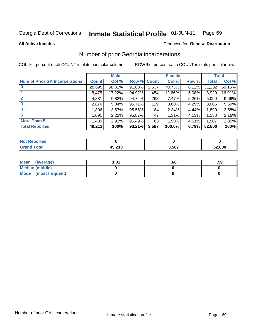### Inmate Statistical Profile 01-JUN-11 Page 69

**All Active Inmates** 

## **Produced for General Distribution**

# Number of prior Georgia incarcerations

COL % - percent each COUNT is of its particular column

|                                       |              | <b>Male</b> |                    |       | <b>Female</b> |       |        | <b>Total</b> |
|---------------------------------------|--------------|-------------|--------------------|-------|---------------|-------|--------|--------------|
| <b>Num of Prior GA Incarcerations</b> | <b>Count</b> | Col %       | <b>Row % Count</b> |       | Col %         | Row % | Total  | Col %        |
| $\bf{0}$                              | 28,695       | 58.31%      | 91.88%             | 2,537 | 70.73%        | 8.12% | 31,232 | 59.15%       |
|                                       | 8,475        | 17.22%      | 94.92%             | 454   | 12.66%        | 5.08% | 8,929  | 16.91%       |
| $\mathbf{2}$                          | 4,831        | 9.82%       | 94.74%             | 268   | 7.47%         | 5.26% | 5,099  | 9.66%        |
| 3                                     | 2,876        | 5.84%       | 95.71%             | 129   | 3.60%         | 4.29% | 3,005  | 5.69%        |
| 4                                     | 1,806        | 3.67%       | 95.56%             | 84    | 2.34%         | 4.44% | 1,890  | 3.58%        |
| 5                                     | 1,091        | 2.22%       | 95.87%             | 47    | 1.31%         | 4.13% | 1,138  | 2.16%        |
| <b>More Than 5</b>                    | 1,439        | 2.92%       | 95.49%             | 68    | 1.90%         | 4.51% | 1,507  | 2.85%        |
| <b>Total Reported</b>                 | 49,213       | 100%        | 93.21%             | 3,587 | 100.0%        | 6.79% | 52,800 | 100%         |

| <b>Not</b><br>Reported |        |       |        |
|------------------------|--------|-------|--------|
| Total<br>'Grand        | 49,213 | 3,587 | 52,800 |

| Mean (average)       | l.01 | .00 | .99 |
|----------------------|------|-----|-----|
| Median (middle)      |      |     |     |
| Mode (most frequent) |      |     |     |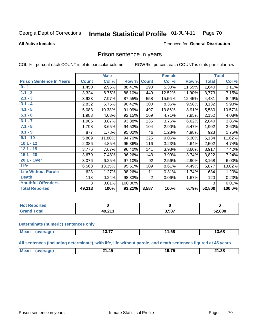#### **Inmate Statistical Profile 01-JUN-11** Page 70

### **All Active Inmates**

## Produced for General Distribution

## Prison sentence in years

COL % - percent each COUNT is of its particular column

ROW % - percent each COUNT is of its particular row

|                                 |              | <b>Male</b> |         |              | <b>Female</b> |        |              | <b>Total</b> |
|---------------------------------|--------------|-------------|---------|--------------|---------------|--------|--------------|--------------|
| <b>Prison Sentence In Years</b> | <b>Count</b> | Col %       | Row %   | <b>Count</b> | Col %         | Row %  | <b>Total</b> | Col %        |
| $0 - 1$                         | 1,450        | 2.95%       | 88.41%  | 190          | 5.30%         | 11.59% | 1,640        | 3.11%        |
| $1.1 - 2$                       | 3,324        | 6.75%       | 88.10%  | 449          | 12.52%        | 11.90% | 3,773        | 7.15%        |
| $2.1 - 3$                       | 3,923        | 7.97%       | 87.55%  | 558          | 15.56%        | 12.45% | 4,481        | 8.49%        |
| $3.1 - 4$                       | 2,832        | 5.75%       | 90.42%  | 300          | 8.36%         | 9.58%  | 3,132        | 5.93%        |
| $4.1 - 5$                       | 5,083        | 10.33%      | 91.09%  | 497          | 13.86%        | 8.91%  | 5,580        | 10.57%       |
| $5.1 - 6$                       | 1,983        | 4.03%       | 92.15%  | 169          | 4.71%         | 7.85%  | 2,152        | 4.08%        |
| $6.1 - 7$                       | 1,905        | 3.87%       | 93.38%  | 135          | 3.76%         | 6.62%  | 2,040        | 3.86%        |
| $7.1 - 8$                       | 1,798        | 3.65%       | 94.53%  | 104          | 2.90%         | 5.47%  | 1,902        | 3.60%        |
| $8.1 - 9$                       | 877          | 1.78%       | 95.02%  | 46           | 1.28%         | 4.98%  | 923          | 1.75%        |
| $9.1 - 10$                      | 5,809        | 11.80%      | 94.70%  | 325          | 9.06%         | 5.30%  | 6,134        | 11.62%       |
| $10.1 - 12$                     | 2,386        | 4.85%       | 95.36%  | 116          | 3.23%         | 4.64%  | 2,502        | 4.74%        |
| $12.1 - 15$                     | 3,776        | 7.67%       | 96.40%  | 141          | 3.93%         | 3.60%  | 3,917        | 7.42%        |
| $15.1 - 20$                     | 3,679        | 7.48%       | 96.26%  | 143          | 3.99%         | 3.74%  | 3,822        | 7.24%        |
| 20.1 - Over                     | 3,076        | 6.25%       | 97.10%  | 92           | 2.56%         | 2.90%  | 3,168        | 6.00%        |
| <b>Life</b>                     | 6,568        | 13.35%      | 95.51%  | 309          | 8.61%         | 4.49%  | 6,877        | 13.02%       |
| <b>Life Without Parole</b>      | 623          | 1.27%       | 98.26%  | 11           | 0.31%         | 1.74%  | 634          | 1.20%        |
| <b>Death</b>                    | 118          | 0.24%       | 98.33%  | 2            | 0.06%         | 1.67%  | 120          | 0.23%        |
| <b>Youthful Offenders</b>       | 3            | 0.01%       | 100.00% |              |               |        | 3            | 0.01%        |
| <b>Total Reported</b>           | 49,213       | 100%        | 93.21%  | 3,587        | 100%          | 6.79%  | 52,800       | 100.0%       |

| <b>Not Reported</b> |        |       |        |
|---------------------|--------|-------|--------|
| $n+n$<br>. Caro     | 10.212 | 3,587 | 52,800 |

### **Determinate (numeric) sentences only**

| <b>Mean</b> | ממו | ---<br>15.Tr | 1.68 | 3.68 |
|-------------|-----|--------------|------|------|
|             |     |              |      |      |

All sentences (including determinate), with life, life without parole, and death sentences figured at 45 years

| 19.7 <sup>r</sup><br>$M\Omega$<br>. .<br>21.38<br>- 14<br>a,<br>__<br>___ |  |  |  |
|---------------------------------------------------------------------------|--|--|--|
|                                                                           |  |  |  |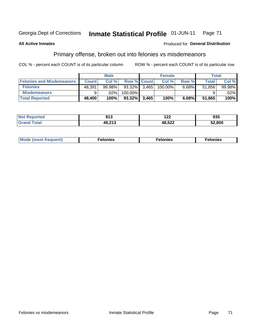#### **Inmate Statistical Profile 01-JUN-11** Georgia Dept of Corrections Page 71

### **All Active Inmates**

## **Produced for General Distribution**

# Primary offense, broken out into felonies vs misdemeanors

COL % - percent each COUNT is of its particular column

|                                  |              | <b>Male</b> |            |                    | <b>Female</b> |       | Total  |         |
|----------------------------------|--------------|-------------|------------|--------------------|---------------|-------|--------|---------|
| <b>Felonies and Misdemeanors</b> | <b>Count</b> | Col%        |            | <b>Row % Count</b> | Col%          | Row % | Total, | Col %   |
| <b>Felonies</b>                  | 48,391       | 99.98%      | $93.32\%$  | 3.465              | 100.00%       | 6.68% | 51.856 | 99.98%  |
| <b>Misdemeanors</b>              | 9            | $.02\%$     | $100.00\%$ |                    |               |       |        | $.02\%$ |
| <b>Total Reported</b>            | 48,400       | 100%        | $93.32\%$  | 3.465              | 100%          | 6.68% | 51,865 | 100%    |

| <b>Not</b><br>rted<br>--- | 04 O<br>טונ | ^^^<br>' 44 | 935    |
|---------------------------|-------------|-------------|--------|
| ՝ Granև<br>eotal.         | 49,213      | $AB$ 522    | 52,800 |

|  | Mo | . | a masa sa sa<br>. | onies<br>. |
|--|----|---|-------------------|------------|
|--|----|---|-------------------|------------|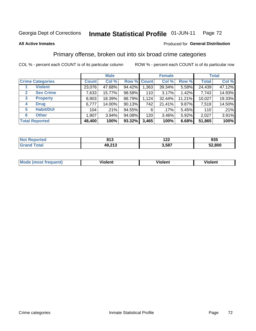### Inmate Statistical Profile 01-JUN-11 Page 72

### **All Active Inmates**

## Produced for General Distribution

# Primary offense, broken out into six broad crime categories

COL % - percent each COUNT is of its particular column

|                                  |              | <b>Male</b> |           |             | <b>Female</b> |        |              | <b>Total</b> |
|----------------------------------|--------------|-------------|-----------|-------------|---------------|--------|--------------|--------------|
| <b>Crime Categories</b>          | <b>Count</b> | Col %       |           | Row % Count | Col %         | Row %  | <b>Total</b> | Col %        |
| <b>Violent</b>                   | 23,076       | 47.68%      | 94.42%    | 1,363       | 39.34%        | 5.58%  | 24,439       | 47.12%       |
| <b>Sex Crime</b><br>$\mathbf{2}$ | 7,633        | 15.77%      | 98.58%    | 110         | 3.17%         | 1.42%  | 7,743        | 14.93%       |
| <b>Property</b><br>3             | 8,903        | 18.39%      | 88.79%    | 1,124       | 32.44%        | 11.21% | 10,027       | 19.33%       |
| <b>Drug</b><br>4                 | 6,777        | 14.00%      | 90.13%    | 742         | 21.41%        | 9.87%  | 7,519        | 14.50%       |
| <b>Habit/DUI</b><br>5            | 104          | .21%        | 94.55%    | 6           | .17%          | 5.45%  | 110          | .21%         |
| <b>Other</b><br>6                | 1,907        | 3.94%       | 94.08%    | 120         | 3.46%         | 5.92%  | 2,027        | 3.91%        |
| <b>Total Reported</b>            | 48,400       | 100%        | $93.32\%$ | 3,465       | 100%          | 6.68%  | 51,865       | 100%         |

| enorted<br>NC | 04c<br>. .    | 10C<br>1 L L | 935    |
|---------------|---------------|--------------|--------|
| <b>otal</b>   | 212<br>49,213 | 3,587        | 52,800 |

| <b>Mode</b><br>t frequent)<br>THOS | .<br>iolent | 'iolent | <b>Violent</b> |
|------------------------------------|-------------|---------|----------------|
|                                    |             |         |                |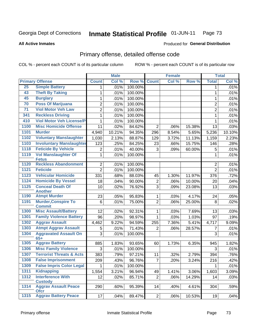### Inmate Statistical Profile 01-JUN-11 Page 73

### **All Active Inmates**

# **Produced for General Distribution**

# Primary offense, detailed offense code

COL % - percent each COUNT is of its particular column

|                 |                                             |                | <b>Male</b> |         |                      | <b>Female</b> |        |                | <b>Total</b> |
|-----------------|---------------------------------------------|----------------|-------------|---------|----------------------|---------------|--------|----------------|--------------|
|                 | <b>Primary Offense</b>                      | <b>Count</b>   | Col %       | Row %   | <b>Count</b>         | Col %         | Row %  | <b>Total</b>   | Col %        |
| 25              | <b>Simple Battery</b>                       | 1.             | .01%        | 100.00% |                      |               |        | 1              | .01%         |
| 43              | <b>Theft By Taking</b>                      | 1              | .01%        | 100.00% |                      |               |        | 1              | .01%         |
| 45              | <b>Burglary</b>                             | 1              | .01%        | 100.00% |                      |               |        | 1              | .01%         |
| 70              | <b>Poss Of Marijuana</b>                    | 2              | .01%        | 100.00% |                      |               |        | 2              | .01%         |
| $\overline{71}$ | <b>Viol Motor Veh Law</b>                   | $\overline{2}$ | .01%        | 100.00% |                      |               |        | $\overline{2}$ | .01%         |
| 341             | <b>Reckless Driving</b>                     | 1              | .01%        | 100.00% |                      |               |        | 1              | .01%         |
| 410             | <b>Viol Motor Veh License/P</b>             | 1              | .01%        | 100.00% |                      |               |        | 1              | .01%         |
| 1100            | <b>Misc Homicide Offense</b>                | 11             | .02%        | 84.62%  | $\overline{2}$       | .06%          | 15.38% | 13             | .03%         |
| 1101            | <b>Murder</b>                               | 4,940          | 10.21%      | 94.35%  | 296                  | 8.54%         | 5.65%  | 5,236          | 10.10%       |
| 1102            | <b>Voluntary Manslaughter</b>               | 1,030          | 2.13%       | 88.87%  | 129                  | 3.72%         | 11.13% | 1,159          | 2.23%        |
| 1103            | <b>Involuntary Manslaughter</b>             | 123            | .25%        | 84.25%  | 23                   | .66%          | 15.75% | 146            | .28%         |
| 1118            | <b>Feticide By Vehicle</b>                  | 2              | .01%        | 40.00%  | 3                    | .09%          | 60.00% | 5              | .01%         |
| 1119            | <b>Vol Manslaughter Of</b><br><b>Fetus</b>  | 1              | .01%        | 100.00% |                      |               |        | 1              | .01%         |
| 1120            | <b>Reckless Abandonment</b>                 | $\overline{2}$ | .01%        | 100.00% |                      |               |        | $\overline{2}$ | .01%         |
| 1121            | <b>Feticide</b>                             | $\overline{2}$ | .01%        | 100.00% |                      |               |        | $\overline{2}$ | .01%         |
| 1123            | <b>Vehicular Homicide</b>                   | 331            | .68%        | 88.03%  | 45                   | 1.30%         | 11.97% | 376            | .72%         |
| 1124            | <b>Homicide By Vessel</b>                   | 18             | .04%        | 90.00%  | $\overline{2}$       | .06%          | 10.00% | 20             | .04%         |
| 1125            | <b>Conceal Death Of</b>                     | 10             | .02%        | 76.92%  | 3                    | .09%          | 23.08% | 13             | .03%         |
|                 | <b>Another</b>                              |                |             |         |                      |               |        |                |              |
| 1190            | <b>Atmpt Murder</b>                         | 23             | .05%        | 95.83%  | 1                    | .03%          | 4.17%  | 24             | .05%         |
| 1191            | <b>Murder, Conspire To</b><br><b>Commit</b> | 6              | .01%        | 75.00%  | $\overline{2}$       | .06%          | 25.00% | 8              | .02%         |
| 1300            | <b>Misc Assault/Battery</b>                 | 12             | .02%        | 92.31%  | 1.                   | .03%          | 7.69%  | 13             | .03%         |
| 1301            | <b>Family Violence Battery</b>              | 96             | .20%        | 98.97%  | 1                    | .03%          | 1.03%  | 97             | .19%         |
| 1302            | <b>Aggrav Assault</b>                       | 4,462          | 9.22%       | 94.59%  | 255                  | 7.36%         | 5.41%  | 4,717          | 9.09%        |
| 1303            | <b>Atmpt Aggrav Assault</b>                 | 5              | .01%        | 71.43%  | $\overline{2}$       | .06%          | 28.57% | 7              | .01%         |
| 1304            | <b>Aggravated Assault On</b>                | 3              | .01%        | 100.00% |                      |               |        | 3              | .01%         |
| 1305            | $65+$<br><b>Aggrav Battery</b>              | 885            | 1.83%       | 93.65%  |                      | 1.73%         |        | 945            | 1.82%        |
| 1306            | <b>Misc Family Violence</b>                 | 3              | .01%        | 100.00% | 60                   |               | 6.35%  | 3              | .01%         |
| 1307            | <b>Terrorist Threats &amp; Acts</b>         | 383            | .79%        | 97.21%  | 11                   | .32%          | 2.79%  | 394            | .76%         |
| 1308            | <b>False Imprisonment</b>                   | 209            | .43%        | 96.76%  | 7                    | .20%          | 3.24%  | 216            | .42%         |
| 1309            | <b>False Impris Color Legal</b>             | 1              | .01%        | 100.00% |                      |               |        | 1              | .01%         |
| 1311            | <b>Kidnapping</b>                           | 1,554          | 3.21%       | 96.94%  |                      | 1.41%         | 3.06%  | 1,603          | 3.09%        |
| 1312            | <b>Interference With</b>                    | 12             | .02%        | 85.71%  | 49<br>$\overline{2}$ | .06%          | 14.29% | 14             | .03%         |
|                 | <b>Custody</b>                              |                |             |         |                      |               |        |                |              |
| 1314            | <b>Aggrav Assault Peace</b><br><b>Ofcr</b>  | 290            | .60%        | 95.39%  | 14                   | .40%          | 4.61%  | 304            | .59%         |
| $1315$          | <b>Aggrav Battery Peace</b>                 | 17             | .04%        | 89.47%  | 2                    | .06%          | 10.53% | 19             | .04%         |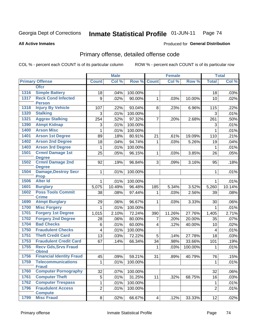### Inmate Statistical Profile 01-JUN-11 Page 74

### **All Active Inmates**

## Produced for General Distribution

# Primary offense, detailed offense code

COL % - percent each COUNT is of its particular column

|      |                                             |                         | <b>Male</b> |         |                 | <b>Female</b> |         |                | <b>Total</b> |
|------|---------------------------------------------|-------------------------|-------------|---------|-----------------|---------------|---------|----------------|--------------|
|      | <b>Primary Offense</b>                      | <b>Count</b>            | Col %       | Row %   | <b>Count</b>    | Col %         | Row %   | <b>Total</b>   | Col %        |
|      | <b>Ofcr</b>                                 |                         |             |         |                 |               |         |                |              |
| 1316 | <b>Simple Battery</b>                       | 18                      | .04%        | 100.00% |                 |               |         | 18             | .03%         |
| 1317 | <b>Reck Cond Infected</b><br><b>Person</b>  | 9                       | .02%        | 90.00%  | $\mathbf 1$     | .03%          | 10.00%  | 10             | .02%         |
| 1318 | <b>Injury By Vehicle</b>                    | 107                     | .22%        | 93.04%  | 8               | .23%          | 6.96%   | 115            | .22%         |
| 1320 | <b>Stalking</b>                             | 3                       | .01%        | 100.00% |                 |               |         | 3              | .01%         |
| 1321 | <b>Aggrav Stalking</b>                      | 254                     | .52%        | 97.32%  | $\overline{7}$  | .20%          | 2.68%   | 261            | .50%         |
| 1390 | <b>Atmpt Kidnap</b>                         | 3                       | .01%        | 100.00% |                 |               |         | 3              | .01%         |
| 1400 | <b>Arson Misc</b>                           | 1                       | .01%        | 100.00% |                 |               |         | $\mathbf{1}$   | .01%         |
| 1401 | <b>Arson 1st Degree</b>                     | 89                      | .18%        | 80.91%  | 21              | .61%          | 19.09%  | 110            | .21%         |
| 1402 | <b>Arson 2nd Degree</b>                     | 18                      | .04%        | 94.74%  | $\mathbf{1}$    | .03%          | 5.26%   | 19             | .04%         |
| 1403 | <b>Arson 3rd Degree</b>                     | $\mathbf{1}$            | .01%        | 100.00% |                 |               |         | $\mathbf{1}$   | .01%         |
| 1501 | <b>Crmnl Damage 1st</b><br><b>Degree</b>    | 25                      | .05%        | 96.15%  | $\mathbf{1}$    | .03%          | 3.85%   | 26             | .05%         |
| 1502 | <b>Crmnl Damage 2nd</b><br><b>Degree</b>    | 92                      | .19%        | 96.84%  | 3               | .09%          | 3.16%   | 95             | .18%         |
| 1504 | <b>Damage, Destroy Secr</b><br><b>Prop</b>  | $\mathbf{1}$            | .01%        | 100.00% |                 |               |         | 1              | .01%         |
| 1506 | <b>Alter Id</b>                             | 1                       | .01%        | 100.00% |                 |               |         | 1              | .01%         |
| 1601 | <b>Burglary</b>                             | 5,075                   | 10.49%      | 96.48%  | 185             | 5.34%         | 3.52%   | 5,260          | 10.14%       |
| 1602 | <b>Poss Tools Commit</b>                    | 38                      | .08%        | 97.44%  | $\mathbf{1}$    | .03%          | 2.56%   | 39             | .08%         |
|      | <b>Crime</b>                                |                         |             |         |                 |               |         |                |              |
| 1690 | <b>Atmpt Burglary</b>                       | 29                      | .06%        | 96.67%  | $\mathbf{1}$    | .03%          | 3.33%   | 30             | .06%         |
| 1700 | <b>Misc Forgery</b>                         | $\mathbf{1}$            | .01%        | 100.00% |                 |               |         | $\mathbf{1}$   | .01%         |
| 1701 | <b>Forgery 1st Degree</b>                   | 1,015                   | 2.10%       | 72.24%  | 390             | 11.26%        | 27.76%  | 1,405          | 2.71%        |
| 1702 | <b>Forgery 2nd Degree</b>                   | 28                      | .06%        | 80.00%  | 7               | .20%          | 20.00%  | 35             | .07%         |
| 1704 | <b>Bad Checks</b>                           | 6                       | .01%        | 60.00%  | $\overline{4}$  | .12%          | 40.00%  | 10             | .02%         |
| 1750 | <b>Fraudulent Checks</b>                    | $\overline{\mathbf{4}}$ | .01%        | 100.00% |                 |               |         | $\overline{4}$ | .01%         |
| 1751 | <b>Theft Credit Card</b>                    | 13                      | .03%        | 72.22%  | 5               | .14%          | 27.78%  | 18             | .03%         |
| 1753 | <b>Fraudulent Credit Card</b>               | 67                      | .14%        | 66.34%  | 34              | .98%          | 33.66%  | 101            | .19%         |
| 1755 | <b>Recv Gds, Srvs Fraud</b><br><b>Obtnd</b> |                         |             |         | $\mathbf{1}$    | .03%          | 100.00% | $\mathbf 1$    | .01%         |
| 1756 | <b>Financial Identity Fraud</b>             | 45                      | .09%        | 59.21%  | 31              | .89%          | 40.79%  | 76             | .15%         |
| 1759 | <b>Telecommunications</b><br><b>Fraud</b>   | 1                       | .01%        | 100.00% |                 |               |         | 1              | .01%         |
| 1760 | <b>Computer Pornography</b>                 | 32                      | .07%        | 100.00% |                 |               |         | 32             | .06%         |
| 1761 | <b>Computer Theft</b>                       | 5                       | .01%        | 31.25%  | 11              | .32%          | 68.75%  | 16             | .03%         |
| 1762 | <b>Computer Trespass</b>                    | $\mathbf 1$             | .01%        | 100.00% |                 |               |         | 1              | .01%         |
| 1796 | <b>Fraudulent Access</b><br><b>Compute</b>  | $\overline{2}$          | .01%        | 100.00% |                 |               |         | $\overline{2}$ | .01%         |
| 1799 | <b>Misc Fraud</b>                           | 8                       | .02%        | 66.67%  | $\vert 4 \vert$ | .12%          | 33.33%  | 12             | .02%         |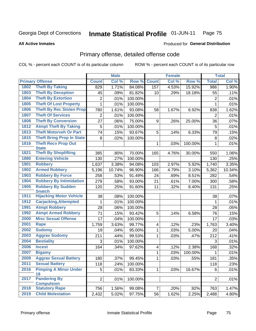### Inmate Statistical Profile 01-JUN-11 Page 75

**All Active Inmates** 

## **Produced for General Distribution**

# Primary offense, detailed offense code

COL % - percent each COUNT is of its particular column

|      |                                           |                | <b>Male</b> |         |                | <b>Female</b> |         |                | <b>Total</b> |
|------|-------------------------------------------|----------------|-------------|---------|----------------|---------------|---------|----------------|--------------|
|      | <b>Primary Offense</b>                    | <b>Count</b>   | Col %       | Row %   | <b>Count</b>   | Col %         | Row %   | <b>Total</b>   | Col %        |
| 1802 | <b>Theft By Taking</b>                    | 829            | 1.71%       | 84.08%  | 157            | 4.53%         | 15.92%  | 986            | 1.90%        |
| 1803 | <b>Theft By Deception</b>                 | 45             | .09%        | 81.82%  | 10             | .29%          | 18.18%  | 55             | .11%         |
| 1804 | <b>Theft By Extortion</b>                 | 2              | .01%        | 100.00% |                |               |         | $\overline{2}$ | .01%         |
| 1805 | <b>Theft Of Lost Property</b>             | $\mathbf{1}$   | .01%        | 100.00% |                |               |         | 1              | .01%         |
| 1806 | <b>Theft By Rec Stolen Prop</b>           | 780            | 1.61%       | 93.08%  | 58             | 1.67%         | 6.92%   | 838            | 1.62%        |
| 1807 | <b>Theft Of Services</b>                  | $\overline{2}$ | .01%        | 100.00% |                |               |         | 2              | .01%         |
| 1808 | <b>Theft By Conversion</b>                | 27             | .06%        | 75.00%  | 9              | .26%          | 25.00%  | 36             | .07%         |
| 1812 | <b>Atmpt Theft By Taking</b>              | 5              | .01%        | 100.00% |                |               |         | 5              | .01%         |
| 1813 | <b>Theft Motorveh Or Part</b>             | 74             | .15%        | 93.67%  | 5              | .14%          | 6.33%   | 79             | .15%         |
| 1815 | <b>Theft Bring Prop In State</b>          | 8              | .02%        | 100.00% |                |               |         | 8              | .02%         |
| 1816 | <b>Theft Recv Prop Out</b>                |                |             |         | $\mathbf{1}$   | .03%          | 100.00% | $\mathbf{1}$   | .01%         |
|      | <b>State</b>                              |                |             |         |                |               |         |                |              |
| 1821 | <b>Theft By Shoplifting</b>               | 385            | .80%        | 70.00%  | 165            | 4.76%         | 30.00%  | 550            | 1.06%        |
| 1880 | <b>Entering Vehicle</b>                   | 130            | .27%        | 100.00% |                |               |         | 130            | .25%         |
| 1901 | <b>Robbery</b>                            | 1,637          | 3.38%       | 94.08%  | 103            | 2.97%         | 5.92%   | 1,740          | 3.35%        |
| 1902 | <b>Armed Robbery</b>                      | 5,196          | 10.74%      | 96.90%  | 166            | 4.79%         | 3.10%   | 5,362          | 10.34%       |
| 1903 | <b>Robbery By Force</b>                   | 258            | .53%        | 91.49%  | 24             | .69%          | 8.51%   | 282            | .54%         |
| 1904 | <b>Robbery By Intimidation</b>            | 279            | .58%        | 93.00%  | 21             | .61%          | 7.00%   | 300            | .58%         |
| 1905 | <b>Robbery By Sudden</b><br><b>Snatch</b> | 120            | .25%        | 91.60%  | 11             | .32%          | 8.40%   | 131            | .25%         |
| 1911 | <b>Hijacking Motor Vehicle</b>            | 38             | .08%        | 100.00% |                |               |         | 38             | .07%         |
| 1912 | <b>Carjacking, Attempted</b>              | 1              | .01%        | 100.00% |                |               |         | 1              | .01%         |
| 1991 | <b>Atmpt Robbery</b>                      | 28             | .06%        | 100.00% |                |               |         | 28             | .05%         |
| 1992 | <b>Atmpt Armed Robbery</b>                | 71             | .15%        | 93.42%  | 5              | .14%          | 6.58%   | 76             | .15%         |
| 2000 | <b>Misc Sexual Offense</b>                | 17             | .04%        | 100.00% |                |               |         | 17             | .03%         |
| 2001 | Rape                                      | 1,759          | 3.63%       | 99.77%  | $\overline{4}$ | .12%          | .23%    | 1,763          | 3.40%        |
| 2002 | <b>Sodomy</b>                             | 19             | .04%        | 95.00%  | $\mathbf 1$    | .03%          | 5.00%   | 20             | .04%         |
| 2003 | <b>Aggrav Sodomy</b>                      | 211            | .44%        | 99.53%  | 1              | .03%          | .47%    | 212            | .41%         |
| 2004 | <b>Bestiality</b>                         | 3              | .01%        | 100.00% |                |               |         | 3              | .01%         |
| 2006 | <b>Incest</b>                             | 164            | .34%        | 97.62%  | 4              | .12%          | 2.38%   | 168            | .32%         |
| 2007 | <b>Bigamy</b>                             |                |             |         | 1              | .03%          | 100.00% | 1              | .01%         |
| 2009 | <b>Aggrav Sexual Battery</b>              | 180            | .37%        | 99.45%  | 1              | .03%          | .55%    | 181            | .35%         |
| 2011 | <b>Sexual Battery</b>                     | 118            | .24%        | 100.00% |                |               |         | 118            | .23%         |
| 2016 | <b>Pimping A Minor Under</b>              | 5 <sup>1</sup> | .01%        | 83.33%  | $\mathbf{1}$   | .03%          | 16.67%  | 6              | .01%         |
|      | 18                                        |                |             |         |                |               |         |                |              |
| 2017 | <b>Pandering By</b><br><b>Compulsion</b>  | $\overline{2}$ | .01%        | 100.00% |                |               |         | $\overline{2}$ | .01%         |
| 2018 | <b>Statutory Rape</b>                     | 756            | 1.56%       | 99.08%  | 7 <sup>1</sup> | .20%          | .92%    | 763            | 1.47%        |
| 2019 | <b>Child Molestation</b>                  | 2,432          | 5.02%       | 97.75%  | 56             | 1.62%         | 2.25%   | 2,488          | 4.80%        |
|      |                                           |                |             |         |                |               |         |                |              |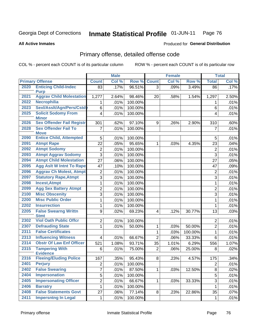### Inmate Statistical Profile 01-JUN-11 Page 76

### **All Active Inmates**

## **Produced for General Distribution**

# Primary offense, detailed offense code

COL % - percent each COUNT is of its particular column

|              |                                                               |                         | <b>Male</b> |         | <b>Female</b>  |       |         | <b>Total</b>     |       |  |
|--------------|---------------------------------------------------------------|-------------------------|-------------|---------|----------------|-------|---------|------------------|-------|--|
|              | <b>Primary Offense</b>                                        | <b>Count</b>            | Col %       | Row %   | <b>Count</b>   | Col % | Row %   | <b>Total</b>     | Col % |  |
| 2020         | <b>Enticing Child-Indec</b>                                   | 83                      | .17%        | 96.51%  | $\overline{3}$ | .09%  | 3.49%   | $\overline{86}$  | .17%  |  |
| 2021         | <b>Purp</b><br><b>Aggrav Child Molestation</b>                |                         |             |         |                |       |         |                  |       |  |
| 2022         | <b>Necrophilia</b>                                            | 1,277                   | 2.64%       | 98.46%  | 20             | .58%  | 1.54%   | 1,297            | 2.50% |  |
| 2023         | Sexl/Assit/Agn/Pers/Cstdy                                     | 1                       | .01%        | 100.00% |                |       |         | 1                | .01%  |  |
|              | <b>Solicit Sodomy From</b>                                    | 6                       | .01%        | 100.00% |                |       |         | 6                | .01%  |  |
| 2025         | <b>Minor</b>                                                  | $\overline{\mathbf{4}}$ | .01%        | 100.00% |                |       |         | 4                | .01%  |  |
| 2026         | <b>Sex Offender Fail Registr</b>                              | 301                     | .62%        | 97.10%  | 9              | .26%  | 2.90%   | 310              | .60%  |  |
| 2028         | <b>Sex Offender Fail To</b><br><b>Move</b>                    | 7                       | .01%        | 100.00% |                |       |         | 7                | .01%  |  |
| 2090         | <b>Entice Child, Attempted</b>                                | 5                       | .01%        | 100.00% |                |       |         | 5                | .01%  |  |
| 2091         | <b>Atmpt Rape</b>                                             | 22                      | .05%        | 95.65%  | 1              | .03%  | 4.35%   | 23               | .04%  |  |
| 2092         | <b>Atmpt Sodomy</b>                                           | $\boldsymbol{2}$        | .01%        | 100.00% |                |       |         | $\sqrt{2}$       | .01%  |  |
| 2093         | <b>Atmpt Aggrav Sodomy</b>                                    | $\overline{3}$          | .01%        | 100.00% |                |       |         | 3                | .01%  |  |
| 2094         | <b>Atmpt Child Molestation</b>                                | 27                      | .06%        | 100.00% |                |       |         | 27               | .05%  |  |
| 2095         | <b>Agg Aslt W Intnt To Rape</b>                               | 47                      | .10%        | 100.00% |                |       |         | 47               | .09%  |  |
| 2096         | <b>Aggrav Ch Molest, Atmpt</b>                                | $\boldsymbol{2}$        | .01%        | 100.00% |                |       |         | $\sqrt{2}$       | .01%  |  |
| 2097         | <b>Statutory Rape, Atmpt</b>                                  | 3                       | .01%        | 100.00% |                |       |         | 3                | .01%  |  |
| 2098         | <b>Incest, Atmpt</b>                                          | $\mathbf 1$             | .01%        | 100.00% |                |       |         | 1                | .01%  |  |
| 2099         | <b>Agg Sex Battery Atmpt</b>                                  | 2                       | .01%        | 100.00% |                |       |         | $\overline{c}$   | .01%  |  |
| 2100         | <b>Misc Obscenity</b>                                         | $\mathfrak{B}$          | .01%        | 100.00% |                |       |         | $\overline{3}$   | .01%  |  |
| 2200         | <b>Misc Public Order</b>                                      | 1                       | .01%        | 100.00% |                |       |         | 1                | .01%  |  |
| 2202         | <b>Insurrection</b>                                           | $\mathbf 1$             | .01%        | 100.00% |                |       |         | $\mathbf{1}$     | .01%  |  |
| 2205         | <b>False Swearng Writtn</b>                                   | 9                       | .02%        | 69.23%  | $\overline{4}$ | .12%  | 30.77%  | 13               | .03%  |  |
|              | <b>Stmt</b><br><b>Viol Oath Public Offcr</b>                  |                         |             |         |                |       |         |                  |       |  |
| 2302         |                                                               | $\overline{2}$          | .01%        | 100.00% |                |       |         | $\overline{2}$   | .01%  |  |
| 2307<br>2311 | <b>Defrauding State</b><br><b>False Certificates</b>          | 1                       | .01%        | 50.00%  | 1              | .03%  | 50.00%  | $\overline{c}$   | .01%  |  |
| 2313         |                                                               |                         |             |         | $\mathbf 1$    | .03%  | 100.00% | $\mathbf{1}$     | .01%  |  |
| 2314         | <b>Influencing Witness</b><br><b>Obstr Of Law Enf Officer</b> | 4                       | .01%        | 66.67%  | $\overline{2}$ | .06%  | 33.33%  | $6\phantom{1}$   | .01%  |  |
| 2315         | <b>Tampering With</b>                                         | 521                     | 1.08%       | 93.71%  | 35             | 1.01% | 6.29%   | 556              | 1.07% |  |
|              | <b>Evidence</b>                                               | 6                       | .01%        | 75.00%  | $\overline{2}$ | .06%  | 25.00%  | 8                | .02%  |  |
| 2316         | <b>Fleeing/Eluding Police</b>                                 | 167                     | .35%        | 95.43%  | 8              | .23%  | 4.57%   | 175              | .34%  |  |
| 2401         | <b>Perjury</b>                                                | $\overline{c}$          | .01%        | 100.00% |                |       |         | $\boldsymbol{2}$ | .01%  |  |
| 2402         | <b>False Swearing</b>                                         | $\overline{7}$          | .01%        | 87.50%  | $\mathbf 1$    | .03%  | 12.50%  | 8                | .02%  |  |
| 2404         | <b>Impersonation</b>                                          | 5                       | .01%        | 100.00% |                |       |         | 5                | .01%  |  |
| 2405         | <b>Impersonating Officer</b>                                  | $\overline{c}$          | .01%        | 66.67%  | $\mathbf{1}$   | .03%  | 33.33%  | $\mathfrak{B}$   | .01%  |  |
| 2406         | <b>Barratry</b>                                               | 1                       | .01%        | 100.00% |                |       |         | $\mathbf{1}$     | .01%  |  |
| 2408         | <b>False Statements Govt</b>                                  | 27                      | .06%        | 77.14%  | 8              | .23%  | 22.86%  | 35               | .07%  |  |
| 2411         | <b>Impersntng In Legal</b>                                    | $\mathbf{1}$            | .01%        | 100.00% |                |       |         | $\mathbf{1}$     | .01%  |  |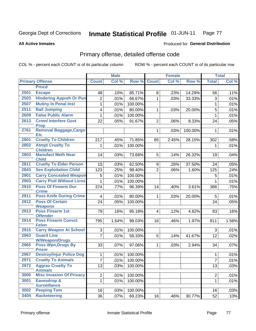### Inmate Statistical Profile 01-JUN-11 Page 77

**All Active Inmates** 

## **Produced for General Distribution**

# Primary offense, detailed offense code

COL % - percent each COUNT is of its particular column

|      |                                             |                | <b>Male</b> |         |                | Female |         |                | <b>Total</b> |
|------|---------------------------------------------|----------------|-------------|---------|----------------|--------|---------|----------------|--------------|
|      | <b>Primary Offense</b>                      | <b>Count</b>   | Col %       | Row %   | <b>Count</b>   | Col %  | Row %   | <b>Total</b>   | Col %        |
|      | <b>Procd</b>                                |                |             |         |                |        |         |                |              |
| 2501 | <b>Escape</b>                               | 48             | .10%        | 85.71%  | 8              | .23%   | 14.29%  | 56             | .11%         |
| 2503 | <b>Hindering Appreh Or Pun</b>              | 2              | .01%        | 66.67%  | 1              | .03%   | 33.33%  | 3              | .01%         |
| 2507 | <b>Mutiny In Penal Inst</b>                 | 1              | .01%        | 100.00% |                |        |         | 1              | .01%         |
| 2511 | <b>Bail Jumping</b>                         | 4              | .01%        | 80.00%  | 1              | .03%   | 20.00%  | 5              | .01%         |
| 2609 | <b>False Public Alarm</b>                   | $\mathbf{1}$   | .01%        | 100.00% |                |        |         | 1              | .01%         |
| 2613 | <b>Crmnl Interfere Govt</b><br><b>Prop</b>  | 22             | .05%        | 91.67%  | $\overline{2}$ | .06%   | 8.33%   | 24             | .05%         |
| 2761 | <b>Removal Baggage, Cargo</b><br><b>Etc</b> |                |             |         | 1              | .03%   | 100.00% | 1              | .01%         |
| 2801 | <b>Cruelty To Children</b>                  | 217            | .45%        | 71.85%  | 85             | 2.45%  | 28.15%  | 302            | .58%         |
| 2802 | <b>Atmpt Cruelty To</b><br><b>Children</b>  | 1              | .01%        | 100.00% |                |        |         | 1              | .01%         |
| 2803 | <b>Manufact Meth Near</b><br><b>Child</b>   | 14             | .03%        | 73.68%  | 5              | .14%   | 26.32%  | 19             | .04%         |
| 2811 | <b>Cruelty To Elder Person</b>              | 15             | .03%        | 62.50%  | 9              | .26%   | 37.50%  | 24             | .05%         |
| 2843 | <b>Sex Exploitation Child</b>               | 123            | .25%        | 98.40%  | $\overline{2}$ | .06%   | 1.60%   | 125            | .24%         |
| 2901 | <b>Carry Concealed Weapon</b>               | 5              | .01%        | 100.00% |                |        |         | 5              | .01%         |
| 2903 | <b>Carry Pistl Without Licns</b>            | 1              | .01%        | 100.00% |                |        |         |                | .01%         |
| 2910 | <b>Poss Of Firearm Dur</b><br><b>Crime</b>  | 374            | .77%        | 96.39%  | 14             | .40%   | 3.61%   | 388            | .75%         |
| 2911 | <b>Poss Knife During Crime</b>              | 4              | .01%        | 80.00%  | 1              | .03%   | 20.00%  | 5              | .01%         |
| 2912 | <b>Poss Of Certain</b><br><b>Weapons</b>    | 24             | .05%        | 100.00% |                |        |         | 24             | .05%         |
| 2913 | Poss Firearm 1st<br><b>Offender</b>         | 79             | .16%        | 95.18%  | 4              | .12%   | 4.82%   | 83             | .16%         |
| 2914 | <b>Poss Firearm Convct</b><br><b>Felon</b>  | 795            | 1.64%       | 98.03%  | 16             | .46%   | 1.97%   | 811            | 1.56%        |
| 2915 | <b>Carry Weapon At School</b>               | 3              | .01%        | 100.00% |                |        |         | 3              | .01%         |
| 2963 | <b>Guard Line</b><br><b>W/Weapon/Drugs</b>  | $\overline{7}$ | .01%        | 58.33%  | 5              | .14%   | 41.67%  | 12             | .02%         |
| 2965 | <b>Poss Wpn, Drugs By</b><br><b>Prisnr</b>  | 33             | .07%        | 97.06%  | $\mathbf{1}$   | .03%   | 2.94%   | 34             | .07%         |
| 2967 | <b>Destroy/Injur Police Dog</b>             | 1              | .01%        | 100.00% |                |        |         | 1              | .01%         |
| 2971 | <b>Cruelty To Animals</b>                   | $\overline{7}$ | .01%        | 100.00% |                |        |         | $\overline{7}$ | .01%         |
| 2972 | <b>Aggrav Cruelty To</b><br><b>Animals</b>  | 13             | .03%        | 100.00% |                |        |         | 13             | .03%         |
| 3000 | <b>Misc Invasion Of Privacy</b>             | $\overline{2}$ | .01%        | 100.00% |                |        |         | $\overline{2}$ | .01%         |
| 3001 | Eavesdrop &<br><b>Surveillance</b>          | $\mathbf{1}$   | .01%        | 100.00% |                |        |         | $\mathbf 1$    | .01%         |
| 3002 | <b>Peeping Tom</b>                          | 16             | .03%        | 100.00% |                |        |         | 16             | .03%         |
| 3404 | <b>Racketeering</b>                         | 36             | .07%        | 69.23%  | 16             | .46%   | 30.77%  | 52             | .10%         |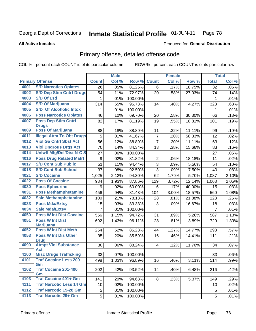### Inmate Statistical Profile 01-JUN-11 Page 78

### **All Active Inmates**

## **Produced for General Distribution**

# Primary offense, detailed offense code

COL % - percent each COUNT is of its particular column

|      |                                            |                 | <b>Male</b> |         |                | <b>Female</b> |        |                 | <b>Total</b> |
|------|--------------------------------------------|-----------------|-------------|---------|----------------|---------------|--------|-----------------|--------------|
|      | <b>Primary Offense</b>                     | <b>Count</b>    | Col %       | Row %   | <b>Count</b>   | Col %         | Row %  | <b>Total</b>    | Col %        |
| 4001 | <b>S/D Narcotics Opiates</b>               | $\overline{26}$ | .05%        | 81.25%  | 6              | .17%          | 18.75% | $\overline{32}$ | .06%         |
| 4002 | <b>S/D Dep Stim Cntrf Drugs</b>            | 54              | .11%        | 72.97%  | 20             | .58%          | 27.03% | 74              | .14%         |
| 4003 | <b>S/D Of Lsd</b>                          | 1               | .01%        | 100.00% |                |               |        | 1               | .01%         |
| 4004 | <b>S/D Of Marijuana</b>                    | 314             | .65%        | 95.73%  | 14             | .40%          | 4.27%  | 328             | .63%         |
| 4005 | <b>S/D Of Alcoholic Intox</b>              | 1               | .01%        | 100.00% |                |               |        | 1               | .01%         |
| 4006 | <b>Poss Narcotics Opiates</b>              | 46              | .10%        | 69.70%  | 20             | .58%          | 30.30% | 66              | .13%         |
| 4007 | <b>Poss Dep Stim Cntrf</b><br><b>Drugs</b> | 82              | .17%        | 81.19%  | 19             | .55%          | 18.81% | 101             | .19%         |
| 4009 | <b>Poss Of Marijuana</b>                   | 88              | .18%        | 88.89%  | 11             | .32%          | 11.11% | 99              | .19%         |
| 4011 | <b>Illegal Attm To Obt Drugs</b>           | 5               | .01%        | 41.67%  | $\overline{7}$ | .20%          | 58.33% | 12              | .02%         |
| 4012 | <b>Viol Ga Cntrl Sbst Act</b>              | 56              | .12%        | 88.89%  | $\overline{7}$ | .20%          | 11.11% | 63              | .12%         |
| 4013 | <b>Viol Dngrous Drgs Act</b>               | 70              | .14%        | 84.34%  | 13             | .38%          | 15.66% | 83              | .16%         |
| 4014 | <b>Uniwfl Mfg/Del/Dist N-C S</b>           | 27              | .06%        | 100.00% |                |               |        | 27              | .05%         |
| 4016 | <b>Poss Drug Related Matri</b>             | 9               | .02%        | 81.82%  | $\overline{2}$ | .06%          | 18.18% | 11              | .02%         |
| 4017 | <b>S/D Cont Sub Public</b>                 | 51              | .11%        | 94.44%  | $\overline{3}$ | .09%          | 5.56%  | 54              | .10%         |
| 4018 | <b>S/D Cont Sub School</b>                 | 37              | .08%        | 92.50%  | $\overline{3}$ | .09%          | 7.50%  | 40              | .08%         |
| 4021 | <b>S/D Cocaine</b>                         | 1,025           | 2.12%       | 94.30%  | 62             | 1.79%         | 5.70%  | 1,087           | 2.10%        |
| 4022 | <b>Poss Of Cocaine</b>                     | 934             | 1.93%       | 87.86%  | 129            | 3.72%         | 12.14% | 1,063           | 2.05%        |
| 4030 | <b>Poss Ephedrine</b>                      | 9               | .02%        | 60.00%  | $\,6$          | .17%          | 40.00% | 15              | .03%         |
| 4031 | <b>Poss Methamphetamine</b>                | 456             | .94%        | 81.43%  | 104            | 3.00%         | 18.57% | 560             | 1.08%        |
| 4032 | <b>Sale Methamphetamine</b>                | 100             | .21%        | 78.13%  | 28             | .81%          | 21.88% | 128             | .25%         |
| 4033 | <b>Poss Mda/Extsy</b>                      | 15              | .03%        | 83.33%  | 3              | .09%          | 16.67% | 18              | .03%         |
| 4034 | <b>Sale Mda/Extsy</b>                      | 7               | .01%        | 100.00% |                |               |        | $\overline{7}$  | .01%         |
| 4050 | <b>Poss W Int Dist Cocaine</b>             | 556             | 1.15%       | 94.72%  | 31             | .89%          | 5.28%  | 587             | 1.13%        |
| 4051 | <b>Poss W Int Dist</b><br><b>Marijuana</b> | 692             | 1.43%       | 96.11%  | 28             | .81%          | 3.89%  | 720             | 1.39%        |
| 4052 | <b>Poss W Int Dist Meth</b>                | 254             | .52%        | 85.23%  | 44             | 1.27%         | 14.77% | 298             | .57%         |
| 4053 | <b>Poss W Int Dis Other</b><br><b>Drug</b> | 95              | .20%        | 85.59%  | 16             | .46%          | 14.41% | 111             | .21%         |
| 4090 | <b>Atmpt Viol Substance</b><br><b>Act</b>  | 30              | .06%        | 88.24%  | 4              | .12%          | 11.76% | 34              | .07%         |
| 4100 | <b>Misc Drugs Trafficking</b>              | 33              | .07%        | 100.00% |                |               |        | 33              | .06%         |
| 4101 | <b>Traf Cocaine Less 200</b><br>Gm         | 498             | 1.03%       | 96.89%  | 16             | .46%          | 3.11%  | 514             | .99%         |
| 4102 | <b>Traf Cocaine 201-400</b><br>Gm          | 202             | .42%        | 93.52%  | 14             | .40%          | 6.48%  | 216             | .42%         |
| 4103 | <b>Traf Cocaine 401+ Gm</b>                | 141             | .29%        | 94.63%  | 8              | .23%          | 5.37%  | 149             | .29%         |
| 4111 | <b>Traf Narcotic Less 14 Gm</b>            | 10              | .02%        | 100.00% |                |               |        | 10              | .02%         |
| 4112 | <b>Traf Narcotic 15-28 Gm</b>              | 5               | .01%        | 100.00% |                |               |        | 5               | .01%         |
| 4113 | <b>Traf Narcotic 29+ Gm</b>                | 5 <sup>1</sup>  | .01%        | 100.00% |                |               |        | 5               | .01%         |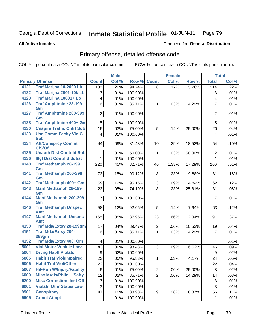### Inmate Statistical Profile 01-JUN-11 Page 79

### **All Active Inmates**

## Produced for General Distribution

# Primary offense, detailed offense code

COL % - percent each COUNT is of its particular column

|      |                                            |                         | <b>Male</b> |         |                | <b>Female</b>       |        |                          | <b>Total</b> |
|------|--------------------------------------------|-------------------------|-------------|---------|----------------|---------------------|--------|--------------------------|--------------|
|      | <b>Primary Offense</b>                     | <b>Count</b>            | Col %       | Row %   | <b>Count</b>   | Col %               | Row %  | <b>Total</b>             | Col %        |
| 4121 | Traf Marijna 10-2000 Lb                    | 108                     | .22%        | 94.74%  | 6              | .17%                | 5.26%  | 114                      | .22%         |
| 4122 | Traf Marijna 2001-10k Lb                   | 3                       | .01%        | 100.00% |                |                     |        | 3                        | .01%         |
| 4123 | Traf Marijna 10001+ Lb                     | $\overline{\mathbf{4}}$ | .01%        | 100.00% |                |                     |        | $\overline{\mathcal{A}}$ | .01%         |
| 4126 | <b>Traf Amphtmine 28-199</b>               | 6                       | .01%        | 85.71%  | $\mathbf{1}$   | .03%                | 14.29% | $\overline{7}$           | .01%         |
| 4127 | Gm<br><b>Traf Amphtmine 200-399</b>        |                         |             |         |                |                     |        |                          |              |
|      | Gm                                         | 2                       | .01%        | 100.00% |                |                     |        | $\overline{2}$           | .01%         |
| 4128 | <b>Traf Amphtmine 400+ Gm</b>              | 5                       | .01%        | 100.00% |                |                     |        | 5                        | .01%         |
| 4130 | <b>Cnspire Traffic Cntrl Sub</b>           | 15                      | .03%        | 75.00%  | 5              | .14%                | 25.00% | 20                       | .04%         |
| 4133 | <b>Use Comm Facity Vio C</b><br><b>Sub</b> | $\overline{\mathbf{4}}$ | .01%        | 100.00% |                |                     |        | 4                        | .01%         |
| 4134 | <b>Att/Consprcy Commt</b><br>C/S/Of        | 44                      | .09%        | 81.48%  | 10             | .29%                | 18.52% | 54                       | .10%         |
| 4135 | <b>Unauth Dist Contrild Sub</b>            | 1                       | .01%        | 50.00%  | $\mathbf 1$    | .03%                | 50.00% | $\overline{2}$           | .01%         |
| 4136 | <b>Illgl Dist Contrild Subst</b>           | 1                       | .01%        | 100.00% |                |                     |        | $\mathbf 1$              | .01%         |
| 4140 | <b>Traf Methamph 28-199</b><br>Gm          | 220                     | .45%        | 82.71%  | 46             | $\overline{1.33\%}$ | 17.29% | 266                      | .51%         |
| 4141 | <b>Traf Methamph 200-399</b><br>Gm         | 73                      | .15%        | 90.12%  | 8              | .23%                | 9.88%  | 81                       | .16%         |
| 4142 | <b>Traf Methamph 400+ Gm</b>               | 59                      | .12%        | 95.16%  | 3              | .09%                | 4.84%  | 62                       | .12%         |
| 4143 | <b>Manf Methamph 28-199</b><br>Gm          | 23                      | .05%        | 74.19%  | 8              | .23%                | 25.81% | 31                       | .06%         |
| 4144 | <b>Manf Methamph 200-399</b><br>Gm         | $\overline{7}$          | .01%        | 100.00% |                |                     |        | $\overline{7}$           | .01%         |
| 4146 | <b>Traf Methamph Unspec</b><br>Amt         | 58                      | .12%        | 92.06%  | 5              | .14%                | 7.94%  | 63                       | .12%         |
| 4147 | <b>Manf Methamph Unspec</b><br>Amt         | 168                     | .35%        | 87.96%  | 23             | .66%                | 12.04% | 191                      | .37%         |
| 4150 | <b>Traf Mda/Extsy 28-199gm</b>             | 17                      | .04%        | 89.47%  | $\overline{2}$ | .06%                | 10.53% | 19                       | .04%         |
| 4151 | <b>Traf Mda/Extsy 200-</b><br>399gm        | 6                       | .01%        | 85.71%  | $\mathbf{1}$   | .03%                | 14.29% | $\overline{7}$           | .01%         |
| 4152 | Traf Mda/Extsy 400+Gm                      | $\overline{\mathbf{4}}$ | .01%        | 100.00% |                |                     |        | 4                        | .01%         |
| 5001 | <b>Viol Motor Vehicle Laws</b>             | 43                      | .09%        | 93.48%  | 3              | .09%                | 6.52%  | 46                       | .09%         |
| 5004 | <b>Drvng Habtl Violator</b>                | 9                       | .02%        | 100.00% |                |                     |        | $\boldsymbol{9}$         | .02%         |
| 5005 | <b>Habit Traf Viol/Impaired</b>            | 23                      | .05%        | 95.83%  | $\mathbf 1$    | .03%                | 4.17%  | 24                       | .05%         |
| 5006 | <b>Habit Traf Viol/Other</b>               | 22                      | .05%        | 100.00% |                |                     |        | 22                       | .04%         |
| 5007 | <b>Hit-Run W/Injury/Fatality</b>           | 6                       | .01%        | 75.00%  | $\overline{2}$ | .06%                | 25.00% | 8                        | .02%         |
| 6000 | <b>Misc Mrals/Pblic H/Safty</b>            | 12                      | .02%        | 85.71%  | $\overline{2}$ | .06%                | 14.29% | 14                       | .03%         |
| 6200 | <b>Misc CorrectionI Inst Off</b>           | 3                       | .01%        | 100.00% |                |                     |        | 3                        | .01%         |
| 8001 | <b>Violatn Othr States Law</b>             | 3                       | .01%        | 100.00% |                |                     |        | 3                        | .01%         |
| 9901 | <b>Conspiracy</b>                          | 47                      | .10%        | 83.93%  | 9              | .26%                | 16.07% | 56                       | .11%         |
| 9905 | <b>Crmnl Atmpt</b>                         | 1                       | .01%        | 100.00% |                |                     |        | $\mathbf 1$              | $.01\%$      |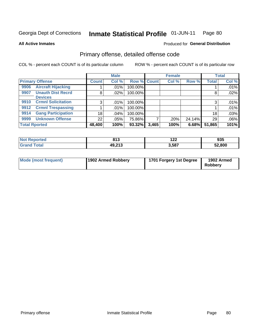### Inmate Statistical Profile 01-JUN-11 Page 80

### **All Active Inmates**

# **Produced for General Distribution**

# Primary offense, detailed offense code

COL % - percent each COUNT is of its particular column

|                                   |                 | <b>Male</b> |                    |       | <b>Female</b> |        |              | <b>Total</b> |
|-----------------------------------|-----------------|-------------|--------------------|-------|---------------|--------|--------------|--------------|
| <b>Primary Offense</b>            | <b>Count</b>    | Col %       | <b>Row % Count</b> |       | Col %         | Row %  | <b>Total</b> | Col %        |
| <b>Aircraft Hijacking</b><br>9906 |                 | .01%        | 100.00%            |       |               |        |              | .01%         |
| <b>Unauth Dist Recrd</b><br>9907  | 8               | $.02\%$     | 100.00%            |       |               |        | 8            | .02%         |
| <b>Devices</b>                    |                 |             |                    |       |               |        |              |              |
| <b>Crmnl Solicitation</b><br>9910 | 3               | $.01\%$     | 100.00%            |       |               |        |              | .01%         |
| <b>Crmnl Trespassing</b><br>9912  |                 | $.01\%$     | 100.00%            |       |               |        |              | .01%         |
| <b>Gang Participation</b><br>9914 | 18 <sup>1</sup> | .04%        | 100.00%            |       |               |        | 18           | .03%         |
| <b>Unknown Offense</b><br>9999    | 22              | .05%        | 75.86%             |       | .20%          | 24.14% | 29           | .06%         |
| <b>Total Rported</b>              | 48,400          | 100%        | 93.32%             | 3,465 | 100%          | 6.68%  | 51,865       | 101%         |

| <b>rted</b><br>m. | 042<br>. .                    | 100<br>17 L | 02 E<br>ຩຩ |
|-------------------|-------------------------------|-------------|------------|
|                   | , na na n<br>⁄1 L<br>70.L I J | 3,587       | 52,800     |

| <b>Mode (most frequent)</b> | 1902 Armed Robbery | 1701 Forgery 1st Degree | 1902 Armed<br>Robbery |
|-----------------------------|--------------------|-------------------------|-----------------------|
|-----------------------------|--------------------|-------------------------|-----------------------|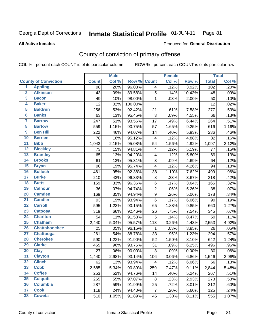### Inmate Statistical Profile 01-JUN-11 Page 81

### **All Active Inmates**

## Produced for General Distribution

# County of conviction of primary offense

COL % - percent each COUNT is of its particular column

|                         |                             |              | <b>Male</b> |         |                         | <b>Female</b> |        |              | <b>Total</b> |
|-------------------------|-----------------------------|--------------|-------------|---------|-------------------------|---------------|--------|--------------|--------------|
|                         | <b>County of Conviction</b> | <b>Count</b> | Col %       | Row %   | <b>Count</b>            | Col %         | Row %  | <b>Total</b> | Col %        |
| 1                       | <b>Appling</b>              | 98           | .20%        | 96.08%  | $\overline{\mathbf{4}}$ | .12%          | 3.92%  | 102          | .20%         |
| $\overline{2}$          | <b>Atkinson</b>             | 43           | .09%        | 89.58%  | 5                       | .14%          | 10.42% | 48           | .09%         |
| $\overline{\mathbf{3}}$ | <b>Bacon</b>                | 49           | .10%        | 98.00%  | $\mathbf{1}$            | .03%          | 2.00%  | 50           | .10%         |
| 4                       | <b>Baker</b>                | 12           | .02%        | 100.00% |                         |               |        | 12           | .02%         |
| $\overline{5}$          | <b>Baldwin</b>              | 256          | .53%        | 92.42%  | 21                      | .61%          | 7.58%  | 277          | .53%         |
| 6                       | <b>Banks</b>                | 63           | .13%        | 95.45%  | 3                       | .09%          | 4.55%  | 66           | .13%         |
| 7                       | <b>Barrow</b>               | 247          | .51%        | 93.56%  | 17                      | .49%          | 6.44%  | 264          | .51%         |
| 8                       | <b>Bartow</b>               | 559          | 1.15%       | 90.75%  | 57                      | 1.65%         | 9.25%  | 616          | 1.19%        |
| $\overline{9}$          | <b>Ben Hill</b>             | 222          | .46%        | 94.07%  | 14                      | .40%          | 5.93%  | 236          | .46%         |
| 10                      | <b>Berrien</b>              | 78           | .16%        | 95.12%  | $\overline{\mathbf{4}}$ | .12%          | 4.88%  | 82           | .16%         |
| $\overline{11}$         | <b>Bibb</b>                 | 1,043        | 2.15%       | 95.08%  | 54                      | 1.56%         | 4.92%  | 1,097        | 2.12%        |
| $\overline{12}$         | <b>Bleckley</b>             | 73           | .15%        | 94.81%  | $\overline{\mathbf{4}}$ | .12%          | 5.19%  | 77           | .15%         |
| 13                      | <b>Brantley</b>             | 65           | .13%        | 94.20%  | $\overline{\mathbf{4}}$ | .12%          | 5.80%  | 69           | .13%         |
| $\overline{14}$         | <b>Brooks</b>               | 61           | .13%        | 95.31%  | 3                       | .09%          | 4.69%  | 64           | .12%         |
| $\overline{15}$         | <b>Bryan</b>                | 90           | .19%        | 95.74%  | $\overline{4}$          | .12%          | 4.26%  | 94           | .18%         |
| 16                      | <b>Bulloch</b>              | 461          | .95%        | 92.38%  | 38                      | 1.10%         | 7.62%  | 499          | .96%         |
| 17                      | <b>Burke</b>                | 210          | .43%        | 96.33%  | $\bf 8$                 | .23%          | 3.67%  | 218          | .42%         |
| $\overline{18}$         | <b>Butts</b>                | 159          | .33%        | 96.36%  | 6                       | .17%          | 3.64%  | 165          | .32%         |
| 19                      | <b>Calhoun</b>              | 36           | .07%        | 94.74%  | $\overline{c}$          | .06%          | 5.26%  | 38           | .07%         |
| 20                      | <b>Camden</b>               | 169          | .35%        | 94.94%  | $\boldsymbol{9}$        | .26%          | 5.06%  | 178          | .34%         |
| $\overline{21}$         | <b>Candler</b>              | 93           | .19%        | 93.94%  | 6                       | .17%          | 6.06%  | 99           | .19%         |
| $\overline{22}$         | <b>Carroll</b>              | 595          | 1.23%       | 90.15%  | 65                      | 1.88%         | 9.85%  | 660          | 1.27%        |
| $\overline{23}$         | <b>Catoosa</b>              | 319          | .66%        | 92.46%  | 26                      | .75%          | 7.54%  | 345          | .67%         |
| $\overline{24}$         | <b>Charlton</b>             | 54           | .11%        | 91.53%  | 5                       | .14%          | 8.47%  | 59           | .11%         |
| $\overline{25}$         | <b>Chatham</b>              | 2,440        | 5.04%       | 95.57%  | 113                     | 3.26%         | 4.43%  | 2,553        | 4.92%        |
| 26                      | <b>Chattahoochee</b>        | 25           | .05%        | 96.15%  | 1                       | .03%          | 3.85%  | 26           | .05%         |
| $\overline{27}$         | <b>Chattooga</b>            | 261          | .54%        | 88.78%  | 33                      | .95%          | 11.22% | 294          | .57%         |
| 28                      | <b>Cherokee</b>             | 590          | 1.22%       | 91.90%  | 52                      | 1.50%         | 8.10%  | 642          | 1.24%        |
| 29                      | <b>Clarke</b>               | 465          | .96%        | 93.75%  | 31                      | .89%          | 6.25%  | 496          | .96%         |
| 30                      | <b>Clay</b>                 | 27           | .06%        | 90.00%  | 3                       | .09%          | 10.00% | 30           | .06%         |
| $\overline{31}$         | <b>Clayton</b>              | 1,440        | 2.98%       | 93.14%  | 106                     | 3.06%         | 6.86%  | 1,546        | 2.98%        |
| 32                      | <b>Clinch</b>               | 62           | .13%        | 93.94%  | 4                       | .12%          | 6.06%  | 66           | .13%         |
| 33                      | <b>Cobb</b>                 | 2,585        | 5.34%       | 90.89%  | 259                     | 7.47%         | 9.11%  | 2,844        | 5.48%        |
| 34                      | <b>Coffee</b>               | 253          | .52%        | 94.76%  | 14                      | .40%          | 5.24%  | 267          | .51%         |
| 35                      | <b>Colquitt</b>             | 265          | .55%        | 97.07%  | 8                       | .23%          | 2.93%  | 273          | .53%         |
| 36                      | <b>Columbia</b>             | 287          | .59%        | 91.99%  | 25                      | .72%          | 8.01%  | 312          | .60%         |
| 37                      | <b>Cook</b>                 | 118          | .24%        | 94.40%  | $\overline{7}$          | .20%          | 5.60%  | 125          | .24%         |
| 38                      | <b>Coweta</b>               | 510          | 1.05%       | 91.89%  | 45                      | 1.30%         | 8.11%  | 555          | 1.07%        |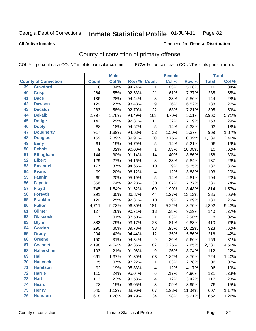### Inmate Statistical Profile 01-JUN-11 Page 82

**All Active Inmates** 

### Produced for General Distribution

# County of conviction of primary offense

COL % - percent each COUNT is of its particular column

|                 |                             |              | <b>Male</b> |        |                          | <b>Female</b> |        |                 | <b>Total</b> |
|-----------------|-----------------------------|--------------|-------------|--------|--------------------------|---------------|--------|-----------------|--------------|
|                 | <b>County of Conviction</b> | <b>Count</b> | Col %       | Row %  | <b>Count</b>             | Col %         | Row %  | <b>Total</b>    | Col %        |
| 39              | <b>Crawford</b>             | 18           | .04%        | 94.74% | $\mathbf{1}$             | .03%          | 5.26%  | $\overline{19}$ | .04%         |
| 40              | <b>Crisp</b>                | 264          | .55%        | 92.63% | 21                       | .61%          | 7.37%  | 285             | .55%         |
| 41              | <b>Dade</b>                 | 136          | .28%        | 94.44% | 8                        | .23%          | 5.56%  | 144             | .28%         |
| 42              | <b>Dawson</b>               | 129          | .27%        | 93.48% | $\boldsymbol{9}$         | .26%          | 6.52%  | 138             | .27%         |
| 43              | <b>Decatur</b>              | 283          | .58%        | 92.79% | 22                       | .63%          | 7.21%  | 305             | .59%         |
| 44              | <b>Dekalb</b>               | 2,797        | 5.78%       | 94.49% | 163                      | 4.70%         | 5.51%  | 2,960           | 5.71%        |
| 45              | <b>Dodge</b>                | 142          | .29%        | 92.81% | 11                       | .32%          | 7.19%  | 153             | .29%         |
| 46              | <b>Dooly</b>                | 88           | .18%        | 94.62% | $\overline{5}$           | .14%          | 5.38%  | 93              | .18%         |
| 47              | <b>Dougherty</b>            | 917          | 1.89%       | 94.63% | 52                       | 1.50%         | 5.37%  | 969             | 1.87%        |
| 48              | <b>Douglas</b>              | 1,159        | 2.39%       | 89.91% | 130                      | 3.75%         | 10.09% | 1,289           | 2.49%        |
| 49              | <b>Early</b>                | 91           | .19%        | 94.79% | $\mathbf 5$              | .14%          | 5.21%  | 96              | .19%         |
| 50              | <b>Echols</b>               | 9            | .02%        | 90.00% | $\mathbf{1}$             | .03%          | 10.00% | 10              | .02%         |
| $\overline{51}$ | <b>Effingham</b>            | 144          | .30%        | 91.14% | 14                       | .40%          | 8.86%  | 158             | .30%         |
| 52              | <b>Elbert</b>               | 129          | .27%        | 94.16% | 8                        | .23%          | 5.84%  | 137             | .26%         |
| 53              | <b>Emanuel</b>              | 177          | .37%        | 94.65% | 10                       | .29%          | 5.35%  | 187             | .36%         |
| 54              | <b>Evans</b>                | 99           | .20%        | 96.12% | $\overline{\mathcal{A}}$ | .12%          | 3.88%  | 103             | .20%         |
| 55              | <b>Fannin</b>               | 99           | .20%        | 95.19% | 5                        | .14%          | 4.81%  | 104             | .20%         |
| 56              | <b>Fayette</b>              | 356          | .74%        | 92.23% | 30                       | .87%          | 7.77%  | 386             | .74%         |
| 57              | <b>Floyd</b>                | 745          | 1.54%       | 91.52% | 69                       | 1.99%         | 8.48%  | 814             | 1.57%        |
| 58              | <b>Forsyth</b>              | 291          | .60%        | 86.87% | 44                       | 1.27%         | 13.13% | 335             | .65%         |
| 59              | <b>Franklin</b>             | 120          | .25%        | 92.31% | 10                       | .29%          | 7.69%  | 130             | .25%         |
| 60              | <b>Fulton</b>               | 4,711        | 9.73%       | 96.30% | 181                      | 5.22%         | 3.70%  | 4,892           | 9.43%        |
| 61              | Gilmer                      | 127          | .26%        | 90.71% | 13                       | .38%          | 9.29%  | 140             | .27%         |
| 62              | <b>Glascock</b>             | 7            | .01%        | 87.50% | $\mathbf 1$              | .03%          | 12.50% | 8               | .02%         |
| 63              | <b>Glynn</b>                | 382          | .79%        | 93.17% | 28                       | .81%          | 6.83%  | 410             | .79%         |
| 64              | <b>Gordon</b>               | 290          | .60%        | 89.78% | 33                       | .95%          | 10.22% | 323             | .62%         |
| 65              | <b>Grady</b>                | 204          | .42%        | 94.44% | 12                       | .35%          | 5.56%  | 216             | .42%         |
| 66              | <b>Greene</b>               | 150          | .31%        | 94.34% | $\boldsymbol{9}$         | .26%          | 5.66%  | 159             | .31%         |
| 67              | <b>Gwinnett</b>             | 2,198        | 4.54%       | 92.35% | 182                      | 5.25%         | 7.65%  | 2,380           | 4.59%        |
| 68              | <b>Habersham</b>            | 103          | .21%        | 91.96% | 9                        | .26%          | 8.04%  | 112             | .22%         |
| 69              | <b>Hall</b>                 | 661          | 1.37%       | 91.30% | 63                       | 1.82%         | 8.70%  | 724             | 1.40%        |
| 70              | <b>Hancock</b>              | 35           | .07%        | 97.22% | 1                        | .03%          | 2.78%  | 36              | .07%         |
| $\overline{71}$ | <b>Haralson</b>             | 92           | .19%        | 95.83% | 4                        | .12%          | 4.17%  | 96              | .19%         |
| 72              | <b>Harris</b>               | 115          | .24%        | 95.04% | 6                        | .17%          | 4.96%  | 121             | .23%         |
| 73              | <b>Hart</b>                 | 113          | .23%        | 96.58% | 4                        | .12%          | 3.42%  | 117             | .23%         |
| 74              | <b>Heard</b>                | 73           | .15%        | 96.05% | $\sqrt{3}$               | .09%          | 3.95%  | 76              | .15%         |
| 75              | <b>Henry</b>                | 540          | 1.12%       | 88.96% | 67                       | 1.93%         | 11.04% | 607             | 1.17%        |
| 76              | <b>Houston</b>              | 618          | 1.28%       | 94.79% | 34                       | .98%          | 5.21%  | 652             | 1.26%        |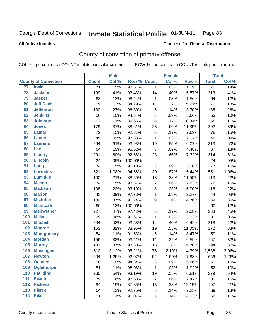### Inmate Statistical Profile 01-JUN-11 Page 83

**All Active Inmates** 

### Produced for General Distribution

# County of conviction of primary offense

COL % - percent each COUNT is of its particular column

|                  |                             |                 | <b>Male</b> |         |                | <b>Female</b> |        |                 | <b>Total</b> |
|------------------|-----------------------------|-----------------|-------------|---------|----------------|---------------|--------|-----------------|--------------|
|                  | <b>County of Conviction</b> | <b>Count</b>    | Col %       | Row %   | <b>Count</b>   | Col %         | Row %  | <b>Total</b>    | Col %        |
| 77               | <b>Irwin</b>                | $\overline{71}$ | .15%        | 98.61%  | $\mathbf{1}$   | .03%          | 1.39%  | $\overline{72}$ | .14%         |
| 78               | <b>Jackson</b>              | 199             | .41%        | 93.43%  | 14             | .40%          | 6.57%  | 213             | .41%         |
| 79               | <b>Jasper</b>               | 63              | .13%        | 98.44%  | 1              | .03%          | 1.56%  | 64              | .12%         |
| 80               | <b>Jeff Davis</b>           | 59              | .12%        | 84.29%  | 11             | .32%          | 15.71% | 70              | .13%         |
| 81               | <b>Jefferson</b>            | 130             | .27%        | 96.30%  | 5              | .14%          | 3.70%  | 135             | .26%         |
| 82               | <b>Jenkins</b>              | 50              | .10%        | 94.34%  | 3              | .09%          | 5.66%  | 53              | .10%         |
| 83               | <b>Johnson</b>              | 52              | .11%        | 89.66%  | 6              | .17%          | 10.34% | 58              | .11%         |
| 84               | <b>Jones</b>                | 179             | .37%        | 88.61%  | 23             | .66%          | 11.39% | 202             | .39%         |
| 85               | <b>Lamar</b>                | 72              | .15%        | 92.31%  | 6              | .17%          | 7.69%  | 78              | .15%         |
| 86               | <b>Lanier</b>               | 45              | .09%        | 97.83%  | 1              | .03%          | 2.17%  | 46              | .09%         |
| 87               | <b>Laurens</b>              | 294             | .61%        | 93.93%  | 19             | .55%          | 6.07%  | 313             | .60%         |
| 88               | Lee                         | 64              | .13%        | 95.52%  | 3              | .09%          | 4.48%  | 67              | .13%         |
| 89               | <b>Liberty</b>              | 291             | .60%        | 92.68%  | 23             | .66%          | 7.32%  | 314             | .61%         |
| 90               | <b>Lincoln</b>              | 24              | .05%        | 100.00% |                |               |        | 24              | .05%         |
| 91               | Long                        | 74              | .15%        | 96.10%  | 3              | .09%          | 3.90%  | 77              | .15%         |
| 92               | <b>Lowndes</b>              | 521             | 1.08%       | 94.56%  | 30             | .87%          | 5.44%  | 551             | 1.06%        |
| 93               | <b>Lumpkin</b>              | 100             | .21%        | 88.50%  | 13             | .38%          | 11.50% | 113             | .22%         |
| 94               | <b>Macon</b>                | 74              | .15%        | 97.37%  | $\overline{2}$ | .06%          | 2.63%  | 76              | .15%         |
| 95               | <b>Madison</b>              | 108             | .22%        | 93.10%  | 8              | .23%          | 6.90%  | 116             | .22%         |
| 96               | <b>Marion</b>               | 43              | .09%        | 97.73%  | 1              | .03%          | 2.27%  | 44              | .08%         |
| 97               | <b>Mcduffie</b>             | 180             | .37%        | 95.24%  | 9              | .26%          | 4.76%  | 189             | .36%         |
| 98               | <b>Mcintosh</b>             | 60              | .12%        | 100.00% |                |               |        | 60              | .12%         |
| 99               | <b>Meriwether</b>           | 227             | .47%        | 97.42%  | 6              | .17%          | 2.58%  | 233             | .45%         |
| 100              | <b>Miller</b>               | 29              | .06%        | 96.67%  | 1              | .03%          | 3.33%  | 30              | .06%         |
| 101              | <b>Mitchell</b>             | 204             | .42%        | 93.58%  | 14             | .40%          | 6.42%  | 218             | .42%         |
| 102              | <b>Monroe</b>               | 153             | .32%        | 88.95%  | 19             | .55%          | 11.05% | 172             | .33%         |
| 103              | <b>Montgomery</b>           | 54              | .11%        | 91.53%  | 5              | .14%          | 8.47%  | 59              | .11%         |
| 104              | <b>Morgan</b>               | 156             | .32%        | 93.41%  | 11             | .32%          | 6.59%  | 167             | .32%         |
| 105              | <b>Murray</b>               | 181             | .37%        | 93.30%  | 13             | .38%          | 6.70%  | 194             | .37%         |
| 106              | <b>Muscogee</b>             | 1,512           | 3.12%       | 95.21%  | 76             | 2.19%         | 4.79%  | 1,588           | 3.06%        |
| 107              | <b>Newton</b>               | 604             | 1.25%       | 92.07%  | 52             | 1.50%         | 7.93%  | 656             | 1.26%        |
| 108              | <b>Oconee</b>               | 50              | .10%        | 94.34%  | 3              | .09%          | 5.66%  | 53              | .10%         |
| 109              | <b>Oglethorpe</b>           | 51              | .11%        | 98.08%  | $\mathbf 1$    | .03%          | 1.92%  | 52              | .10%         |
| 110              | <b>Paulding</b>             | 260             | .54%        | 93.19%  | 19             | .55%          | 6.81%  | 279             | .54%         |
| 111              | <b>Peach</b>                | 79              | .16%        | 97.53%  | 2              | .06%          | 2.47%  | 81              | .16%         |
| 112              | <b>Pickens</b>              | 94              | .19%        | 87.85%  | 13             | .38%          | 12.15% | 107             | .21%         |
| 113              | <b>Pierce</b>               | 64              | .13%        | 92.75%  | 5              | .14%          | 7.25%  | 69              | .13%         |
| $\overline{114}$ | <b>Pike</b>                 | 51              | .11%        | 91.07%  | 5              | .14%          | 8.93%  | 56              | .11%         |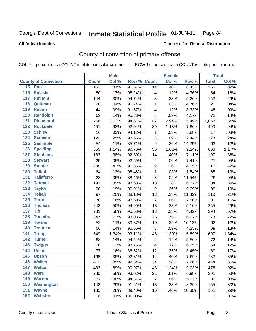### Inmate Statistical Profile 01-JUN-11 Page 84

**All Active Inmates** 

### Produced for General Distribution

# County of conviction of primary offense

COL % - percent each COUNT is of its particular column

|                                       |              | <b>Male</b> |                    |                  | <b>Female</b> |        |              | <b>Total</b> |
|---------------------------------------|--------------|-------------|--------------------|------------------|---------------|--------|--------------|--------------|
| <b>County of Conviction</b>           | <b>Count</b> | Col %       | <b>Row % Count</b> |                  | Col %         | Row %  | <b>Total</b> | Col %        |
| 115 Polk                              | 152          | .31%        | 91.57%             | 14               | .40%          | 8.43%  | 166          | .32%         |
| 116<br><b>Pulaski</b>                 | 80           | .17%        | 95.24%             | 4                | .12%          | 4.76%  | 84           | .16%         |
| 117<br><b>Putnam</b>                  | 144          | .30%        | 94.74%             | 8                | .23%          | 5.26%  | 152          | .29%         |
| Quitman<br>118                        | 20           | .04%        | 95.24%             | 1                | .03%          | 4.76%  | 21           | .04%         |
| 119<br><b>Rabun</b>                   | 44           | .09%        | 91.67%             | 4                | .12%          | 8.33%  | 48           | .09%         |
| 120<br><b>Randolph</b>                | 69           | .14%        | 95.83%             | 3                | .09%          | 4.17%  | 72           | .14%         |
| <b>Richmond</b><br>121                | 1,756        | 3.63%       | 94.51%             | 102              | 2.94%         | 5.49%  | 1,858        | 3.58%        |
| 122<br><b>Rockdale</b>                | 451          | .93%        | 92.04%             | 39               | 1.13%         | 7.96%  | 490          | .94%         |
| 123<br><b>Schley</b>                  | 16           | .03%        | 94.12%             | 1                | .03%          | 5.88%  | 17           | .03%         |
| 124<br><b>Screven</b>                 | 120          | .25%        | 97.56%             | 3                | .09%          | 2.44%  | 123          | .24%         |
| <b>Seminole</b><br>125                | 54           | .11%        | 85.71%             | 9                | .26%          | 14.29% | 63           | .12%         |
| 126<br><b>Spalding</b>                | 550          | 1.14%       | 90.76%             | 56               | 1.62%         | 9.24%  | 606          | 1.17%        |
| 127<br><b>Stephens</b>                | 183          | .38%        | 92.89%             | 14               | .40%          | 7.11%  | 197          | .38%         |
| <b>Stewart</b><br>128                 | 25           | .05%        | 92.59%             | $\overline{2}$   | .06%          | 7.41%  | 27           | .05%         |
| <b>Sumter</b><br>129                  | 208          | .43%        | 95.85%             | $\mathsf g$      | .26%          | 4.15%  | 217          | .42%         |
| <b>Talbot</b><br>130                  | 64           | .13%        | 98.46%             | 1                | .03%          | 1.54%  | 65           | .13%         |
| $\overline{131}$<br><b>Taliaferro</b> | 23           | .05%        | 88.46%             | 3                | .09%          | 11.54% | 26           | .05%         |
| <b>Tattnall</b><br>132                | 191          | .39%        | 93.63%             | 13               | .38%          | 6.37%  | 204          | .39%         |
| 133<br><b>Taylor</b>                  | 90           | .19%        | 90.91%             | $\boldsymbol{9}$ | .26%          | 9.09%  | 99           | .19%         |
| <b>Telfair</b><br>134                 | 97           | .20%        | 88.18%             | 13               | .38%          | 11.82% | 110          | .21%         |
| 135<br><b>Terrell</b>                 | 78           | .16%        | 97.50%             | $\overline{2}$   | .06%          | 2.50%  | 80           | .15%         |
| 136<br><b>Thomas</b>                  | 242          | .50%        | 94.90%             | 13               | .38%          | 5.10%  | 255          | .49%         |
| $\overline{137}$<br><b>Tift</b>       | 281          | .58%        | 95.58%             | 13               | .38%          | 4.42%  | 294          | .57%         |
| <b>Toombs</b><br>138                  | 347          | .72%        | 93.03%             | 26               | .75%          | 6.97%  | 373          | .72%         |
| 139<br><b>Towns</b>                   | 52           | .11%        | 83.87%             | 10               | .29%          | 16.13% | 62           | .12%         |
| <b>Treutlen</b><br>140                | 66           | .14%        | 95.65%             | 3                | .09%          | 4.35%  | 69           | .13%         |
| 141<br><b>Troup</b>                   | 649          | 1.34%       | 93.11%             | 48               | 1.39%         | 6.89%  | 697          | 1.34%        |
| <b>Turner</b><br>142                  | 68           | .14%        | 94.44%             | 4                | .12%          | 5.56%  | 72           | .14%         |
| 143<br><b>Twiggs</b>                  | 60           | .12%        | 93.75%             | 4                | .12%          | 6.25%  | 64           | .12%         |
| 144<br><b>Union</b>                   | 77           | .16%        | 86.52%             | 12               | .35%          | 13.48% | 89           | .17%         |
| 145<br><b>Upson</b>                   | 168          | .35%        | 92.31%             | 14               | .40%          | 7.69%  | 182          | .35%         |
| 146<br><b>Walker</b>                  | 410          | .85%        | 92.34%             | 34               | .98%          | 7.66%  | 444          | .86%         |
| 147<br><b>Walton</b>                  | 433          | .89%        | 90.97%             | 43               | 1.24%         | 9.03%  | 476          | .92%         |
| 148<br><b>Ware</b>                    | 280          | .58%        | 93.02%             | 21               | .61%          | 6.98%  | 301          | .58%         |
| 149<br><b>Warren</b>                  | 37           | .08%        | 94.87%             | $\overline{2}$   | .06%          | 5.13%  | 39           | .08%         |
| 150<br>Washington                     | 142          | .29%        | 91.61%             | 13               | .38%          | 8.39%  | 155          | .30%         |
| 151<br><b>Wayne</b>                   | 135          | .28%        | 89.40%             | 16               | .46%          | 10.60% | 151          | .29%         |
| <b>Webster</b><br>152                 | 6            | .01%        | 100.00%            |                  |               |        | 6            | .01%         |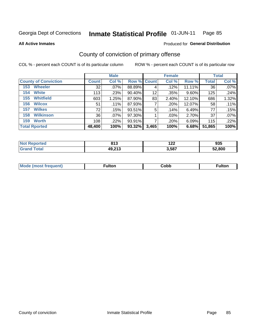### Inmate Statistical Profile 01-JUN-11 Page 85

**All Active Inmates** 

### Produced for General Distribution

# County of conviction of primary offense

COL % - percent each COUNT is of its particular column

|                             |              | <b>Male</b> |             |       | <b>Female</b> |          |              | <b>Total</b> |
|-----------------------------|--------------|-------------|-------------|-------|---------------|----------|--------------|--------------|
| <b>County of Conviction</b> | <b>Count</b> | Col %       | Row % Count |       | Col %         | Row %    | <b>Total</b> | Col %        |
| <b>Wheeler</b><br>153       | 32           | .07%        | 88.89%      | 4     | .12%          | 11.11%   | 36           | $.07\%$      |
| <b>White</b><br>154         | 113          | .23%        | 90.40%      | 12    | .35%          | $9.60\%$ | 125          | .24%         |
| <b>Whitfield</b><br>155     | 603          | 1.25%       | 87.90%      | 83    | 2.40%         | 12.10%   | 686          | 1.32%        |
| <b>Wilcox</b><br>156        | 51           | .11%        | 87.93%      |       | .20%          | 12.07%   | 58           | .11%         |
| <b>Wilkes</b><br>157        | 72           | .15%        | 93.51%      | 5     | .14%          | 6.49%    | 77           | .15%         |
| <b>Wilkinson</b><br>158     | 36           | $.07\%$     | 97.30%      |       | .03%          | 2.70%    | 37           | $.07\%$      |
| <b>Worth</b><br>159         | 108          | .22%        | 93.91%      |       | .20%          | 6.09%    | 115          | .22%         |
| <b>Total Rported</b>        | 48,400       | 100%        | 93.32%      | 3,465 | 100%          | 6.68%    | 51,865       | 100%         |

| тес  | 912<br>013 | $\sim$<br>175 | $\sim$<br>ສວວ |
|------|------------|---------------|---------------|
| ota. | 49,213     | 3,587         | 52.800        |

| <b>Mode</b><br>---<br>luent)<br>nost tren | ™ulton | ;obb | Fulto |
|-------------------------------------------|--------|------|-------|
|                                           |        |      |       |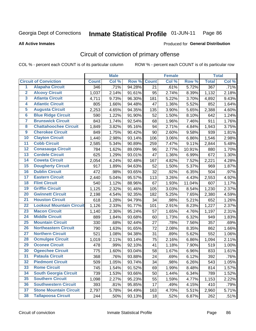### Inmate Statistical Profile 01-JUN-11 Page 86

**All Active Inmates** 

## **Produced for General Distribution**

# Circuit of conviction of primary offense

COL % - percent each COUNT is of its particular column

|                         |                                 |              | <b>Male</b> |        |              | <b>Female</b> |        |              | <b>Total</b> |
|-------------------------|---------------------------------|--------------|-------------|--------|--------------|---------------|--------|--------------|--------------|
|                         | <b>Circuit of Conviction</b>    | <b>Count</b> | Col %       | Row %  | <b>Count</b> | Col %         | Row %  | <b>Total</b> | Col %        |
| $\overline{1}$          | <b>Alapaha Circuit</b>          | 346          | .71%        | 94.28% | 21           | .61%          | 5.72%  | 367          | .71%         |
| $\overline{2}$          | <b>Alcovy Circuit</b>           | 1,037        | 2.14%       | 91.61% | 95           | 2.74%         | 8.39%  | 1,132        | 2.18%        |
| $\overline{\mathbf{3}}$ | <b>Atlanta Circuit</b>          | 4,711        | 9.73%       | 96.30% | 181          | 5.22%         | 3.70%  | 4,892        | 9.43%        |
| 4                       | <b>Atlantic Circuit</b>         | 805          | 1.66%       | 94.48% | 47           | 1.36%         | 5.52%  | 852          | 1.64%        |
| 5                       | <b>Augusta Circuit</b>          | 2,253        | 4.65%       | 94.35% | 135          | 3.90%         | 5.65%  | 2,388        | 4.60%        |
| $\overline{\mathbf{6}}$ | <b>Blue Ridge Circuit</b>       | 590          | 1.22%       | 91.90% | 52           | 1.50%         | 8.10%  | 642          | 1.24%        |
| $\overline{\mathbf{7}}$ | <b>Brunswick Circuit</b>        | 843          | 1.74%       | 92.54% | 68           | 1.96%         | 7.46%  | 911          | 1.76%        |
| 8                       | <b>Chattahoochee Circuit</b>    | 1,849        | 3.82%       | 95.16% | 94           | 2.71%         | 4.84%  | 1,943        | 3.75%        |
| $\overline{9}$          | <b>Cherokee Circuit</b>         | 849          | 1.75%       | 90.42% | 90           | 2.60%         | 9.58%  | 939          | 1.81%        |
| 10                      | <b>Clayton Circuit</b>          | 1,440        | 2.98%       | 93.14% | 106          | 3.06%         | 6.86%  | 1,546        | 2.98%        |
| 11                      | <b>Cobb Circuit</b>             | 2,585        | 5.34%       | 90.89% | 259          | 7.47%         | 9.11%  | 2,844        | 5.48%        |
| 12                      | <b>Conasauga Circuit</b>        | 784          | 1.62%       | 89.09% | 96           | 2.77%         | 10.91% | 880          | 1.70%        |
| 13                      | <b>Cordele Circuit</b>          | 625          | 1.29%       | 93.01% | 47           | 1.36%         | 6.99%  | 672          | 1.30%        |
| 14                      | <b>Coweta Circuit</b>           | 2,054        | 4.24%       | 92.48% | 167          | 4.82%         | 7.52%  | 2,221        | 4.28%        |
| 15                      | <b>Dougherty Circuit</b>        | 917          | 1.89%       | 94.63% | 52           | 1.50%         | 5.37%  | 969          | 1.87%        |
| 16                      | <b>Dublin Circuit</b>           | 472          | .98%        | 93.65% | 32           | .92%          | 6.35%  | 504          | .97%         |
| 17                      | <b>Eastern Circuit</b>          | 2,440        | 5.04%       | 95.57% | 113          | 3.26%         | 4.43%  | 2,553        | 4.92%        |
| 18                      | <b>Flint Circuit</b>            | 540          | 1.12%       | 88.96% | 67           | 1.93%         | 11.04% | 607          | 1.17%        |
| 19                      | <b>Griffin Circuit</b>          | 1,125        | 2.32%       | 91.46% | 105          | 3.03%         | 8.54%  | 1,230        | 2.37%        |
| 20                      | <b>Gwinnett Circuit</b>         | 2,198        | 4.54%       | 92.35% | 182          | 5.25%         | 7.65%  | 2,380        | 4.59%        |
| $\overline{21}$         | <b>Houston Circuit</b>          | 618          | 1.28%       | 94.79% | 34           | .98%          | 5.21%  | 652          | 1.26%        |
| $\overline{22}$         | <b>Lookout Mountain Circuit</b> | 1,126        | 2.33%       | 91.77% | 101          | 2.91%         | 8.23%  | 1,227        | 2.37%        |
| 23                      | <b>Macon Circuit</b>            | 1,140        | 2.36%       | 95.24% | 57           | 1.65%         | 4.76%  | 1,197        | 2.31%        |
| 24                      | <b>Middle Circuit</b>           | 889          | 1.84%       | 93.68% | 60           | 1.73%         | 6.32%  | 949          | 1.83%        |
| 25                      | <b>Mountain Circuit</b>         | 330          | .68%        | 92.44% | 27           | .78%          | 7.56%  | 357          | .69%         |
| 26                      | <b>Northeastern Circuit</b>     | 790          | 1.63%       | 91.65% | 72           | 2.08%         | 8.35%  | 862          | 1.66%        |
| $\overline{27}$         | <b>Northern Circuit</b>         | 521          | 1.08%       | 94.38% | 31           | .89%          | 5.62%  | 552          | 1.06%        |
| 28                      | <b>Ocmulgee Circuit</b>         | 1,019        | 2.11%       | 93.14% | 75           | 2.16%         | 6.86%  | 1,094        | 2.11%        |
| 29                      | <b>Oconee Circuit</b>           | 478          | .99%        | 92.10% | 41           | 1.18%         | 7.90%  | 519          | 1.00%        |
| 30                      | <b>Ogeechee Circuit</b>         | 775          | 1.60%       | 93.04% | 58           | 1.67%         | 6.96%  | 833          | 1.61%        |
| $\overline{31}$         | <b>Pataula Circuit</b>          | 368          | .76%        | 93.88% | 24           | .69%          | 6.12%  | 392          | .76%         |
| 32                      | <b>Piedmont Circuit</b>         | 509          | 1.05%       | 93.74% | 34           | .98%          | 6.26%  | 543          | 1.05%        |
| 33                      | <b>Rome Circuit</b>             | 745          | 1.54%       | 91.52% | 69           | 1.99%         | 8.48%  | 814          | 1.57%        |
| 34                      | <b>South Georgia Circuit</b>    | 739          | 1.53%       | 93.66% | 50           | 1.44%         | 6.34%  | 789          | 1.52%        |
| 35                      | <b>Southern Circuit</b>         | 1,098        | 2.27%       | 95.23% | 55           | 1.59%         | 4.77%  | 1,153        | 2.22%        |
| 36                      | <b>Southwestern Circuit</b>     | 393          | .81%        | 95.85% | 17           | .49%          | 4.15%  | 410          | .79%         |
| 37                      | <b>Stone Mountain Circuit</b>   | 2,797        | 5.78%       | 94.49% | 163          | 4.70%         | 5.51%  | 2,960        | 5.71%        |
| 38                      | <b>Tallapoosa Circuit</b>       | 244          | .50%        | 93.13% | 18           | .52%          | 6.87%  | 262          | .51%         |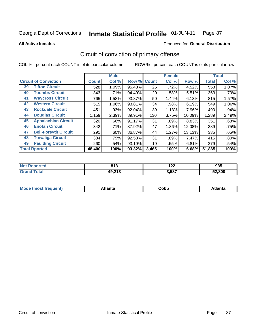### Inmate Statistical Profile 01-JUN-11 Page 87

**All Active Inmates** 

## Produced for General Distribution

# Circuit of conviction of primary offense

COL % - percent each COUNT is of its particular column

|                                   | <b>Male</b>  |         | <b>Female</b> |              |       | <b>Total</b> |              |         |
|-----------------------------------|--------------|---------|---------------|--------------|-------|--------------|--------------|---------|
| <b>Circuit of Conviction</b>      | <b>Count</b> | Col %   | Row %         | <b>Count</b> | Col % | Row %        | <b>Total</b> | Col %   |
| <b>Tifton Circuit</b><br>39       | 528          | 1.09%   | 95.48%        | 25           | .72%  | 4.52%        | 553          | 1.07%   |
| <b>Toombs Circuit</b><br>40       | 343          | .71%    | 94.49%        | 20           | .58%  | 5.51%        | 363          | .70%    |
| <b>Waycross Circuit</b><br>41     | 765          | 1.58%   | 93.87%        | 50           | 1.44% | 6.13%        | 815          | 1.57%   |
| <b>Western Circuit</b><br>42      | 515          | 1.06%   | 93.81%        | 34           | .98%  | 6.19%        | 549          | 1.06%   |
| <b>Rockdale Circuit</b><br>43     | 451          | .93%    | 92.04%        | 39           | 1.13% | 7.96%        | 490          | .94%    |
| <b>Douglas Circuit</b><br>44      | 1,159        | 2.39%   | 89.91%        | 130          | 3.75% | 10.09%       | 1,289        | 2.49%   |
| 45<br><b>Appalachian Circuit</b>  | 320          | .66%    | 91.17%        | 31           | .89%  | 8.83%        | 351          | .68%    |
| <b>Enotah Circuit</b><br>46       | 342          | .71%    | 87.92%        | 47           | 1.36% | 12.08%       | 389          | .75%    |
| 47<br><b>Bell-Forsyth Circuit</b> | 291          | $.60\%$ | 86.87%        | 44           | 1.27% | 13.13%       | 335          | .65%    |
| <b>Towaliga Circuit</b><br>48     | 384          | .79%    | 92.53%        | 31           | .89%  | 7.47%        | 415          | $.80\%$ |
| <b>Paulding Circuit</b><br>49     | 260          | .54%    | 93.19%        | 19           | .55%  | 6.81%        | 279          | .54%    |
| <b>Total Rported</b>              | 48,400       | 100%    | 93.32%        | 3,465        | 100%  | 6.68%        | 51,865       | 100%    |

| 'teo<br>N | 947<br>013 | --<br>17L | 00 F<br>ນວວ |
|-----------|------------|-----------|-------------|
|           | 49,213     | 3,587     | 52.800      |

| M<br>- - -<br>.<br>.<br>⊂opp<br>нс |
|------------------------------------|
|------------------------------------|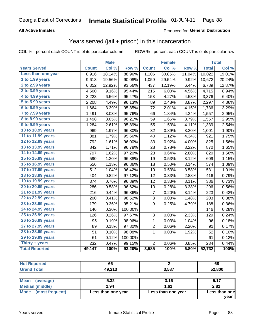## **All Active Inmates**

## Produced for General Distribution

## Years served (jail + prison) in this incarceration

COL % - percent each COUNT is of its particular column

ROW % - percent each COUNT is of its particular row

|                        |              | <b>Male</b> |                  |                | <b>Female</b> |        |              | <b>Total</b> |
|------------------------|--------------|-------------|------------------|----------------|---------------|--------|--------------|--------------|
| <b>Years Served</b>    | <b>Count</b> | Col %       | Row <sup>%</sup> | <b>Count</b>   | Col %         | Row %  | <b>Total</b> | Col %        |
| Less than one year     | 8,916        | 18.14%      | 88.96%           | 1,106          | 30.85%        | 11.04% | 10,022       | 19.01%       |
| 1 to 1.99 years        | 9,613        | 19.56%      | 90.08%           | 1,059          | 29.54%        | 9.92%  | 10,672       | 20.24%       |
| 2 to 2.99 years        | 6,352        | 12.92%      | 93.56%           | 437            | 12.19%        | 6.44%  | 6,789        | 12.87%       |
| 3 to 3.99 years        | 4,500        | 9.16%       | 95.44%           | 215            | 6.00%         | 4.56%  | 4,715        | 8.94%        |
| 4 to 4.99 years        | 3,223        | 6.56%       | 95.47%           | 153            | 4.27%         | 4.53%  | 3,376        | 6.40%        |
| 5 to 5.99 years        | 2,208        | 4.49%       | 96.13%           | 89             | 2.48%         | 3.87%  | 2,297        | 4.36%        |
| 6 to 6.99 years        | 1,664        | 3.39%       | 95.85%           | 72             | 2.01%         | 4.15%  | 1,736        | 3.29%        |
| 7 to 7.99 years        | 1,491        | 3.03%       | 95.76%           | 66             | 1.84%         | 4.24%  | 1,557        | 2.95%        |
| <b>8 to 8.99 years</b> | 1,498        | 3.05%       | 96.21%           | 59             | 1.65%         | 3.79%  | 1,557        | 2.95%        |
| 9 to 9.99 years        | 1,284        | 2.61%       | 95.89%           | 55             | 1.53%         | 4.11%  | 1,339        | 2.54%        |
| 10 to 10.99 years      | 969          | 1.97%       | 96.80%           | 32             | 0.89%         | 3.20%  | 1,001        | 1.90%        |
| 11 to 11.99 years      | 881          | 1.79%       | 95.66%           | 40             | 1.12%         | 4.34%  | 921          | 1.75%        |
| 12 to 12.99 years      | 792          | 1.61%       | 96.00%           | 33             | 0.92%         | 4.00%  | 825          | 1.56%        |
| 13 to 13.99 years      | 842          | 1.71%       | 96.78%           | 28             | 0.78%         | 3.22%  | 870          | 1.65%        |
| 14 to 14.99 years      | 797          | 1.62%       | 97.20%           | 23             | 0.64%         | 2.80%  | 820          | 1.56%        |
| 15 to 15.99 years      | 590          | 1.20%       | 96.88%           | 19             | 0.53%         | 3.12%  | 609          | 1.15%        |
| 16 to 16.99 years      | 556          | 1.13%       | 96.86%           | 18             | 0.50%         | 3.14%  | 574          | 1.09%        |
| 17 to 17.99 years      | 512          | 1.04%       | 96.42%           | 19             | 0.53%         | 3.58%  | 531          | 1.01%        |
| 18 to 18.99 years      | 404          | 0.82%       | 97.12%           | 12             | 0.33%         | 2.88%  | 416          | 0.79%        |
| 19 to 19.99 years      | 374          | 0.76%       | 96.89%           | 12             | 0.33%         | 3.11%  | 386          | 0.73%        |
| 20 to 20.99 years      | 286          | 0.58%       | 96.62%           | 10             | 0.28%         | 3.38%  | 296          | 0.56%        |
| 21 to 21.99 years      | 216          | 0.44%       | 96.86%           | 7              | 0.20%         | 3.14%  | 223          | 0.42%        |
| 22 to 22.99 years      | 200          | 0.41%       | 98.52%           | 3              | 0.08%         | 1.48%  | 203          | 0.38%        |
| 23 to 23.99 years      | 179          | 0.36%       | 95.21%           | 9              | 0.25%         | 4.79%  | 188          | 0.36%        |
| 24 to 24.99 years      | 146          | 0.30%       | 100.00%          |                |               |        | 146          | 0.28%        |
| 25 to 25.99 years      | 126          | 0.26%       | 97.67%           | 3              | 0.08%         | 2.33%  | 129          | 0.24%        |
| 26 to 26.99 years      | 95           | 0.19%       | 98.96%           | $\mathbf 1$    | 0.03%         | 1.04%  | 96           | 0.18%        |
| 27 to 27.99 years      | 89           | 0.18%       | 97.80%           | $\overline{c}$ | 0.06%         | 2.20%  | 91           | 0.17%        |
| 28 to 28.99 years      | 51           | 0.10%       | 98.08%           | 1              | 0.03%         | 1.92%  | 52           | 0.10%        |
| 29 to 29.99 years      | 61           | 0.12%       | 100.00%          |                |               |        | 61           | 0.12%        |
| Thirty + years         | 232          | 0.47%       | 99.15%           | $\overline{2}$ | 0.06%         | 0.85%  | 234          | 0.44%        |
| <b>Total Reported</b>  | 49,147       | 100%        | 93.20%           | 3,585          | 100%          | 6.80%  | 52,732       | 100%         |

| <b>Not Reported</b>      | 66     |       | 68     |
|--------------------------|--------|-------|--------|
| <b>Grand Total</b>       | 49,213 | 3,587 | 52,800 |
|                          |        |       |        |
| <b>Mean</b><br>(average) | 5.32   | 3.16  | 5.17   |
| Median (middle)          | 2.94   | 1.61  | 2.81   |

| Mode (most frequent) | Less than one year | Less than one year |  |
|----------------------|--------------------|--------------------|--|
|                      |                    |                    |  |

Less than one

year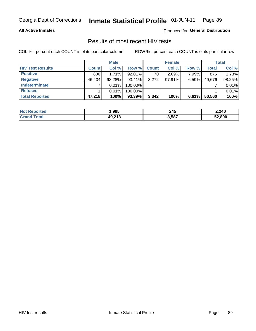## **All Active Inmates**

Produced for General Distribution

## Results of most recent HIV tests

COL % - percent each COUNT is of its particular column

|                         |              | <b>Male</b> |           |              | <b>Female</b> |          |              | <b>Total</b> |
|-------------------------|--------------|-------------|-----------|--------------|---------------|----------|--------------|--------------|
| <b>HIV Test Results</b> | <b>Count</b> | Col %       | Row %I    | <b>Count</b> | Col %         | Row %    | <b>Total</b> | Col %        |
| <b>Positive</b>         | 806          | 1.71%       | $92.01\%$ | 70           | 2.09%         | 7.99%    | 876          | 1.73%        |
| <b>Negative</b>         | 46,404       | 98.28%      | $93.41\%$ | 3,272        | $97.91\%$     | $6.59\%$ | 49,676       | 98.25%       |
| Indeterminate           |              | 0.01%       | 100.00%   |              |               |          |              | 0.01%        |
| <b>Refused</b>          |              | 0.01%       | 100.00%   |              |               |          |              | 0.01%        |
| <b>Total Reported</b>   | 47,218       | 100%        | 93.39%    | 3,342        | 100%          | 6.61%    | 50,560       | 100%         |

| <b>Not</b><br>Reported | ,995   | 245<br>____ | 2,240  |
|------------------------|--------|-------------|--------|
| Total<br><b>Grand</b>  | 49,213 | 3,587       | 52.800 |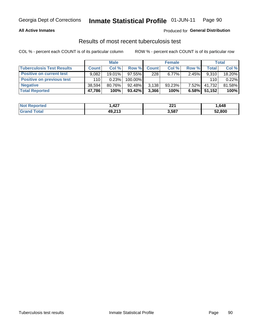## **All Active Inmates**

## Produced for General Distribution

## Results of most recent tuberculosis test

COL % - percent each COUNT is of its particular column

|                                  | <b>Male</b>  |           |           | <b>Female</b> |          |          | Total  |        |
|----------------------------------|--------------|-----------|-----------|---------------|----------|----------|--------|--------|
| <b>Tuberculosis Test Results</b> | <b>Count</b> | Col%      | Row %     | <b>Count</b>  | Col %    | Row %    | Total  | Col %  |
| <b>Positive on current test</b>  | 9.082        | $19.01\%$ | $97.55\%$ | 228           | $6.77\%$ | 2.45%    | 9,310  | 18.20% |
| <b>Positive on previous test</b> | 110          | 0.23%     | 100.00%   |               |          |          | 110    | 0.22%  |
| <b>Negative</b>                  | 38.594       | $80.76\%$ | 92.48%    | 3,138         | 93.23%   | $7.52\%$ | 41.732 | 81.58% |
| <b>Total Reported</b>            | 47,786       | 100%      | $93.42\%$ | 3,366         | 100%     | 6.58%    | 51.152 | 100%   |

| <b>Not Reported</b> | ,427   | つつ1<br>ZZ I | .648   |
|---------------------|--------|-------------|--------|
| ⊺otal<br>Gran       | 49,213 | 3,587       | 52,800 |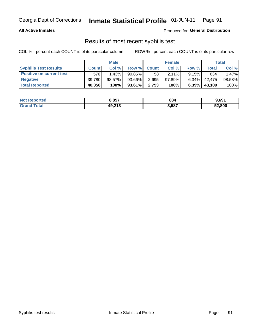### **All Active Inmates**

Produced for General Distribution

## Results of most recent syphilis test

COL % - percent each COUNT is of its particular column

|                                 | <b>Male</b>  |           |           | <b>Female</b> |           |          | Total   |        |
|---------------------------------|--------------|-----------|-----------|---------------|-----------|----------|---------|--------|
| <b>Syphilis Test Results</b>    | <b>Count</b> | Col%      | Row %     | <b>Count</b>  | Col %     | Row %    | Total I | Col %  |
| <b>Positive on current test</b> | 576'         | 1.43%     | $90.85\%$ | 58            | $2.11\%$  | $9.15\%$ | 634     | 1.47%  |
| <b>Negative</b>                 | 39.780       | $98.57\%$ | 93.66%    | 2,695         | $97.89\%$ | $6.34\%$ | 42.475  | 98.53% |
| <b>Total Reported</b>           | 40,356       | 100%      | 93.61%    | 2,753         | 100%      | $6.39\%$ | 43,109  | 100%   |

| <b>Not Reported</b> | 8,857  | 834   | 9,691  |
|---------------------|--------|-------|--------|
| <b>Grand Total</b>  | 49,213 | 3,587 | 52,800 |